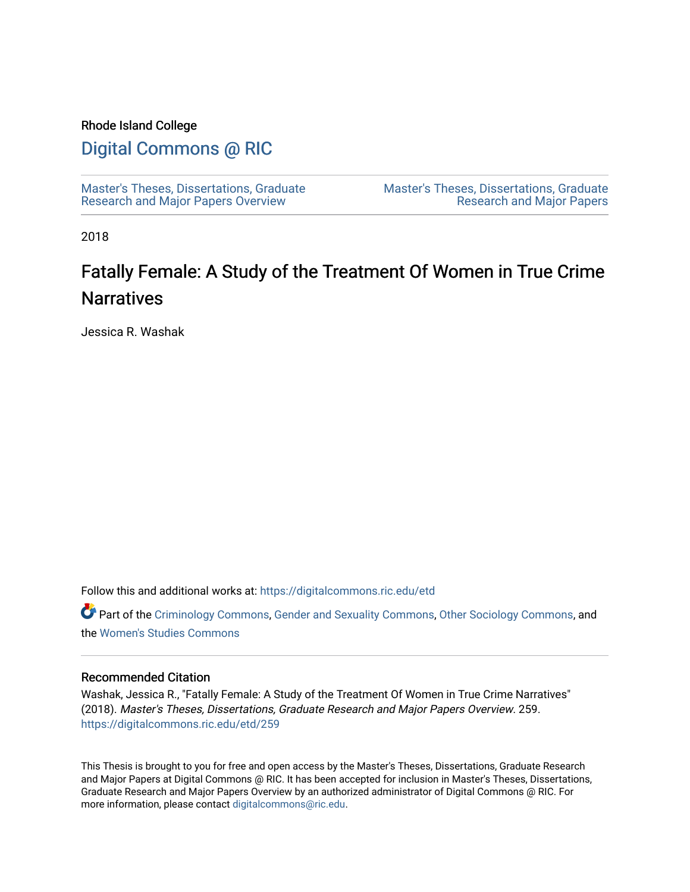## Rhode Island College

## [Digital Commons @ RIC](https://digitalcommons.ric.edu/)

[Master's Theses, Dissertations, Graduate](https://digitalcommons.ric.edu/etd) [Research and Major Papers Overview](https://digitalcommons.ric.edu/etd) 

[Master's Theses, Dissertations, Graduate](https://digitalcommons.ric.edu/etds)  [Research and Major Papers](https://digitalcommons.ric.edu/etds) 

2018

# Fatally Female: A Study of the Treatment Of Women in True Crime **Narratives**

Jessica R. Washak

Follow this and additional works at: [https://digitalcommons.ric.edu/etd](https://digitalcommons.ric.edu/etd?utm_source=digitalcommons.ric.edu%2Fetd%2F259&utm_medium=PDF&utm_campaign=PDFCoverPages)

Part of the [Criminology Commons](http://network.bepress.com/hgg/discipline/417?utm_source=digitalcommons.ric.edu%2Fetd%2F259&utm_medium=PDF&utm_campaign=PDFCoverPages), [Gender and Sexuality Commons,](http://network.bepress.com/hgg/discipline/420?utm_source=digitalcommons.ric.edu%2Fetd%2F259&utm_medium=PDF&utm_campaign=PDFCoverPages) [Other Sociology Commons,](http://network.bepress.com/hgg/discipline/434?utm_source=digitalcommons.ric.edu%2Fetd%2F259&utm_medium=PDF&utm_campaign=PDFCoverPages) and the [Women's Studies Commons](http://network.bepress.com/hgg/discipline/561?utm_source=digitalcommons.ric.edu%2Fetd%2F259&utm_medium=PDF&utm_campaign=PDFCoverPages) 

## Recommended Citation

Washak, Jessica R., "Fatally Female: A Study of the Treatment Of Women in True Crime Narratives" (2018). Master's Theses, Dissertations, Graduate Research and Major Papers Overview. 259. [https://digitalcommons.ric.edu/etd/259](https://digitalcommons.ric.edu/etd/259?utm_source=digitalcommons.ric.edu%2Fetd%2F259&utm_medium=PDF&utm_campaign=PDFCoverPages) 

This Thesis is brought to you for free and open access by the Master's Theses, Dissertations, Graduate Research and Major Papers at Digital Commons @ RIC. It has been accepted for inclusion in Master's Theses, Dissertations, Graduate Research and Major Papers Overview by an authorized administrator of Digital Commons @ RIC. For more information, please contact [digitalcommons@ric.edu.](mailto:digitalcommons@ric.edu)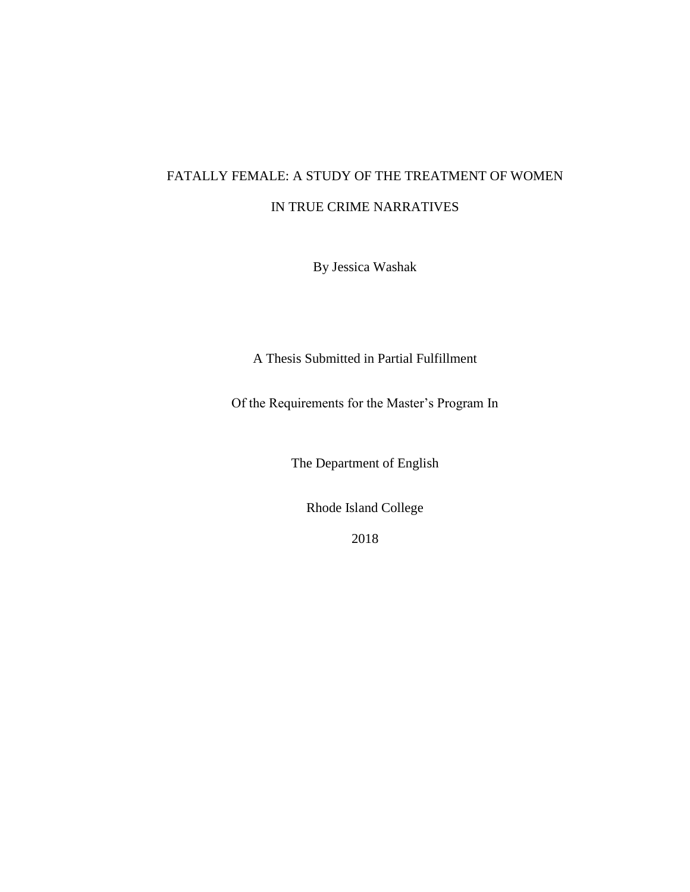## FATALLY FEMALE: A STUDY OF THE TREATMENT OF WOMEN IN TRUE CRIME NARRATIVES

By Jessica Washak

A Thesis Submitted in Partial Fulfillment

Of the Requirements for the Master's Program In

The Department of English

Rhode Island College

2018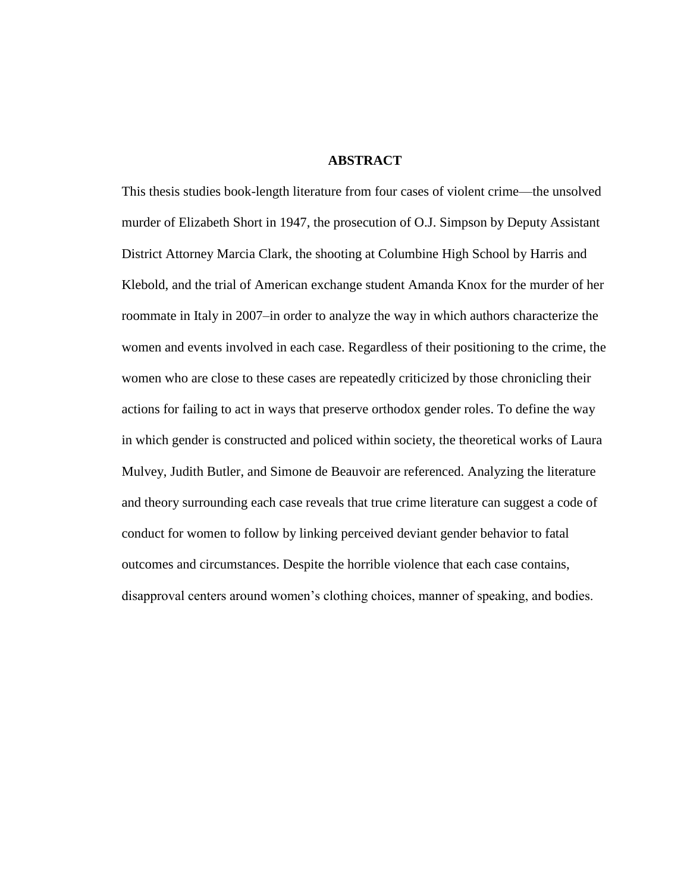## **ABSTRACT**

This thesis studies book-length literature from four cases of violent crime—the unsolved murder of Elizabeth Short in 1947, the prosecution of O.J. Simpson by Deputy Assistant District Attorney Marcia Clark, the shooting at Columbine High School by Harris and Klebold, and the trial of American exchange student Amanda Knox for the murder of her roommate in Italy in 2007–in order to analyze the way in which authors characterize the women and events involved in each case. Regardless of their positioning to the crime, the women who are close to these cases are repeatedly criticized by those chronicling their actions for failing to act in ways that preserve orthodox gender roles. To define the way in which gender is constructed and policed within society, the theoretical works of Laura Mulvey, Judith Butler, and Simone de Beauvoir are referenced. Analyzing the literature and theory surrounding each case reveals that true crime literature can suggest a code of conduct for women to follow by linking perceived deviant gender behavior to fatal outcomes and circumstances. Despite the horrible violence that each case contains, disapproval centers around women's clothing choices, manner of speaking, and bodies.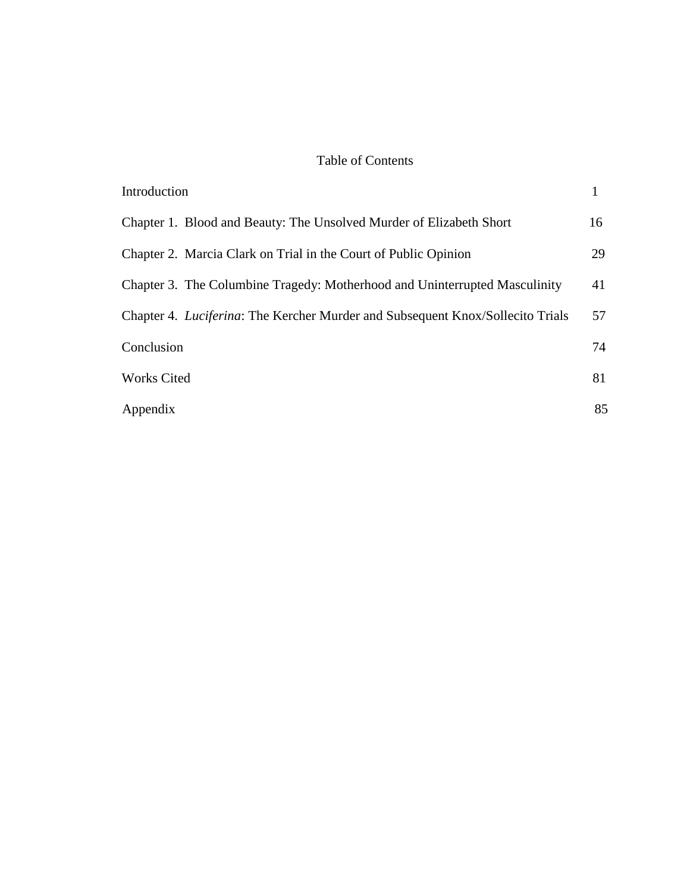## Table of Contents

| Introduction                                                                           |    |
|----------------------------------------------------------------------------------------|----|
| Chapter 1. Blood and Beauty: The Unsolved Murder of Elizabeth Short                    | 16 |
| Chapter 2. Marcia Clark on Trial in the Court of Public Opinion                        | 29 |
| Chapter 3. The Columbine Tragedy: Motherhood and Uninterrupted Masculinity             | 41 |
| Chapter 4. <i>Luciferina</i> : The Kercher Murder and Subsequent Knox/Sollecito Trials | 57 |
| Conclusion                                                                             | 74 |
| <b>Works Cited</b>                                                                     | 81 |
| Appendix                                                                               | 85 |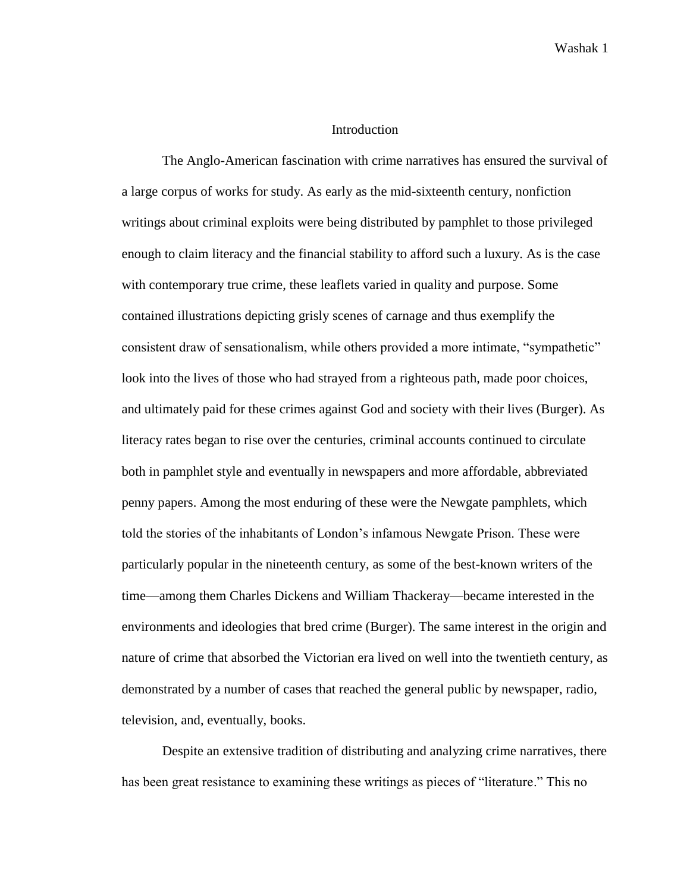## **Introduction**

The Anglo-American fascination with crime narratives has ensured the survival of a large corpus of works for study. As early as the mid-sixteenth century, nonfiction writings about criminal exploits were being distributed by pamphlet to those privileged enough to claim literacy and the financial stability to afford such a luxury. As is the case with contemporary true crime, these leaflets varied in quality and purpose. Some contained illustrations depicting grisly scenes of carnage and thus exemplify the consistent draw of sensationalism, while others provided a more intimate, "sympathetic" look into the lives of those who had strayed from a righteous path, made poor choices, and ultimately paid for these crimes against God and society with their lives (Burger). As literacy rates began to rise over the centuries, criminal accounts continued to circulate both in pamphlet style and eventually in newspapers and more affordable, abbreviated penny papers. Among the most enduring of these were the Newgate pamphlets, which told the stories of the inhabitants of London's infamous Newgate Prison. These were particularly popular in the nineteenth century, as some of the best-known writers of the time—among them Charles Dickens and William Thackeray—became interested in the environments and ideologies that bred crime (Burger). The same interest in the origin and nature of crime that absorbed the Victorian era lived on well into the twentieth century, as demonstrated by a number of cases that reached the general public by newspaper, radio, television, and, eventually, books.

Despite an extensive tradition of distributing and analyzing crime narratives, there has been great resistance to examining these writings as pieces of "literature." This no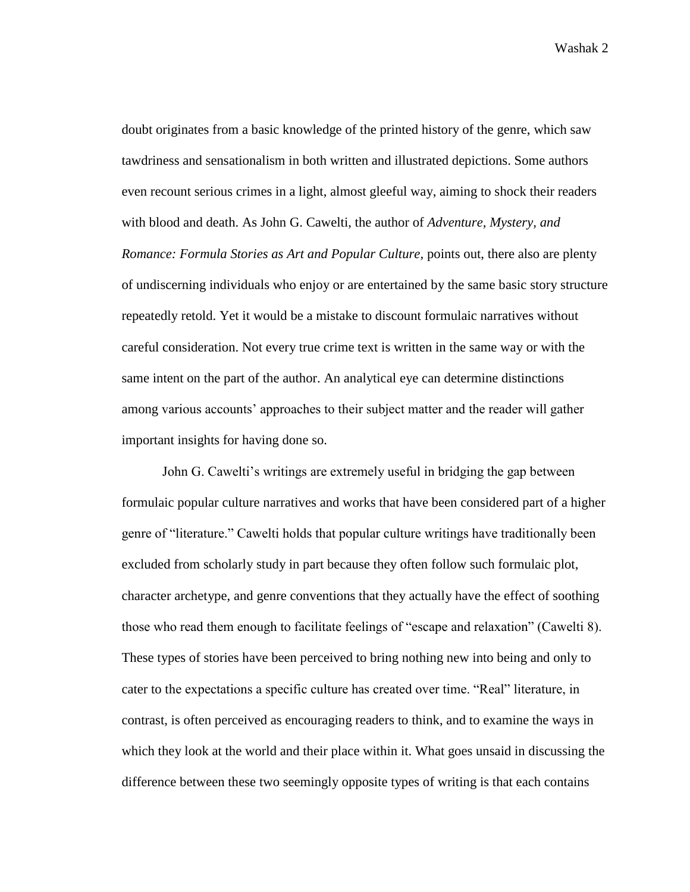doubt originates from a basic knowledge of the printed history of the genre, which saw tawdriness and sensationalism in both written and illustrated depictions. Some authors even recount serious crimes in a light, almost gleeful way, aiming to shock their readers with blood and death. As John G. Cawelti, the author of *Adventure, Mystery, and Romance: Formula Stories as Art and Popular Culture,* points out, there also are plenty of undiscerning individuals who enjoy or are entertained by the same basic story structure repeatedly retold. Yet it would be a mistake to discount formulaic narratives without careful consideration. Not every true crime text is written in the same way or with the same intent on the part of the author. An analytical eye can determine distinctions among various accounts' approaches to their subject matter and the reader will gather important insights for having done so.

John G. Cawelti's writings are extremely useful in bridging the gap between formulaic popular culture narratives and works that have been considered part of a higher genre of "literature." Cawelti holds that popular culture writings have traditionally been excluded from scholarly study in part because they often follow such formulaic plot, character archetype, and genre conventions that they actually have the effect of soothing those who read them enough to facilitate feelings of "escape and relaxation" (Cawelti 8). These types of stories have been perceived to bring nothing new into being and only to cater to the expectations a specific culture has created over time. "Real" literature, in contrast, is often perceived as encouraging readers to think, and to examine the ways in which they look at the world and their place within it. What goes unsaid in discussing the difference between these two seemingly opposite types of writing is that each contains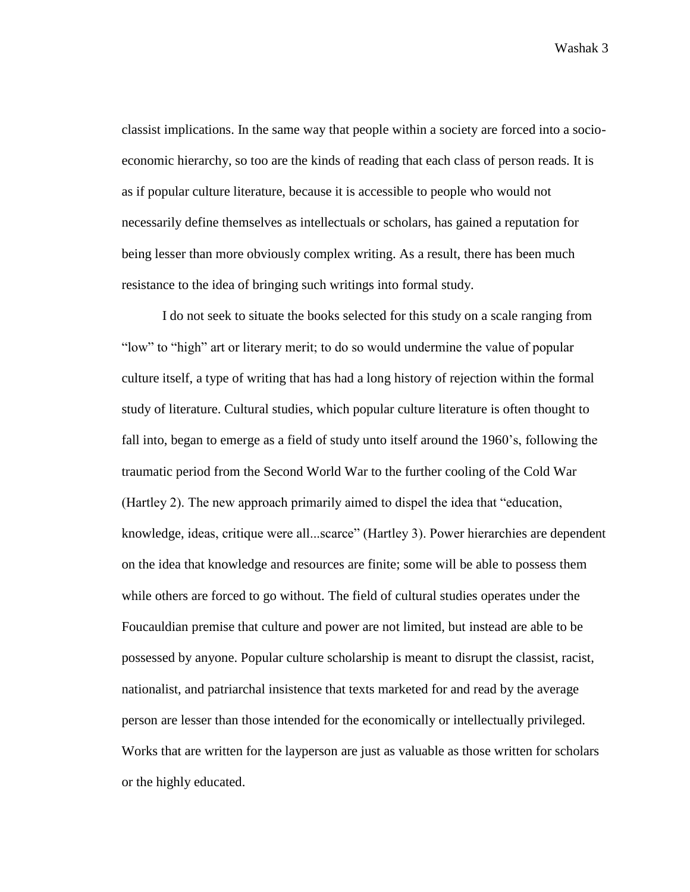classist implications. In the same way that people within a society are forced into a socioeconomic hierarchy, so too are the kinds of reading that each class of person reads. It is as if popular culture literature, because it is accessible to people who would not necessarily define themselves as intellectuals or scholars, has gained a reputation for being lesser than more obviously complex writing. As a result, there has been much resistance to the idea of bringing such writings into formal study.

I do not seek to situate the books selected for this study on a scale ranging from "low" to "high" art or literary merit; to do so would undermine the value of popular culture itself, a type of writing that has had a long history of rejection within the formal study of literature. Cultural studies, which popular culture literature is often thought to fall into, began to emerge as a field of study unto itself around the 1960's, following the traumatic period from the Second World War to the further cooling of the Cold War (Hartley 2). The new approach primarily aimed to dispel the idea that "education, knowledge, ideas, critique were all...scarce" (Hartley 3). Power hierarchies are dependent on the idea that knowledge and resources are finite; some will be able to possess them while others are forced to go without. The field of cultural studies operates under the Foucauldian premise that culture and power are not limited, but instead are able to be possessed by anyone. Popular culture scholarship is meant to disrupt the classist, racist, nationalist, and patriarchal insistence that texts marketed for and read by the average person are lesser than those intended for the economically or intellectually privileged. Works that are written for the layperson are just as valuable as those written for scholars or the highly educated.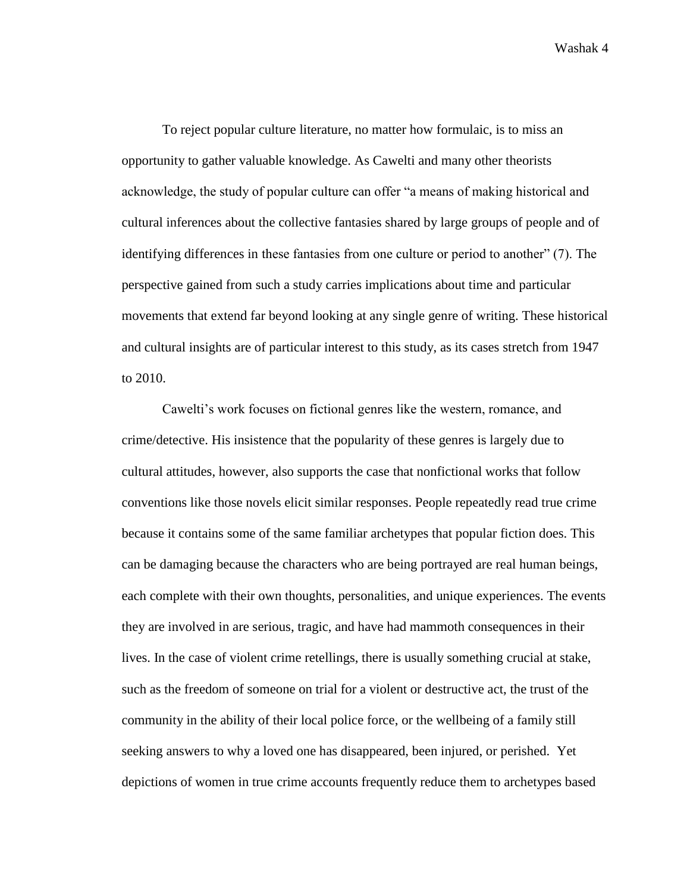To reject popular culture literature, no matter how formulaic, is to miss an opportunity to gather valuable knowledge. As Cawelti and many other theorists acknowledge, the study of popular culture can offer "a means of making historical and cultural inferences about the collective fantasies shared by large groups of people and of identifying differences in these fantasies from one culture or period to another" (7). The perspective gained from such a study carries implications about time and particular movements that extend far beyond looking at any single genre of writing. These historical and cultural insights are of particular interest to this study, as its cases stretch from 1947 to 2010.

Cawelti's work focuses on fictional genres like the western, romance, and crime/detective. His insistence that the popularity of these genres is largely due to cultural attitudes, however, also supports the case that nonfictional works that follow conventions like those novels elicit similar responses. People repeatedly read true crime because it contains some of the same familiar archetypes that popular fiction does. This can be damaging because the characters who are being portrayed are real human beings, each complete with their own thoughts, personalities, and unique experiences. The events they are involved in are serious, tragic, and have had mammoth consequences in their lives. In the case of violent crime retellings, there is usually something crucial at stake, such as the freedom of someone on trial for a violent or destructive act, the trust of the community in the ability of their local police force, or the wellbeing of a family still seeking answers to why a loved one has disappeared, been injured, or perished. Yet depictions of women in true crime accounts frequently reduce them to archetypes based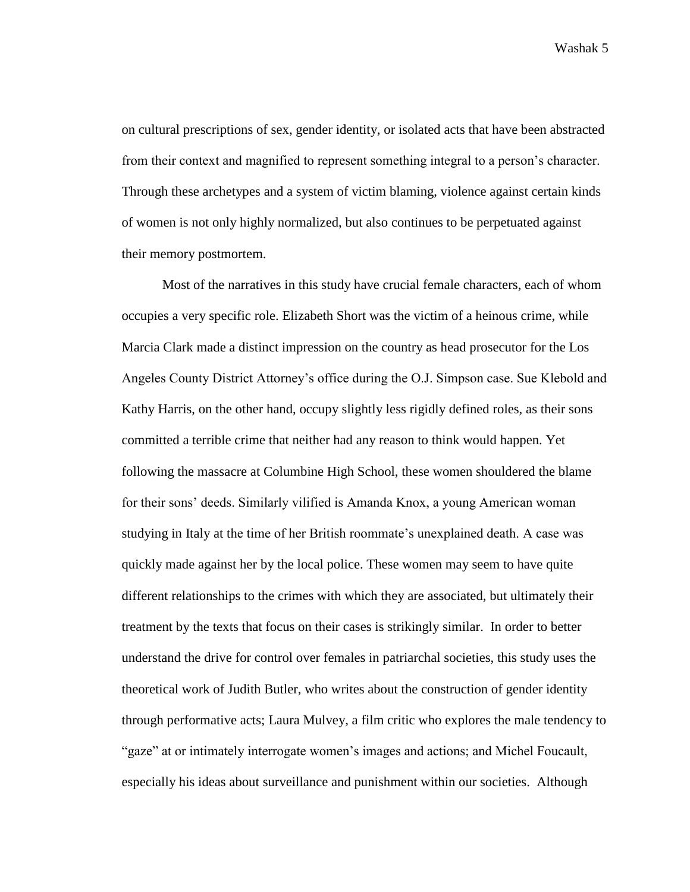on cultural prescriptions of sex, gender identity, or isolated acts that have been abstracted from their context and magnified to represent something integral to a person's character. Through these archetypes and a system of victim blaming, violence against certain kinds of women is not only highly normalized, but also continues to be perpetuated against their memory postmortem.

Most of the narratives in this study have crucial female characters, each of whom occupies a very specific role. Elizabeth Short was the victim of a heinous crime, while Marcia Clark made a distinct impression on the country as head prosecutor for the Los Angeles County District Attorney's office during the O.J. Simpson case. Sue Klebold and Kathy Harris, on the other hand, occupy slightly less rigidly defined roles, as their sons committed a terrible crime that neither had any reason to think would happen. Yet following the massacre at Columbine High School, these women shouldered the blame for their sons' deeds. Similarly vilified is Amanda Knox, a young American woman studying in Italy at the time of her British roommate's unexplained death. A case was quickly made against her by the local police. These women may seem to have quite different relationships to the crimes with which they are associated, but ultimately their treatment by the texts that focus on their cases is strikingly similar. In order to better understand the drive for control over females in patriarchal societies, this study uses the theoretical work of Judith Butler, who writes about the construction of gender identity through performative acts; Laura Mulvey, a film critic who explores the male tendency to "gaze" at or intimately interrogate women's images and actions; and Michel Foucault, especially his ideas about surveillance and punishment within our societies. Although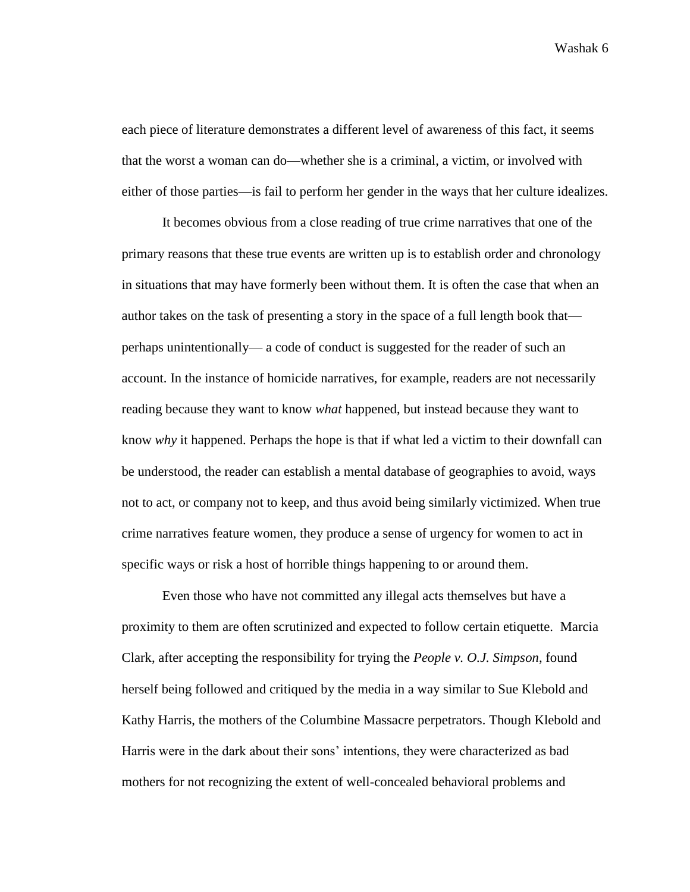each piece of literature demonstrates a different level of awareness of this fact, it seems that the worst a woman can do—whether she is a criminal, a victim, or involved with either of those parties—is fail to perform her gender in the ways that her culture idealizes.

It becomes obvious from a close reading of true crime narratives that one of the primary reasons that these true events are written up is to establish order and chronology in situations that may have formerly been without them. It is often the case that when an author takes on the task of presenting a story in the space of a full length book that perhaps unintentionally— a code of conduct is suggested for the reader of such an account. In the instance of homicide narratives, for example, readers are not necessarily reading because they want to know *what* happened, but instead because they want to know *why* it happened. Perhaps the hope is that if what led a victim to their downfall can be understood, the reader can establish a mental database of geographies to avoid, ways not to act, or company not to keep, and thus avoid being similarly victimized. When true crime narratives feature women, they produce a sense of urgency for women to act in specific ways or risk a host of horrible things happening to or around them.

Even those who have not committed any illegal acts themselves but have a proximity to them are often scrutinized and expected to follow certain etiquette. Marcia Clark, after accepting the responsibility for trying the *People v. O.J. Simpson*, found herself being followed and critiqued by the media in a way similar to Sue Klebold and Kathy Harris, the mothers of the Columbine Massacre perpetrators. Though Klebold and Harris were in the dark about their sons' intentions, they were characterized as bad mothers for not recognizing the extent of well-concealed behavioral problems and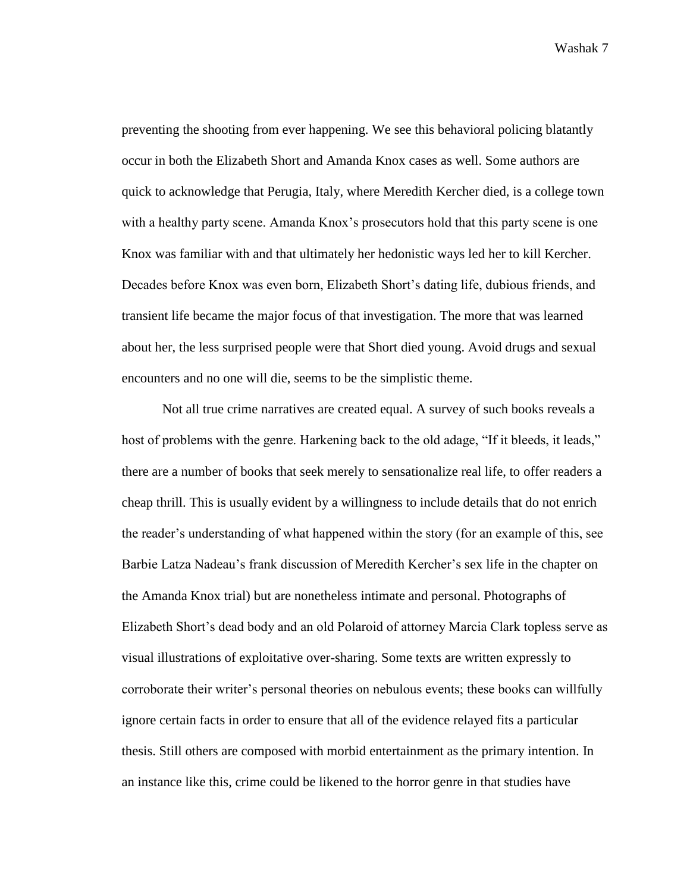preventing the shooting from ever happening. We see this behavioral policing blatantly occur in both the Elizabeth Short and Amanda Knox cases as well. Some authors are quick to acknowledge that Perugia, Italy, where Meredith Kercher died, is a college town with a healthy party scene. Amanda Knox's prosecutors hold that this party scene is one Knox was familiar with and that ultimately her hedonistic ways led her to kill Kercher. Decades before Knox was even born, Elizabeth Short's dating life, dubious friends, and transient life became the major focus of that investigation. The more that was learned about her, the less surprised people were that Short died young. Avoid drugs and sexual encounters and no one will die, seems to be the simplistic theme.

Not all true crime narratives are created equal. A survey of such books reveals a host of problems with the genre. Harkening back to the old adage, "If it bleeds, it leads," there are a number of books that seek merely to sensationalize real life, to offer readers a cheap thrill. This is usually evident by a willingness to include details that do not enrich the reader's understanding of what happened within the story (for an example of this, see Barbie Latza Nadeau's frank discussion of Meredith Kercher's sex life in the chapter on the Amanda Knox trial) but are nonetheless intimate and personal. Photographs of Elizabeth Short's dead body and an old Polaroid of attorney Marcia Clark topless serve as visual illustrations of exploitative over-sharing. Some texts are written expressly to corroborate their writer's personal theories on nebulous events; these books can willfully ignore certain facts in order to ensure that all of the evidence relayed fits a particular thesis. Still others are composed with morbid entertainment as the primary intention. In an instance like this, crime could be likened to the horror genre in that studies have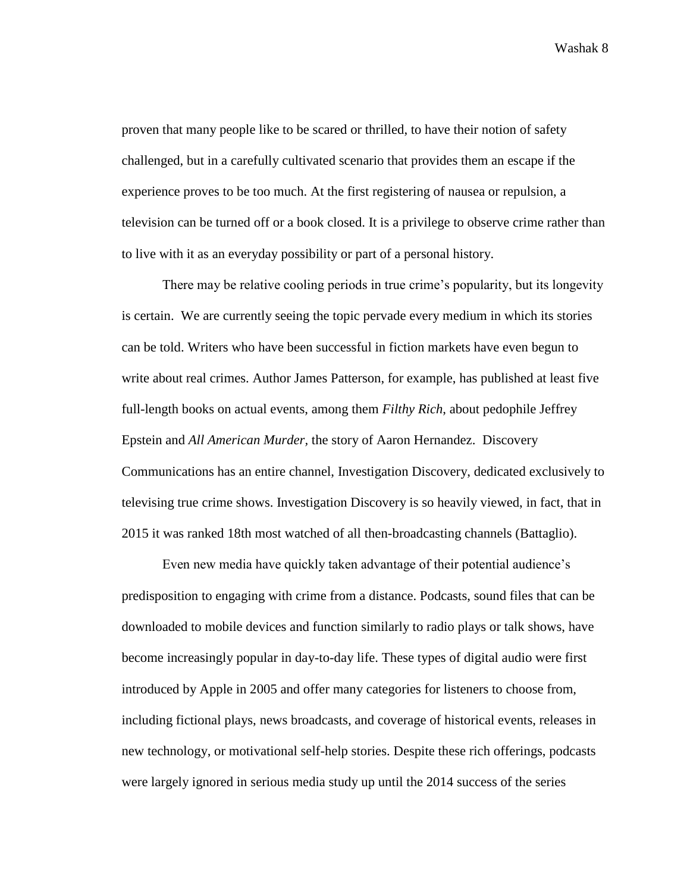proven that many people like to be scared or thrilled, to have their notion of safety challenged, but in a carefully cultivated scenario that provides them an escape if the experience proves to be too much. At the first registering of nausea or repulsion, a television can be turned off or a book closed. It is a privilege to observe crime rather than to live with it as an everyday possibility or part of a personal history.

There may be relative cooling periods in true crime's popularity, but its longevity is certain. We are currently seeing the topic pervade every medium in which its stories can be told. Writers who have been successful in fiction markets have even begun to write about real crimes. Author James Patterson, for example, has published at least five full-length books on actual events, among them *Filthy Rich*, about pedophile Jeffrey Epstein and *All American Murder,* the story of Aaron Hernandez. Discovery Communications has an entire channel, Investigation Discovery, dedicated exclusively to televising true crime shows. Investigation Discovery is so heavily viewed, in fact, that in 2015 it was ranked 18th most watched of all then-broadcasting channels (Battaglio).

Even new media have quickly taken advantage of their potential audience's predisposition to engaging with crime from a distance. Podcasts, sound files that can be downloaded to mobile devices and function similarly to radio plays or talk shows, have become increasingly popular in day-to-day life. These types of digital audio were first introduced by Apple in 2005 and offer many categories for listeners to choose from, including fictional plays, news broadcasts, and coverage of historical events, releases in new technology, or motivational self-help stories. Despite these rich offerings, podcasts were largely ignored in serious media study up until the 2014 success of the series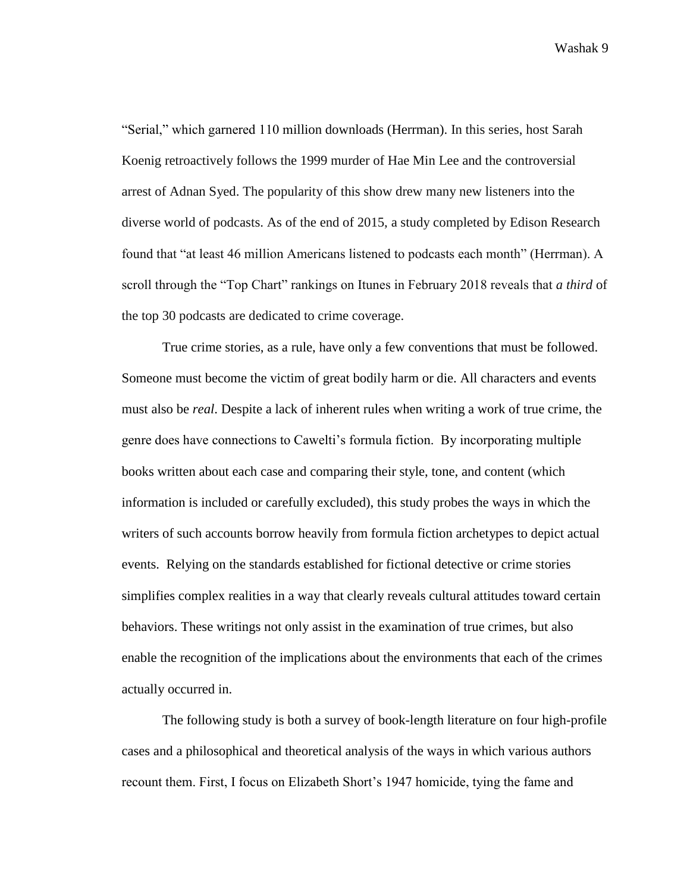"Serial," which garnered 110 million downloads (Herrman). In this series, host Sarah Koenig retroactively follows the 1999 murder of Hae Min Lee and the controversial arrest of Adnan Syed. The popularity of this show drew many new listeners into the diverse world of podcasts. As of the end of 2015, a study completed by Edison Research found that "at least 46 million Americans listened to podcasts each month" (Herrman). A scroll through the "Top Chart" rankings on Itunes in February 2018 reveals that *a third* of the top 30 podcasts are dedicated to crime coverage.

True crime stories, as a rule, have only a few conventions that must be followed. Someone must become the victim of great bodily harm or die. All characters and events must also be *real*. Despite a lack of inherent rules when writing a work of true crime, the genre does have connections to Cawelti's formula fiction. By incorporating multiple books written about each case and comparing their style, tone, and content (which information is included or carefully excluded), this study probes the ways in which the writers of such accounts borrow heavily from formula fiction archetypes to depict actual events. Relying on the standards established for fictional detective or crime stories simplifies complex realities in a way that clearly reveals cultural attitudes toward certain behaviors. These writings not only assist in the examination of true crimes, but also enable the recognition of the implications about the environments that each of the crimes actually occurred in.

The following study is both a survey of book-length literature on four high-profile cases and a philosophical and theoretical analysis of the ways in which various authors recount them. First, I focus on Elizabeth Short's 1947 homicide, tying the fame and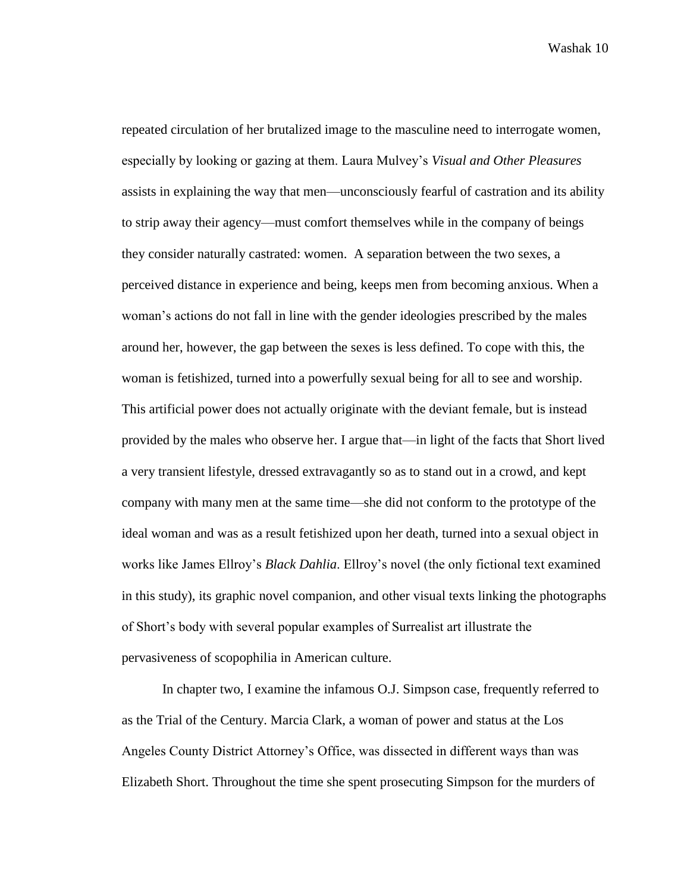repeated circulation of her brutalized image to the masculine need to interrogate women, especially by looking or gazing at them. Laura Mulvey's *Visual and Other Pleasures* assists in explaining the way that men—unconsciously fearful of castration and its ability to strip away their agency—must comfort themselves while in the company of beings they consider naturally castrated: women. A separation between the two sexes, a perceived distance in experience and being, keeps men from becoming anxious. When a woman's actions do not fall in line with the gender ideologies prescribed by the males around her, however, the gap between the sexes is less defined. To cope with this, the woman is fetishized, turned into a powerfully sexual being for all to see and worship. This artificial power does not actually originate with the deviant female, but is instead provided by the males who observe her. I argue that—in light of the facts that Short lived a very transient lifestyle, dressed extravagantly so as to stand out in a crowd, and kept company with many men at the same time—she did not conform to the prototype of the ideal woman and was as a result fetishized upon her death, turned into a sexual object in works like James Ellroy's *Black Dahlia*. Ellroy's novel (the only fictional text examined in this study), its graphic novel companion, and other visual texts linking the photographs of Short's body with several popular examples of Surrealist art illustrate the pervasiveness of scopophilia in American culture.

In chapter two, I examine the infamous O.J. Simpson case, frequently referred to as the Trial of the Century. Marcia Clark, a woman of power and status at the Los Angeles County District Attorney's Office, was dissected in different ways than was Elizabeth Short. Throughout the time she spent prosecuting Simpson for the murders of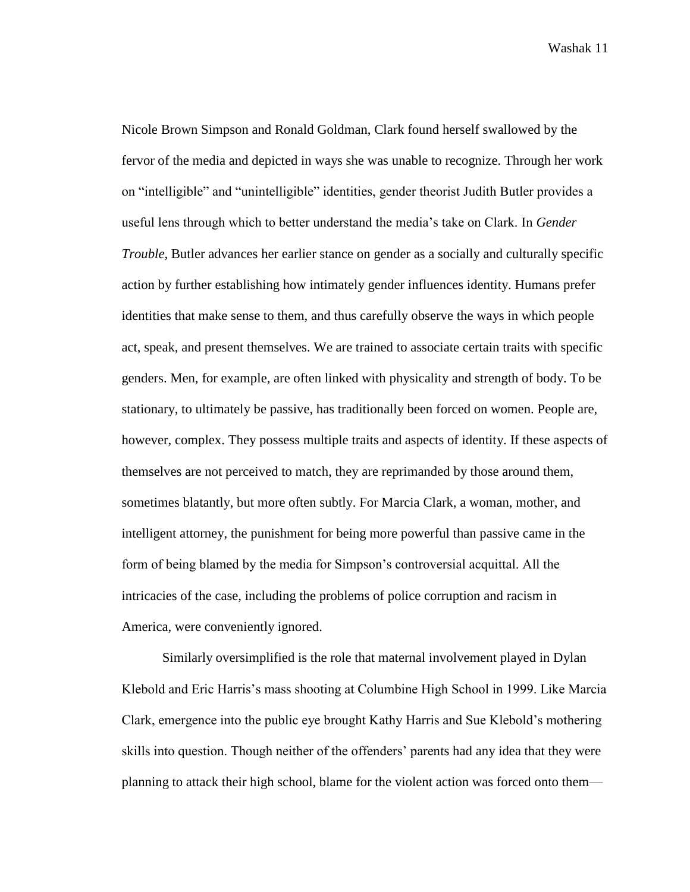Nicole Brown Simpson and Ronald Goldman, Clark found herself swallowed by the fervor of the media and depicted in ways she was unable to recognize. Through her work on "intelligible" and "unintelligible" identities, gender theorist Judith Butler provides a useful lens through which to better understand the media's take on Clark. In *Gender Trouble*, Butler advances her earlier stance on gender as a socially and culturally specific action by further establishing how intimately gender influences identity. Humans prefer identities that make sense to them, and thus carefully observe the ways in which people act, speak, and present themselves. We are trained to associate certain traits with specific genders. Men, for example, are often linked with physicality and strength of body. To be stationary, to ultimately be passive, has traditionally been forced on women. People are, however, complex. They possess multiple traits and aspects of identity. If these aspects of themselves are not perceived to match, they are reprimanded by those around them, sometimes blatantly, but more often subtly. For Marcia Clark, a woman, mother, and intelligent attorney, the punishment for being more powerful than passive came in the form of being blamed by the media for Simpson's controversial acquittal. All the intricacies of the case, including the problems of police corruption and racism in America, were conveniently ignored.

Similarly oversimplified is the role that maternal involvement played in Dylan Klebold and Eric Harris's mass shooting at Columbine High School in 1999. Like Marcia Clark, emergence into the public eye brought Kathy Harris and Sue Klebold's mothering skills into question. Though neither of the offenders' parents had any idea that they were planning to attack their high school, blame for the violent action was forced onto them—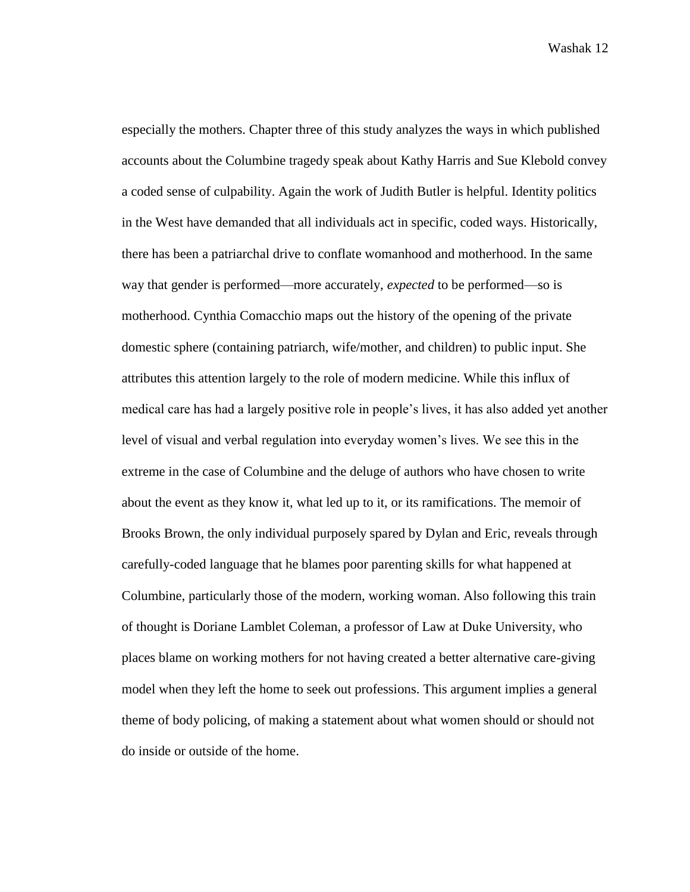especially the mothers. Chapter three of this study analyzes the ways in which published accounts about the Columbine tragedy speak about Kathy Harris and Sue Klebold convey a coded sense of culpability. Again the work of Judith Butler is helpful. Identity politics in the West have demanded that all individuals act in specific, coded ways. Historically, there has been a patriarchal drive to conflate womanhood and motherhood. In the same way that gender is performed—more accurately, *expected* to be performed—so is motherhood. Cynthia Comacchio maps out the history of the opening of the private domestic sphere (containing patriarch, wife/mother, and children) to public input. She attributes this attention largely to the role of modern medicine. While this influx of medical care has had a largely positive role in people's lives, it has also added yet another level of visual and verbal regulation into everyday women's lives. We see this in the extreme in the case of Columbine and the deluge of authors who have chosen to write about the event as they know it, what led up to it, or its ramifications. The memoir of Brooks Brown, the only individual purposely spared by Dylan and Eric, reveals through carefully-coded language that he blames poor parenting skills for what happened at Columbine, particularly those of the modern, working woman. Also following this train of thought is Doriane Lamblet Coleman, a professor of Law at Duke University, who places blame on working mothers for not having created a better alternative care-giving model when they left the home to seek out professions. This argument implies a general theme of body policing, of making a statement about what women should or should not do inside or outside of the home.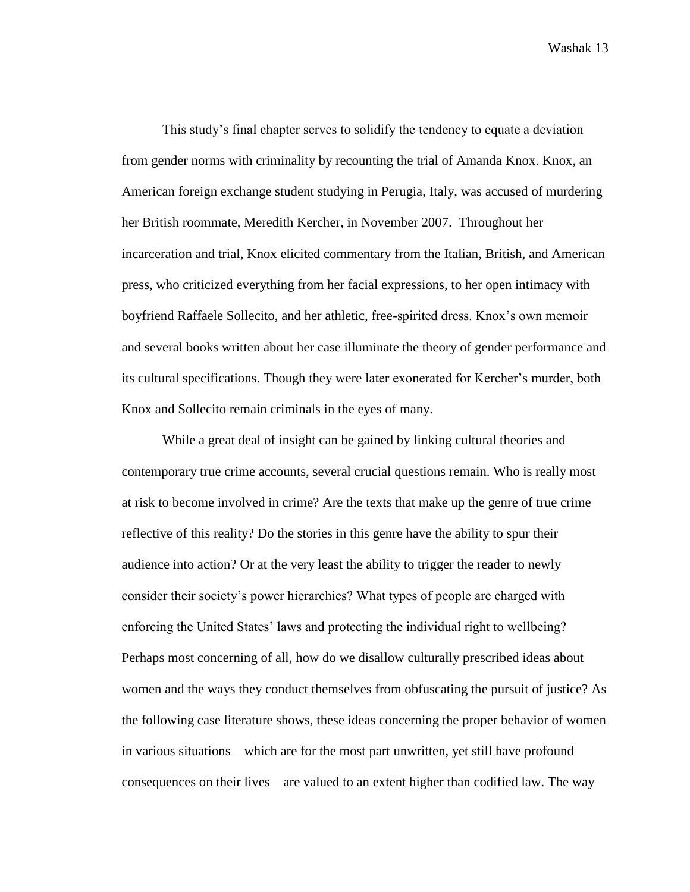This study's final chapter serves to solidify the tendency to equate a deviation from gender norms with criminality by recounting the trial of Amanda Knox. Knox, an American foreign exchange student studying in Perugia, Italy, was accused of murdering her British roommate, Meredith Kercher, in November 2007. Throughout her incarceration and trial, Knox elicited commentary from the Italian, British, and American press, who criticized everything from her facial expressions, to her open intimacy with boyfriend Raffaele Sollecito, and her athletic, free-spirited dress. Knox's own memoir and several books written about her case illuminate the theory of gender performance and its cultural specifications. Though they were later exonerated for Kercher's murder, both Knox and Sollecito remain criminals in the eyes of many.

While a great deal of insight can be gained by linking cultural theories and contemporary true crime accounts, several crucial questions remain. Who is really most at risk to become involved in crime? Are the texts that make up the genre of true crime reflective of this reality? Do the stories in this genre have the ability to spur their audience into action? Or at the very least the ability to trigger the reader to newly consider their society's power hierarchies? What types of people are charged with enforcing the United States' laws and protecting the individual right to wellbeing? Perhaps most concerning of all, how do we disallow culturally prescribed ideas about women and the ways they conduct themselves from obfuscating the pursuit of justice? As the following case literature shows, these ideas concerning the proper behavior of women in various situations—which are for the most part unwritten, yet still have profound consequences on their lives—are valued to an extent higher than codified law. The way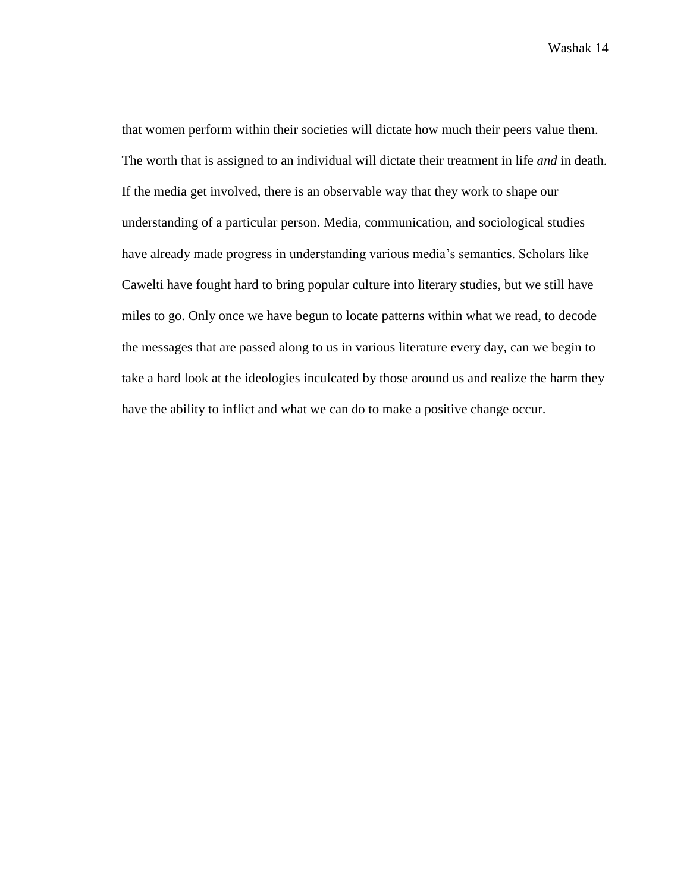that women perform within their societies will dictate how much their peers value them. The worth that is assigned to an individual will dictate their treatment in life *and* in death. If the media get involved, there is an observable way that they work to shape our understanding of a particular person. Media, communication, and sociological studies have already made progress in understanding various media's semantics. Scholars like Cawelti have fought hard to bring popular culture into literary studies, but we still have miles to go. Only once we have begun to locate patterns within what we read, to decode the messages that are passed along to us in various literature every day, can we begin to take a hard look at the ideologies inculcated by those around us and realize the harm they have the ability to inflict and what we can do to make a positive change occur.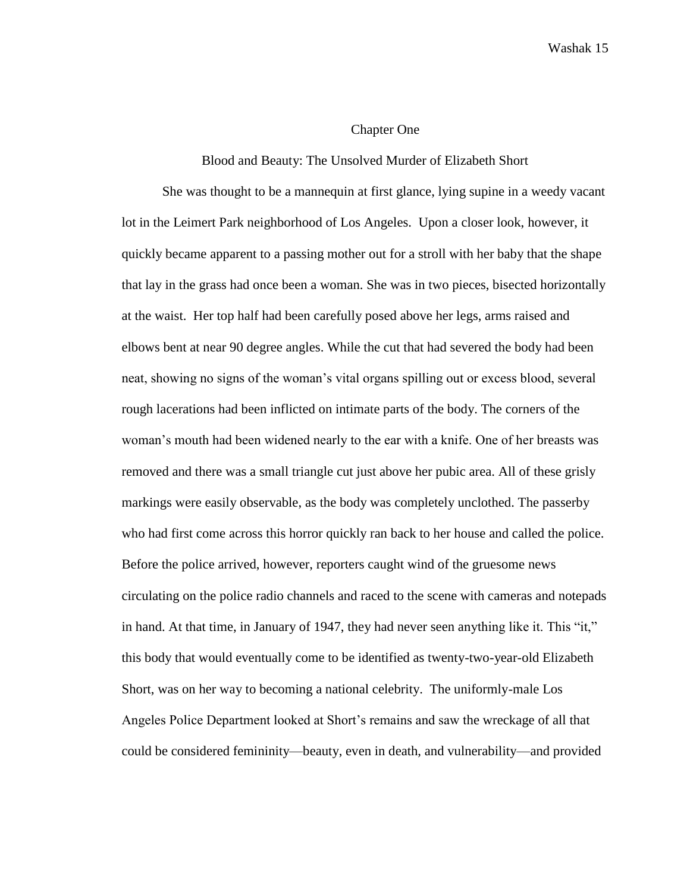## Chapter One

## Blood and Beauty: The Unsolved Murder of Elizabeth Short

She was thought to be a mannequin at first glance, lying supine in a weedy vacant lot in the Leimert Park neighborhood of Los Angeles. Upon a closer look, however, it quickly became apparent to a passing mother out for a stroll with her baby that the shape that lay in the grass had once been a woman. She was in two pieces, bisected horizontally at the waist. Her top half had been carefully posed above her legs, arms raised and elbows bent at near 90 degree angles. While the cut that had severed the body had been neat, showing no signs of the woman's vital organs spilling out or excess blood, several rough lacerations had been inflicted on intimate parts of the body. The corners of the woman's mouth had been widened nearly to the ear with a knife. One of her breasts was removed and there was a small triangle cut just above her pubic area. All of these grisly markings were easily observable, as the body was completely unclothed. The passerby who had first come across this horror quickly ran back to her house and called the police. Before the police arrived, however, reporters caught wind of the gruesome news circulating on the police radio channels and raced to the scene with cameras and notepads in hand. At that time, in January of 1947, they had never seen anything like it. This "it," this body that would eventually come to be identified as twenty-two-year-old Elizabeth Short, was on her way to becoming a national celebrity. The uniformly-male Los Angeles Police Department looked at Short's remains and saw the wreckage of all that could be considered femininity—beauty, even in death, and vulnerability—and provided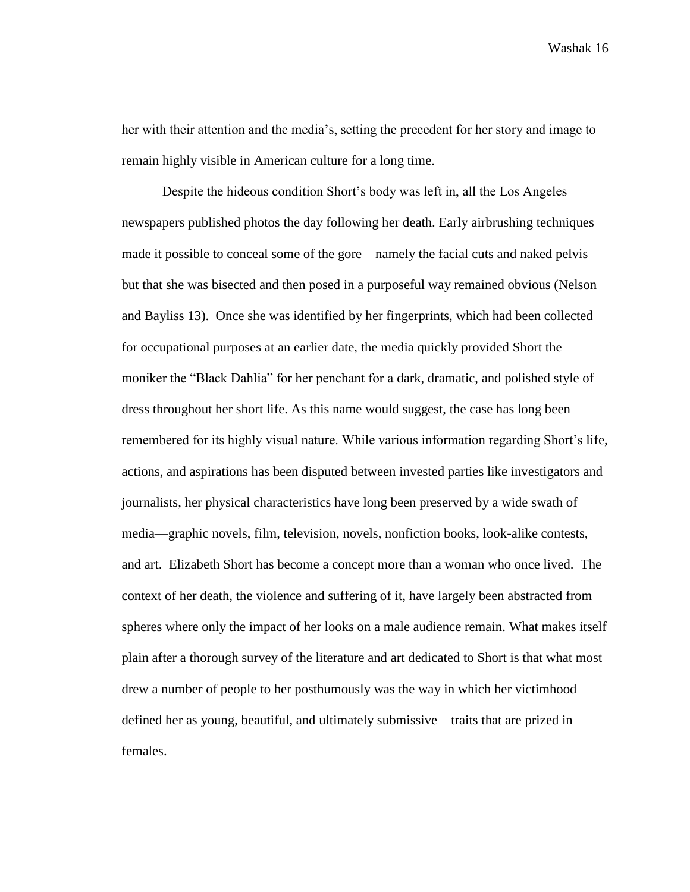her with their attention and the media's, setting the precedent for her story and image to remain highly visible in American culture for a long time.

Despite the hideous condition Short's body was left in, all the Los Angeles newspapers published photos the day following her death. Early airbrushing techniques made it possible to conceal some of the gore—namely the facial cuts and naked pelvis but that she was bisected and then posed in a purposeful way remained obvious (Nelson and Bayliss 13). Once she was identified by her fingerprints, which had been collected for occupational purposes at an earlier date, the media quickly provided Short the moniker the "Black Dahlia" for her penchant for a dark, dramatic, and polished style of dress throughout her short life. As this name would suggest, the case has long been remembered for its highly visual nature. While various information regarding Short's life, actions, and aspirations has been disputed between invested parties like investigators and journalists, her physical characteristics have long been preserved by a wide swath of media—graphic novels, film, television, novels, nonfiction books, look-alike contests, and art. Elizabeth Short has become a concept more than a woman who once lived. The context of her death, the violence and suffering of it, have largely been abstracted from spheres where only the impact of her looks on a male audience remain. What makes itself plain after a thorough survey of the literature and art dedicated to Short is that what most drew a number of people to her posthumously was the way in which her victimhood defined her as young, beautiful, and ultimately submissive—traits that are prized in females.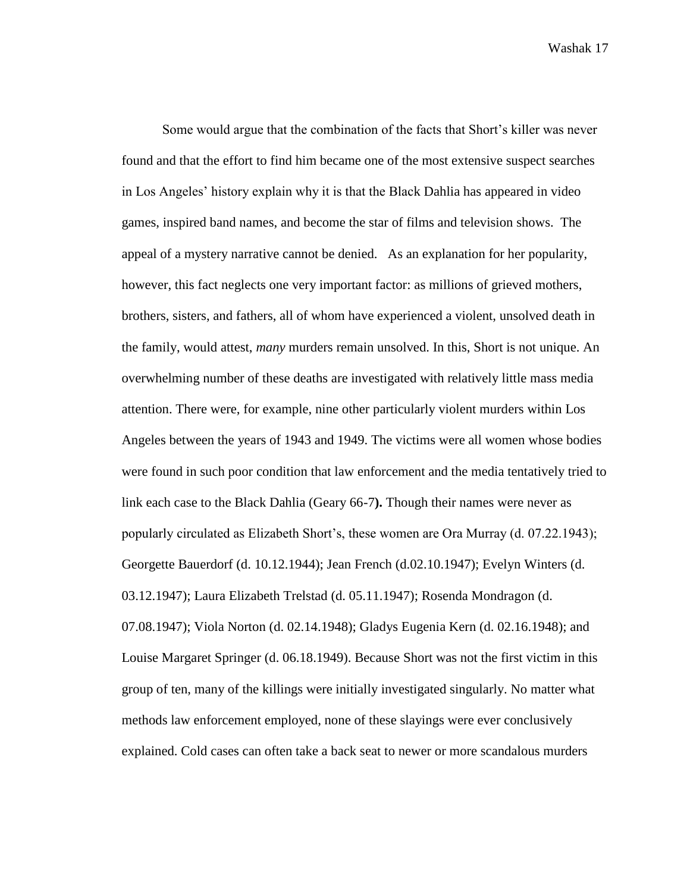Some would argue that the combination of the facts that Short's killer was never found and that the effort to find him became one of the most extensive suspect searches in Los Angeles' history explain why it is that the Black Dahlia has appeared in video games, inspired band names, and become the star of films and television shows. The appeal of a mystery narrative cannot be denied. As an explanation for her popularity, however, this fact neglects one very important factor: as millions of grieved mothers, brothers, sisters, and fathers, all of whom have experienced a violent, unsolved death in the family, would attest, *many* murders remain unsolved. In this, Short is not unique. An overwhelming number of these deaths are investigated with relatively little mass media attention. There were, for example, nine other particularly violent murders within Los Angeles between the years of 1943 and 1949. The victims were all women whose bodies were found in such poor condition that law enforcement and the media tentatively tried to link each case to the Black Dahlia (Geary 66-7**).** Though their names were never as popularly circulated as Elizabeth Short's, these women are Ora Murray (d. 07.22.1943); Georgette Bauerdorf (d. 10.12.1944); Jean French (d.02.10.1947); Evelyn Winters (d. 03.12.1947); Laura Elizabeth Trelstad (d. 05.11.1947); Rosenda Mondragon (d. 07.08.1947); Viola Norton (d. 02.14.1948); Gladys Eugenia Kern (d. 02.16.1948); and Louise Margaret Springer (d. 06.18.1949). Because Short was not the first victim in this group of ten, many of the killings were initially investigated singularly. No matter what methods law enforcement employed, none of these slayings were ever conclusively explained. Cold cases can often take a back seat to newer or more scandalous murders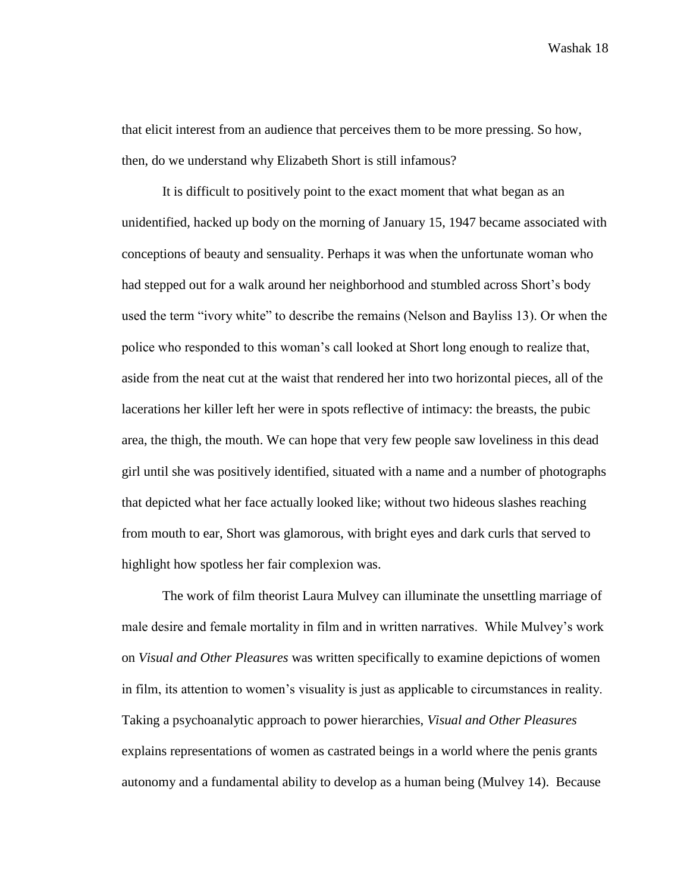that elicit interest from an audience that perceives them to be more pressing. So how, then, do we understand why Elizabeth Short is still infamous?

It is difficult to positively point to the exact moment that what began as an unidentified, hacked up body on the morning of January 15, 1947 became associated with conceptions of beauty and sensuality. Perhaps it was when the unfortunate woman who had stepped out for a walk around her neighborhood and stumbled across Short's body used the term "ivory white" to describe the remains (Nelson and Bayliss 13). Or when the police who responded to this woman's call looked at Short long enough to realize that, aside from the neat cut at the waist that rendered her into two horizontal pieces, all of the lacerations her killer left her were in spots reflective of intimacy: the breasts, the pubic area, the thigh, the mouth. We can hope that very few people saw loveliness in this dead girl until she was positively identified, situated with a name and a number of photographs that depicted what her face actually looked like; without two hideous slashes reaching from mouth to ear, Short was glamorous, with bright eyes and dark curls that served to highlight how spotless her fair complexion was.

The work of film theorist Laura Mulvey can illuminate the unsettling marriage of male desire and female mortality in film and in written narratives. While Mulvey's work on *Visual and Other Pleasures* was written specifically to examine depictions of women in film, its attention to women's visuality is just as applicable to circumstances in reality. Taking a psychoanalytic approach to power hierarchies, *Visual and Other Pleasures*  explains representations of women as castrated beings in a world where the penis grants autonomy and a fundamental ability to develop as a human being (Mulvey 14). Because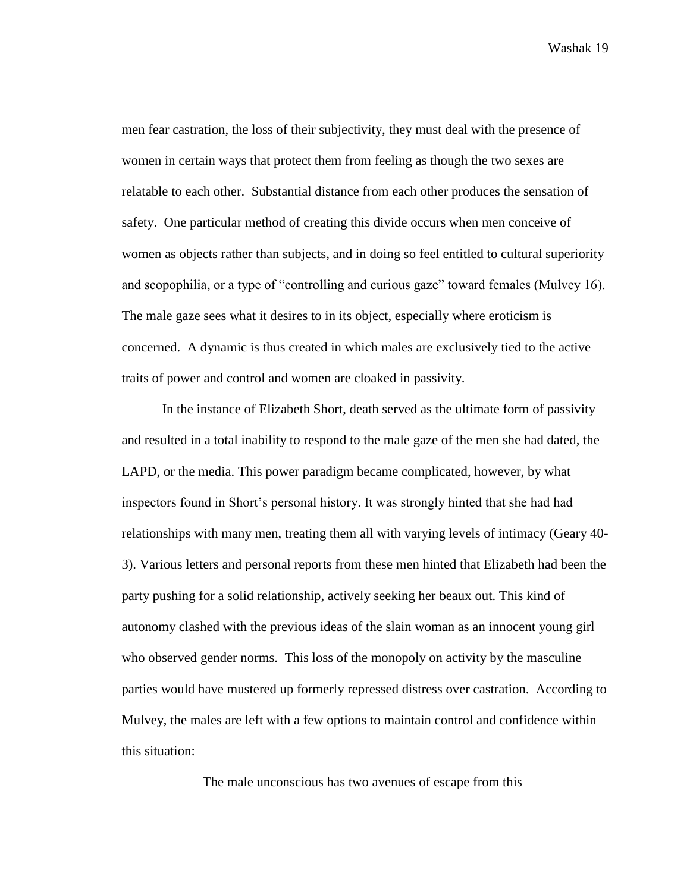men fear castration, the loss of their subjectivity, they must deal with the presence of women in certain ways that protect them from feeling as though the two sexes are relatable to each other. Substantial distance from each other produces the sensation of safety. One particular method of creating this divide occurs when men conceive of women as objects rather than subjects, and in doing so feel entitled to cultural superiority and scopophilia, or a type of "controlling and curious gaze" toward females (Mulvey 16). The male gaze sees what it desires to in its object, especially where eroticism is concerned. A dynamic is thus created in which males are exclusively tied to the active traits of power and control and women are cloaked in passivity.

In the instance of Elizabeth Short, death served as the ultimate form of passivity and resulted in a total inability to respond to the male gaze of the men she had dated, the LAPD, or the media. This power paradigm became complicated, however, by what inspectors found in Short's personal history. It was strongly hinted that she had had relationships with many men, treating them all with varying levels of intimacy (Geary 40- 3). Various letters and personal reports from these men hinted that Elizabeth had been the party pushing for a solid relationship, actively seeking her beaux out. This kind of autonomy clashed with the previous ideas of the slain woman as an innocent young girl who observed gender norms. This loss of the monopoly on activity by the masculine parties would have mustered up formerly repressed distress over castration. According to Mulvey, the males are left with a few options to maintain control and confidence within this situation:

The male unconscious has two avenues of escape from this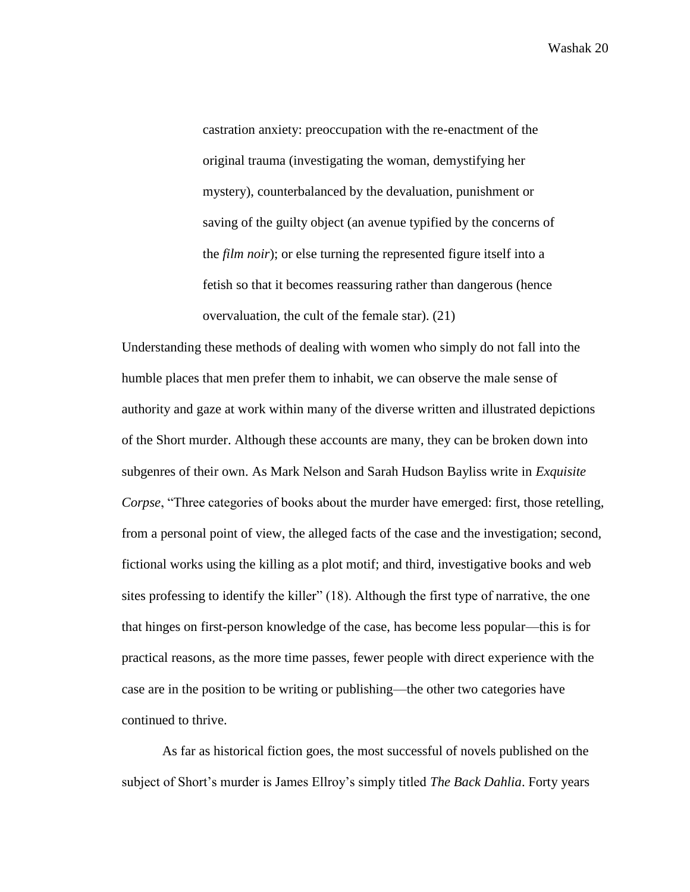castration anxiety: preoccupation with the re-enactment of the original trauma (investigating the woman, demystifying her mystery), counterbalanced by the devaluation, punishment or saving of the guilty object (an avenue typified by the concerns of the *film noir*); or else turning the represented figure itself into a fetish so that it becomes reassuring rather than dangerous (hence overvaluation, the cult of the female star). (21)

Understanding these methods of dealing with women who simply do not fall into the humble places that men prefer them to inhabit, we can observe the male sense of authority and gaze at work within many of the diverse written and illustrated depictions of the Short murder. Although these accounts are many, they can be broken down into subgenres of their own. As Mark Nelson and Sarah Hudson Bayliss write in *Exquisite Corpse*, "Three categories of books about the murder have emerged: first, those retelling, from a personal point of view, the alleged facts of the case and the investigation; second, fictional works using the killing as a plot motif; and third, investigative books and web sites professing to identify the killer" (18). Although the first type of narrative, the one that hinges on first-person knowledge of the case, has become less popular—this is for practical reasons, as the more time passes, fewer people with direct experience with the case are in the position to be writing or publishing—the other two categories have continued to thrive.

As far as historical fiction goes, the most successful of novels published on the subject of Short's murder is James Ellroy's simply titled *The Back Dahlia*. Forty years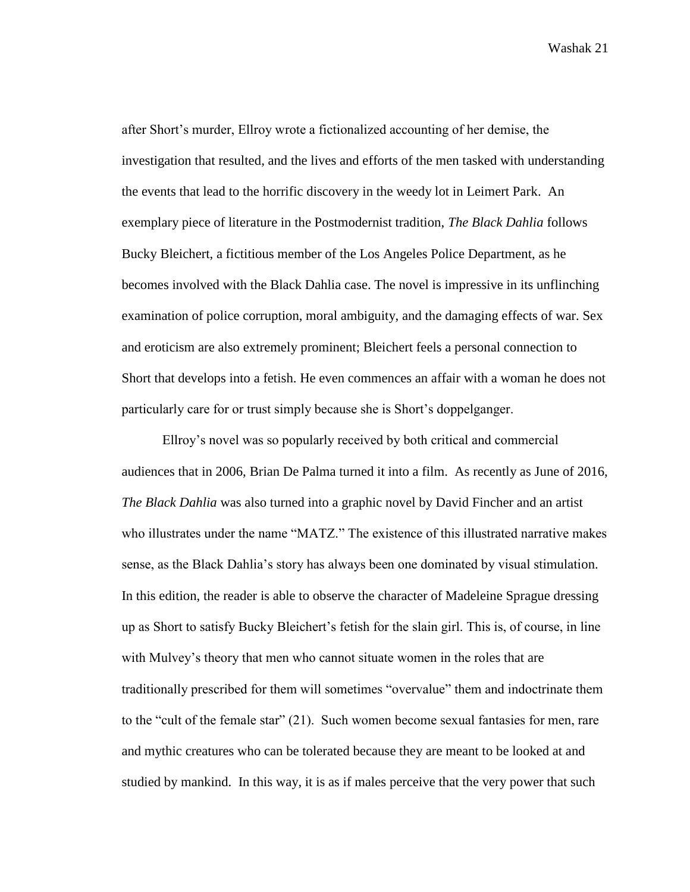after Short's murder, Ellroy wrote a fictionalized accounting of her demise, the investigation that resulted, and the lives and efforts of the men tasked with understanding the events that lead to the horrific discovery in the weedy lot in Leimert Park. An exemplary piece of literature in the Postmodernist tradition, *The Black Dahlia* follows Bucky Bleichert, a fictitious member of the Los Angeles Police Department, as he becomes involved with the Black Dahlia case. The novel is impressive in its unflinching examination of police corruption, moral ambiguity, and the damaging effects of war. Sex and eroticism are also extremely prominent; Bleichert feels a personal connection to Short that develops into a fetish. He even commences an affair with a woman he does not particularly care for or trust simply because she is Short's doppelganger.

Ellroy's novel was so popularly received by both critical and commercial audiences that in 2006, Brian De Palma turned it into a film. As recently as June of 2016, *The Black Dahlia* was also turned into a graphic novel by David Fincher and an artist who illustrates under the name "MATZ." The existence of this illustrated narrative makes sense, as the Black Dahlia's story has always been one dominated by visual stimulation. In this edition, the reader is able to observe the character of Madeleine Sprague dressing up as Short to satisfy Bucky Bleichert's fetish for the slain girl. This is, of course, in line with Mulvey's theory that men who cannot situate women in the roles that are traditionally prescribed for them will sometimes "overvalue" them and indoctrinate them to the "cult of the female star" (21). Such women become sexual fantasies for men, rare and mythic creatures who can be tolerated because they are meant to be looked at and studied by mankind. In this way, it is as if males perceive that the very power that such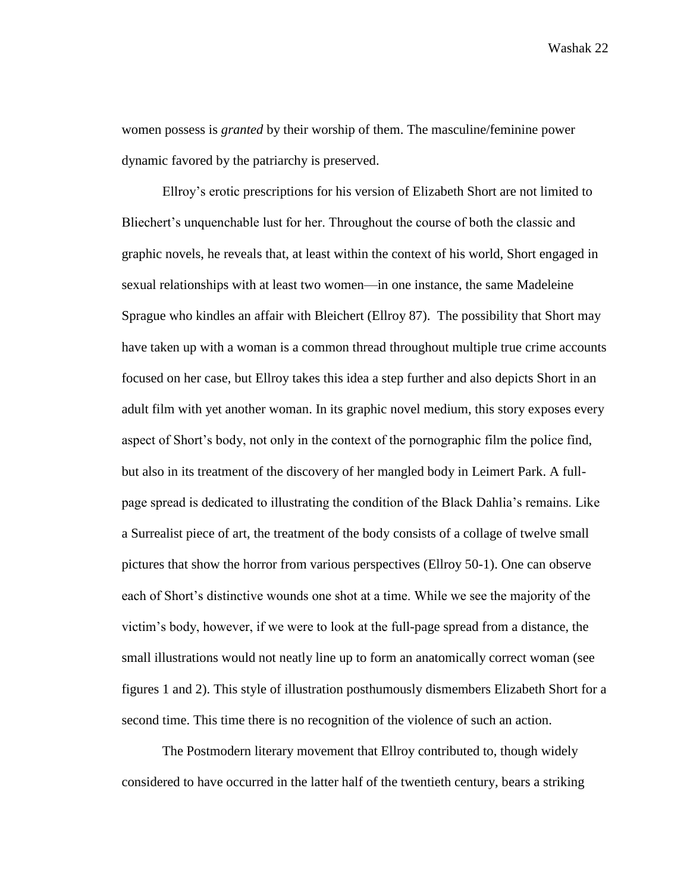women possess is *granted* by their worship of them. The masculine/feminine power dynamic favored by the patriarchy is preserved.

Ellroy's erotic prescriptions for his version of Elizabeth Short are not limited to Bliechert's unquenchable lust for her. Throughout the course of both the classic and graphic novels, he reveals that, at least within the context of his world, Short engaged in sexual relationships with at least two women—in one instance, the same Madeleine Sprague who kindles an affair with Bleichert (Ellroy 87). The possibility that Short may have taken up with a woman is a common thread throughout multiple true crime accounts focused on her case, but Ellroy takes this idea a step further and also depicts Short in an adult film with yet another woman. In its graphic novel medium, this story exposes every aspect of Short's body, not only in the context of the pornographic film the police find, but also in its treatment of the discovery of her mangled body in Leimert Park. A fullpage spread is dedicated to illustrating the condition of the Black Dahlia's remains. Like a Surrealist piece of art, the treatment of the body consists of a collage of twelve small pictures that show the horror from various perspectives (Ellroy 50-1). One can observe each of Short's distinctive wounds one shot at a time. While we see the majority of the victim's body, however, if we were to look at the full-page spread from a distance, the small illustrations would not neatly line up to form an anatomically correct woman (see figures 1 and 2). This style of illustration posthumously dismembers Elizabeth Short for a second time. This time there is no recognition of the violence of such an action.

The Postmodern literary movement that Ellroy contributed to, though widely considered to have occurred in the latter half of the twentieth century, bears a striking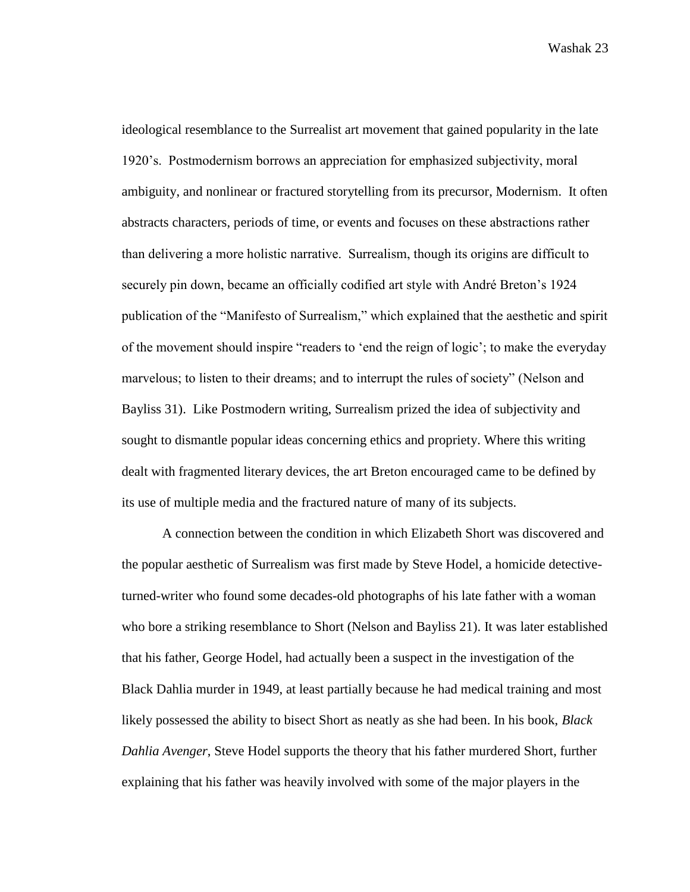ideological resemblance to the Surrealist art movement that gained popularity in the late 1920's. Postmodernism borrows an appreciation for emphasized subjectivity, moral ambiguity, and nonlinear or fractured storytelling from its precursor, Modernism. It often abstracts characters, periods of time, or events and focuses on these abstractions rather than delivering a more holistic narrative. Surrealism, though its origins are difficult to securely pin down, became an officially codified art style with André Breton's 1924 publication of the "Manifesto of Surrealism," which explained that the aesthetic and spirit of the movement should inspire "readers to 'end the reign of logic'; to make the everyday marvelous; to listen to their dreams; and to interrupt the rules of society" (Nelson and Bayliss 31). Like Postmodern writing, Surrealism prized the idea of subjectivity and sought to dismantle popular ideas concerning ethics and propriety. Where this writing dealt with fragmented literary devices, the art Breton encouraged came to be defined by its use of multiple media and the fractured nature of many of its subjects.

A connection between the condition in which Elizabeth Short was discovered and the popular aesthetic of Surrealism was first made by Steve Hodel, a homicide detectiveturned-writer who found some decades-old photographs of his late father with a woman who bore a striking resemblance to Short (Nelson and Bayliss 21). It was later established that his father, George Hodel, had actually been a suspect in the investigation of the Black Dahlia murder in 1949, at least partially because he had medical training and most likely possessed the ability to bisect Short as neatly as she had been. In his book, *Black Dahlia Avenger*, Steve Hodel supports the theory that his father murdered Short, further explaining that his father was heavily involved with some of the major players in the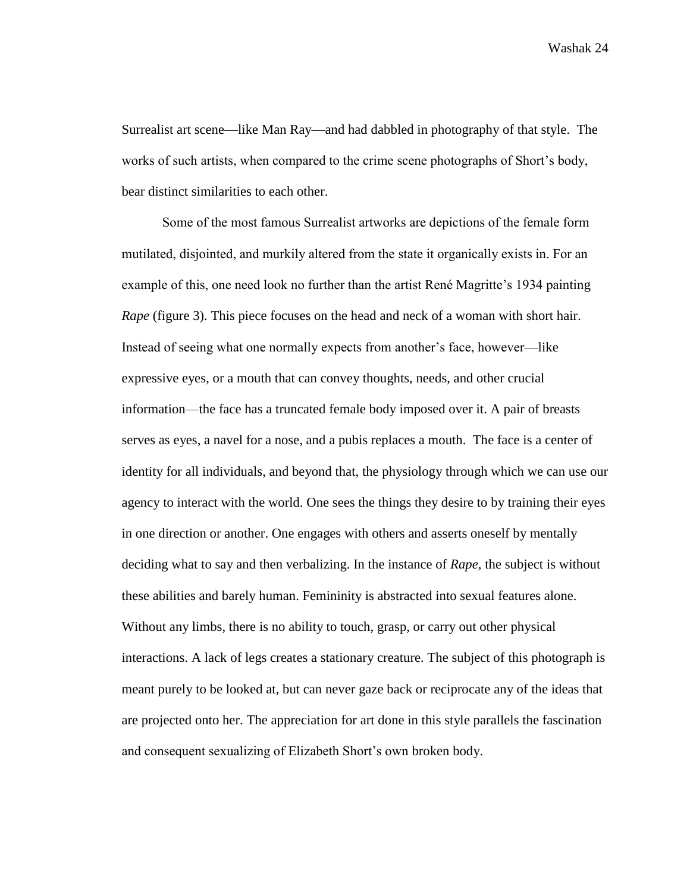Surrealist art scene—like Man Ray—and had dabbled in photography of that style. The works of such artists, when compared to the crime scene photographs of Short's body, bear distinct similarities to each other.

Some of the most famous Surrealist artworks are depictions of the female form mutilated, disjointed, and murkily altered from the state it organically exists in. For an example of this, one need look no further than the artist René Magritte's 1934 painting *Rape* (figure 3). This piece focuses on the head and neck of a woman with short hair. Instead of seeing what one normally expects from another's face, however—like expressive eyes, or a mouth that can convey thoughts, needs, and other crucial information—the face has a truncated female body imposed over it. A pair of breasts serves as eyes, a navel for a nose, and a pubis replaces a mouth. The face is a center of identity for all individuals, and beyond that, the physiology through which we can use our agency to interact with the world. One sees the things they desire to by training their eyes in one direction or another. One engages with others and asserts oneself by mentally deciding what to say and then verbalizing. In the instance of *Rape*, the subject is without these abilities and barely human. Femininity is abstracted into sexual features alone. Without any limbs, there is no ability to touch, grasp, or carry out other physical interactions. A lack of legs creates a stationary creature. The subject of this photograph is meant purely to be looked at, but can never gaze back or reciprocate any of the ideas that are projected onto her. The appreciation for art done in this style parallels the fascination and consequent sexualizing of Elizabeth Short's own broken body.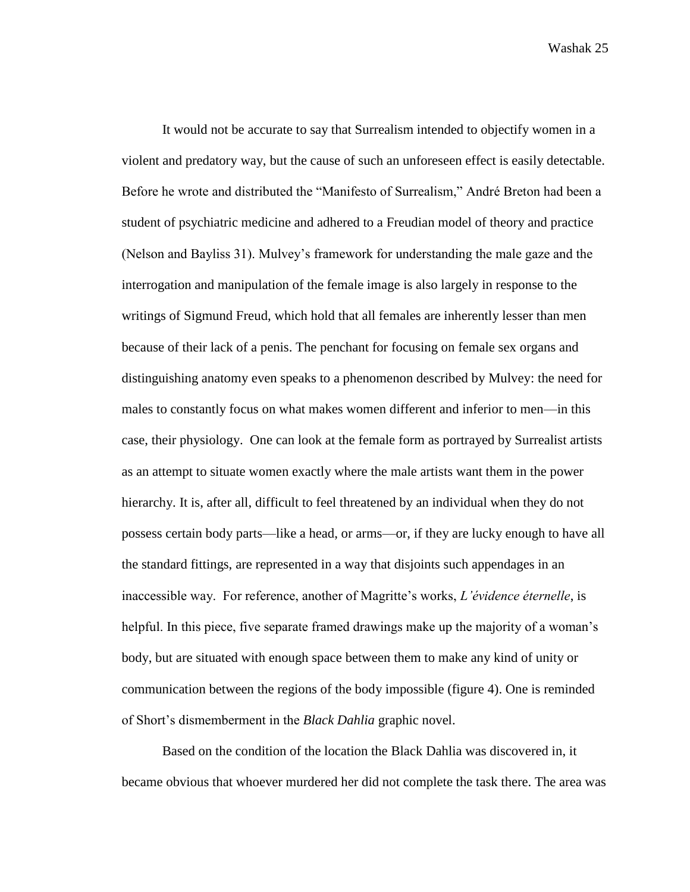It would not be accurate to say that Surrealism intended to objectify women in a violent and predatory way, but the cause of such an unforeseen effect is easily detectable. Before he wrote and distributed the "Manifesto of Surrealism," André Breton had been a student of psychiatric medicine and adhered to a Freudian model of theory and practice (Nelson and Bayliss 31). Mulvey's framework for understanding the male gaze and the interrogation and manipulation of the female image is also largely in response to the writings of Sigmund Freud, which hold that all females are inherently lesser than men because of their lack of a penis. The penchant for focusing on female sex organs and distinguishing anatomy even speaks to a phenomenon described by Mulvey: the need for males to constantly focus on what makes women different and inferior to men—in this case, their physiology. One can look at the female form as portrayed by Surrealist artists as an attempt to situate women exactly where the male artists want them in the power hierarchy. It is, after all, difficult to feel threatened by an individual when they do not possess certain body parts—like a head, or arms—or, if they are lucky enough to have all the standard fittings, are represented in a way that disjoints such appendages in an inaccessible way. For reference, another of Magritte's works, *L'évidence éternelle*, is helpful. In this piece, five separate framed drawings make up the majority of a woman's body, but are situated with enough space between them to make any kind of unity or communication between the regions of the body impossible (figure 4). One is reminded of Short's dismemberment in the *Black Dahlia* graphic novel.

Based on the condition of the location the Black Dahlia was discovered in, it became obvious that whoever murdered her did not complete the task there. The area was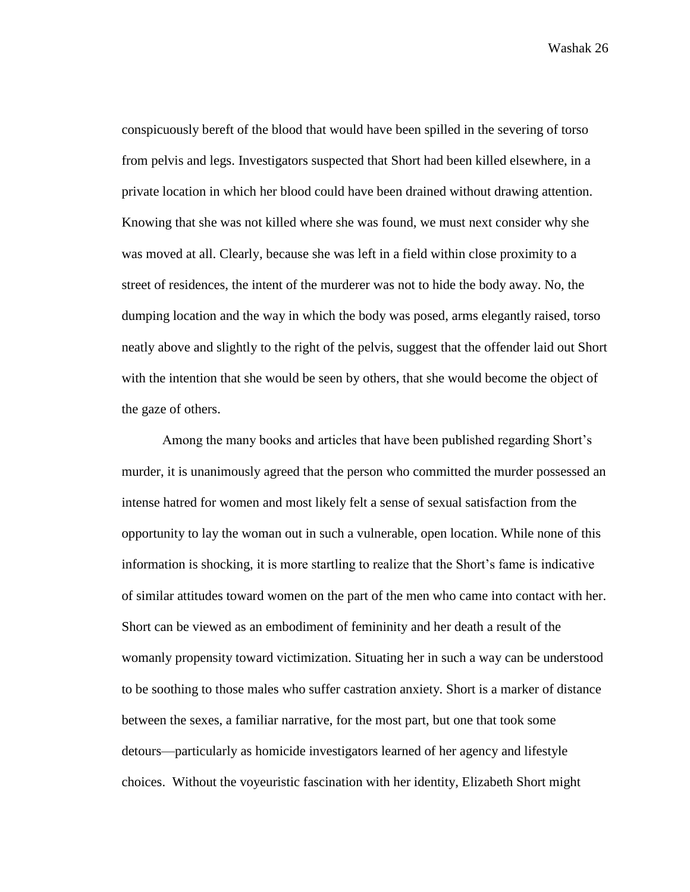conspicuously bereft of the blood that would have been spilled in the severing of torso from pelvis and legs. Investigators suspected that Short had been killed elsewhere, in a private location in which her blood could have been drained without drawing attention. Knowing that she was not killed where she was found, we must next consider why she was moved at all. Clearly, because she was left in a field within close proximity to a street of residences, the intent of the murderer was not to hide the body away. No, the dumping location and the way in which the body was posed, arms elegantly raised, torso neatly above and slightly to the right of the pelvis, suggest that the offender laid out Short with the intention that she would be seen by others, that she would become the object of the gaze of others.

Among the many books and articles that have been published regarding Short's murder, it is unanimously agreed that the person who committed the murder possessed an intense hatred for women and most likely felt a sense of sexual satisfaction from the opportunity to lay the woman out in such a vulnerable, open location. While none of this information is shocking, it is more startling to realize that the Short's fame is indicative of similar attitudes toward women on the part of the men who came into contact with her. Short can be viewed as an embodiment of femininity and her death a result of the womanly propensity toward victimization. Situating her in such a way can be understood to be soothing to those males who suffer castration anxiety. Short is a marker of distance between the sexes, a familiar narrative, for the most part, but one that took some detours—particularly as homicide investigators learned of her agency and lifestyle choices. Without the voyeuristic fascination with her identity, Elizabeth Short might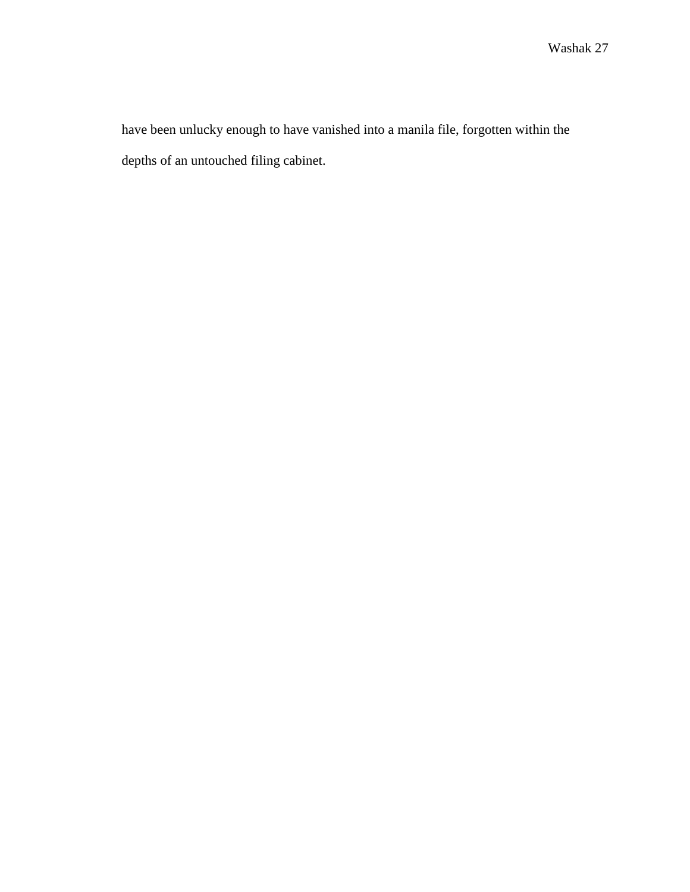have been unlucky enough to have vanished into a manila file, forgotten within the depths of an untouched filing cabinet.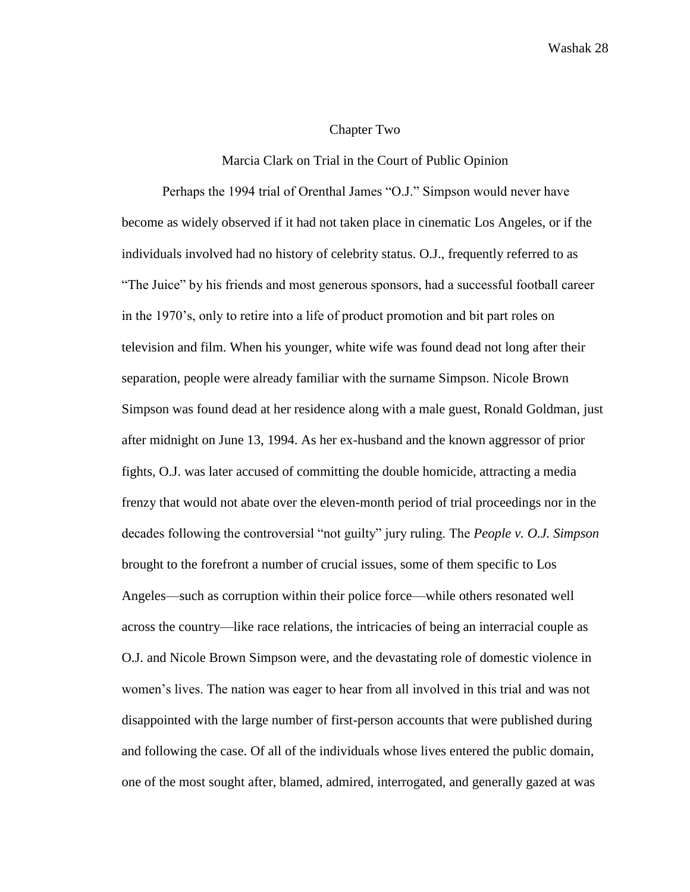## Chapter Two

## Marcia Clark on Trial in the Court of Public Opinion

Perhaps the 1994 trial of Orenthal James "O.J." Simpson would never have become as widely observed if it had not taken place in cinematic Los Angeles, or if the individuals involved had no history of celebrity status. O.J., frequently referred to as "The Juice" by his friends and most generous sponsors, had a successful football career in the 1970's, only to retire into a life of product promotion and bit part roles on television and film. When his younger, white wife was found dead not long after their separation, people were already familiar with the surname Simpson. Nicole Brown Simpson was found dead at her residence along with a male guest, Ronald Goldman, just after midnight on June 13, 1994. As her ex-husband and the known aggressor of prior fights, O.J. was later accused of committing the double homicide, attracting a media frenzy that would not abate over the eleven-month period of trial proceedings nor in the decades following the controversial "not guilty" jury ruling. The *People v. O.J. Simpson* brought to the forefront a number of crucial issues, some of them specific to Los Angeles—such as corruption within their police force—while others resonated well across the country—like race relations, the intricacies of being an interracial couple as O.J. and Nicole Brown Simpson were, and the devastating role of domestic violence in women's lives. The nation was eager to hear from all involved in this trial and was not disappointed with the large number of first-person accounts that were published during and following the case. Of all of the individuals whose lives entered the public domain, one of the most sought after, blamed, admired, interrogated, and generally gazed at was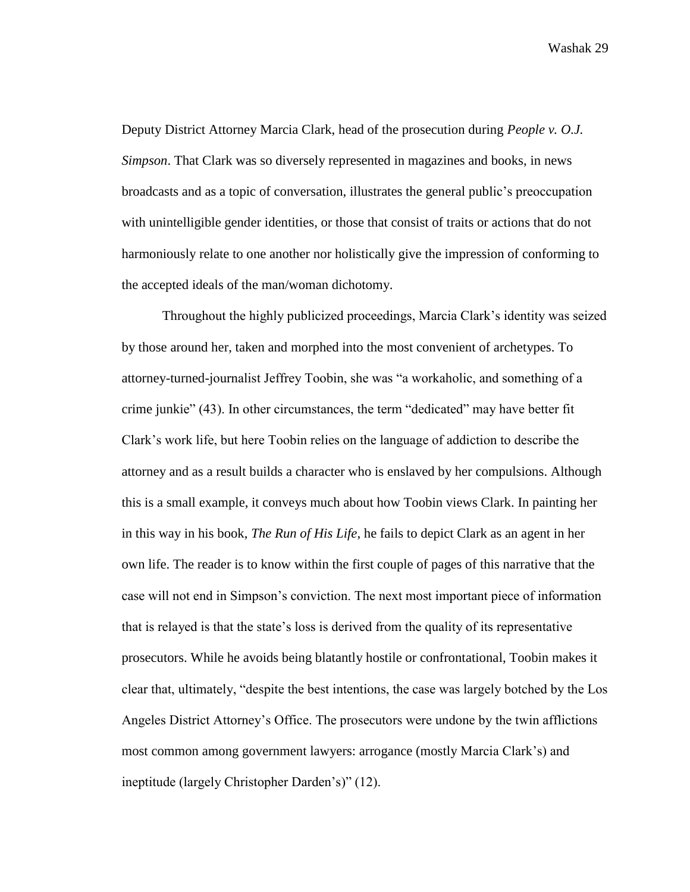Deputy District Attorney Marcia Clark, head of the prosecution during *People v. O.J. Simpson*. That Clark was so diversely represented in magazines and books, in news broadcasts and as a topic of conversation, illustrates the general public's preoccupation with unintelligible gender identities, or those that consist of traits or actions that do not harmoniously relate to one another nor holistically give the impression of conforming to the accepted ideals of the man/woman dichotomy.

Throughout the highly publicized proceedings, Marcia Clark's identity was seized by those around her, taken and morphed into the most convenient of archetypes. To attorney-turned-journalist Jeffrey Toobin, she was "a workaholic, and something of a crime junkie" (43). In other circumstances, the term "dedicated" may have better fit Clark's work life, but here Toobin relies on the language of addiction to describe the attorney and as a result builds a character who is enslaved by her compulsions. Although this is a small example, it conveys much about how Toobin views Clark. In painting her in this way in his book, *The Run of His Life*, he fails to depict Clark as an agent in her own life. The reader is to know within the first couple of pages of this narrative that the case will not end in Simpson's conviction. The next most important piece of information that is relayed is that the state's loss is derived from the quality of its representative prosecutors. While he avoids being blatantly hostile or confrontational, Toobin makes it clear that, ultimately, "despite the best intentions, the case was largely botched by the Los Angeles District Attorney's Office. The prosecutors were undone by the twin afflictions most common among government lawyers: arrogance (mostly Marcia Clark's) and ineptitude (largely Christopher Darden's)" (12).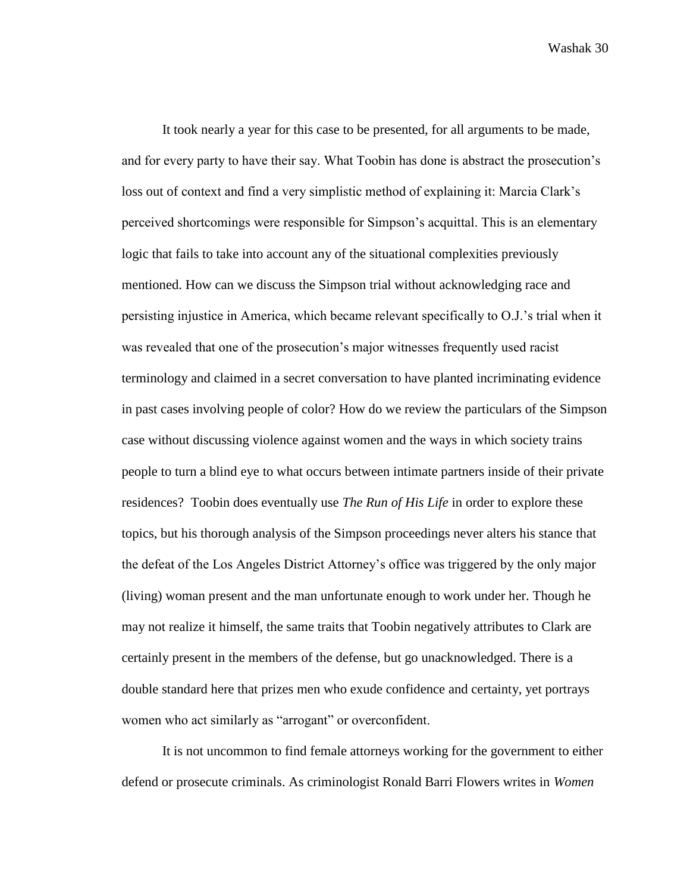It took nearly a year for this case to be presented, for all arguments to be made, and for every party to have their say. What Toobin has done is abstract the prosecution's loss out of context and find a very simplistic method of explaining it: Marcia Clark's perceived shortcomings were responsible for Simpson's acquittal. This is an elementary logic that fails to take into account any of the situational complexities previously mentioned. How can we discuss the Simpson trial without acknowledging race and persisting injustice in America, which became relevant specifically to O.J.'s trial when it was revealed that one of the prosecution's major witnesses frequently used racist terminology and claimed in a secret conversation to have planted incriminating evidence in past cases involving people of color? How do we review the particulars of the Simpson case without discussing violence against women and the ways in which society trains people to turn a blind eye to what occurs between intimate partners inside of their private residences? Toobin does eventually use *The Run of His Life* in order to explore these topics, but his thorough analysis of the Simpson proceedings never alters his stance that the defeat of the Los Angeles District Attorney's office was triggered by the only major (living) woman present and the man unfortunate enough to work under her. Though he may not realize it himself, the same traits that Toobin negatively attributes to Clark are certainly present in the members of the defense, but go unacknowledged. There is a double standard here that prizes men who exude confidence and certainty, yet portrays women who act similarly as "arrogant" or overconfident.

It is not uncommon to find female attorneys working for the government to either defend or prosecute criminals. As criminologist Ronald Barri Flowers writes in *Women*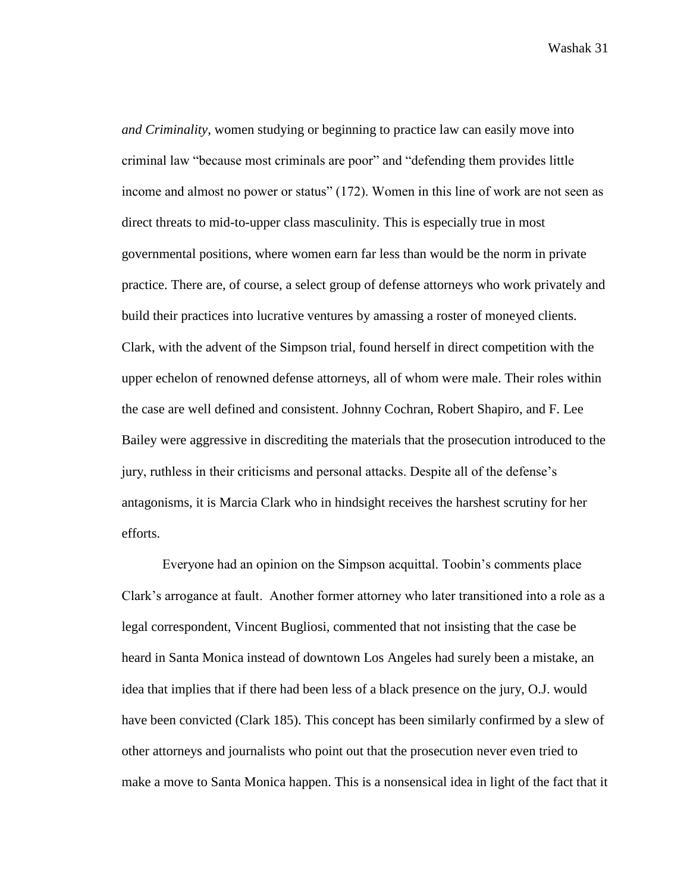*and Criminality*, women studying or beginning to practice law can easily move into criminal law "because most criminals are poor" and "defending them provides little income and almost no power or status" (172). Women in this line of work are not seen as direct threats to mid-to-upper class masculinity. This is especially true in most governmental positions, where women earn far less than would be the norm in private practice. There are, of course, a select group of defense attorneys who work privately and build their practices into lucrative ventures by amassing a roster of moneyed clients. Clark, with the advent of the Simpson trial, found herself in direct competition with the upper echelon of renowned defense attorneys, all of whom were male. Their roles within the case are well defined and consistent. Johnny Cochran, Robert Shapiro, and F. Lee Bailey were aggressive in discrediting the materials that the prosecution introduced to the jury, ruthless in their criticisms and personal attacks. Despite all of the defense's antagonisms, it is Marcia Clark who in hindsight receives the harshest scrutiny for her efforts.

Everyone had an opinion on the Simpson acquittal. Toobin's comments place Clark's arrogance at fault. Another former attorney who later transitioned into a role as a legal correspondent, Vincent Bugliosi, commented that not insisting that the case be heard in Santa Monica instead of downtown Los Angeles had surely been a mistake, an idea that implies that if there had been less of a black presence on the jury, O.J. would have been convicted (Clark 185). This concept has been similarly confirmed by a slew of other attorneys and journalists who point out that the prosecution never even tried to make a move to Santa Monica happen. This is a nonsensical idea in light of the fact that it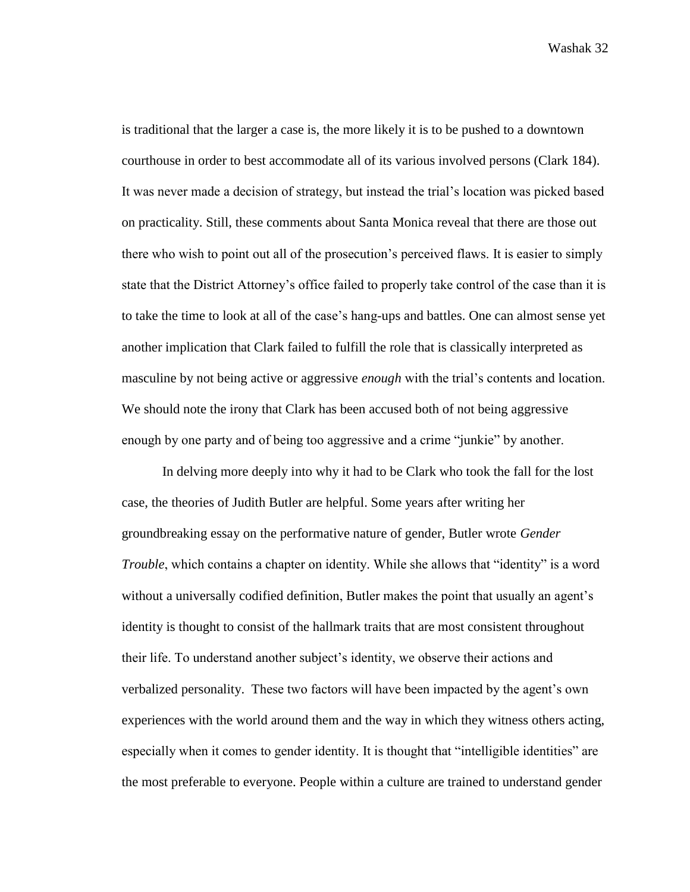is traditional that the larger a case is, the more likely it is to be pushed to a downtown courthouse in order to best accommodate all of its various involved persons (Clark 184). It was never made a decision of strategy, but instead the trial's location was picked based on practicality. Still, these comments about Santa Monica reveal that there are those out there who wish to point out all of the prosecution's perceived flaws. It is easier to simply state that the District Attorney's office failed to properly take control of the case than it is to take the time to look at all of the case's hang-ups and battles. One can almost sense yet another implication that Clark failed to fulfill the role that is classically interpreted as masculine by not being active or aggressive *enough* with the trial's contents and location. We should note the irony that Clark has been accused both of not being aggressive enough by one party and of being too aggressive and a crime "junkie" by another.

In delving more deeply into why it had to be Clark who took the fall for the lost case, the theories of Judith Butler are helpful. Some years after writing her groundbreaking essay on the performative nature of gender, Butler wrote *Gender Trouble*, which contains a chapter on identity. While she allows that "identity" is a word without a universally codified definition, Butler makes the point that usually an agent's identity is thought to consist of the hallmark traits that are most consistent throughout their life. To understand another subject's identity, we observe their actions and verbalized personality. These two factors will have been impacted by the agent's own experiences with the world around them and the way in which they witness others acting, especially when it comes to gender identity. It is thought that "intelligible identities" are the most preferable to everyone. People within a culture are trained to understand gender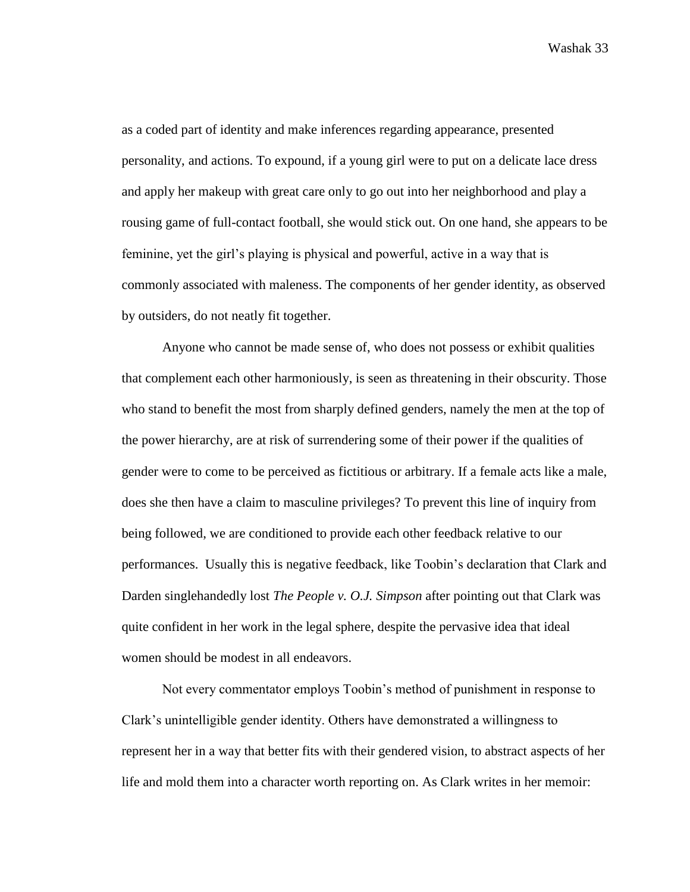as a coded part of identity and make inferences regarding appearance, presented personality, and actions. To expound, if a young girl were to put on a delicate lace dress and apply her makeup with great care only to go out into her neighborhood and play a rousing game of full-contact football, she would stick out. On one hand, she appears to be feminine, yet the girl's playing is physical and powerful, active in a way that is commonly associated with maleness. The components of her gender identity, as observed by outsiders, do not neatly fit together.

Anyone who cannot be made sense of, who does not possess or exhibit qualities that complement each other harmoniously, is seen as threatening in their obscurity. Those who stand to benefit the most from sharply defined genders, namely the men at the top of the power hierarchy, are at risk of surrendering some of their power if the qualities of gender were to come to be perceived as fictitious or arbitrary. If a female acts like a male, does she then have a claim to masculine privileges? To prevent this line of inquiry from being followed, we are conditioned to provide each other feedback relative to our performances. Usually this is negative feedback, like Toobin's declaration that Clark and Darden singlehandedly lost *The People v. O.J. Simpson* after pointing out that Clark was quite confident in her work in the legal sphere, despite the pervasive idea that ideal women should be modest in all endeavors.

Not every commentator employs Toobin's method of punishment in response to Clark's unintelligible gender identity. Others have demonstrated a willingness to represent her in a way that better fits with their gendered vision, to abstract aspects of her life and mold them into a character worth reporting on. As Clark writes in her memoir: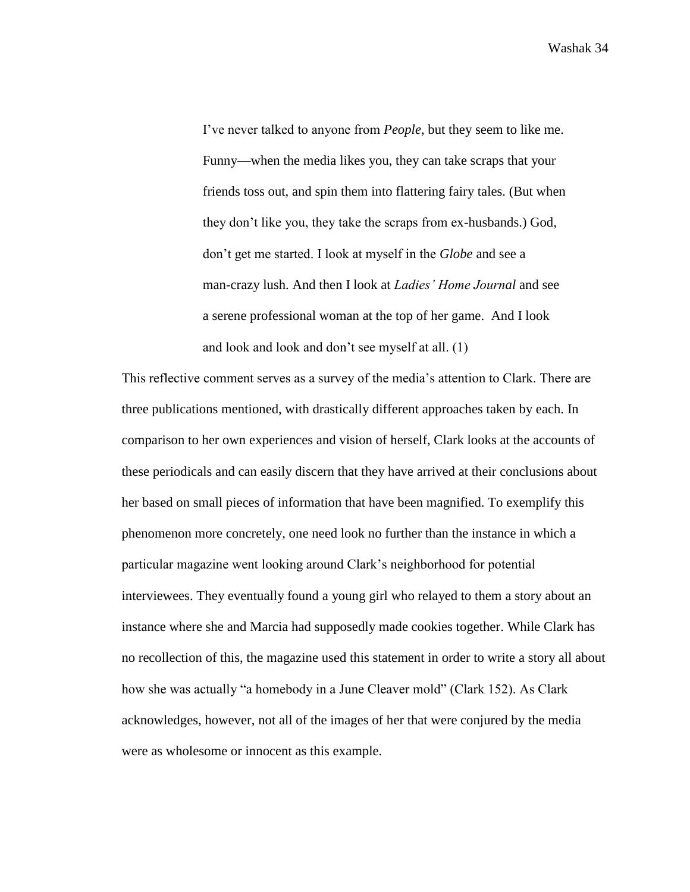I've never talked to anyone from *People*, but they seem to like me. Funny—when the media likes you, they can take scraps that your friends toss out, and spin them into flattering fairy tales. (But when they don't like you, they take the scraps from ex-husbands.) God, don't get me started. I look at myself in the *Globe* and see a man-crazy lush. And then I look at *Ladies' Home Journal* and see a serene professional woman at the top of her game. And I look and look and look and don't see myself at all. (1)

This reflective comment serves as a survey of the media's attention to Clark. There are three publications mentioned, with drastically different approaches taken by each. In comparison to her own experiences and vision of herself, Clark looks at the accounts of these periodicals and can easily discern that they have arrived at their conclusions about her based on small pieces of information that have been magnified. To exemplify this phenomenon more concretely, one need look no further than the instance in which a particular magazine went looking around Clark's neighborhood for potential interviewees. They eventually found a young girl who relayed to them a story about an instance where she and Marcia had supposedly made cookies together. While Clark has no recollection of this, the magazine used this statement in order to write a story all about how she was actually "a homebody in a June Cleaver mold" (Clark 152). As Clark acknowledges, however, not all of the images of her that were conjured by the media were as wholesome or innocent as this example.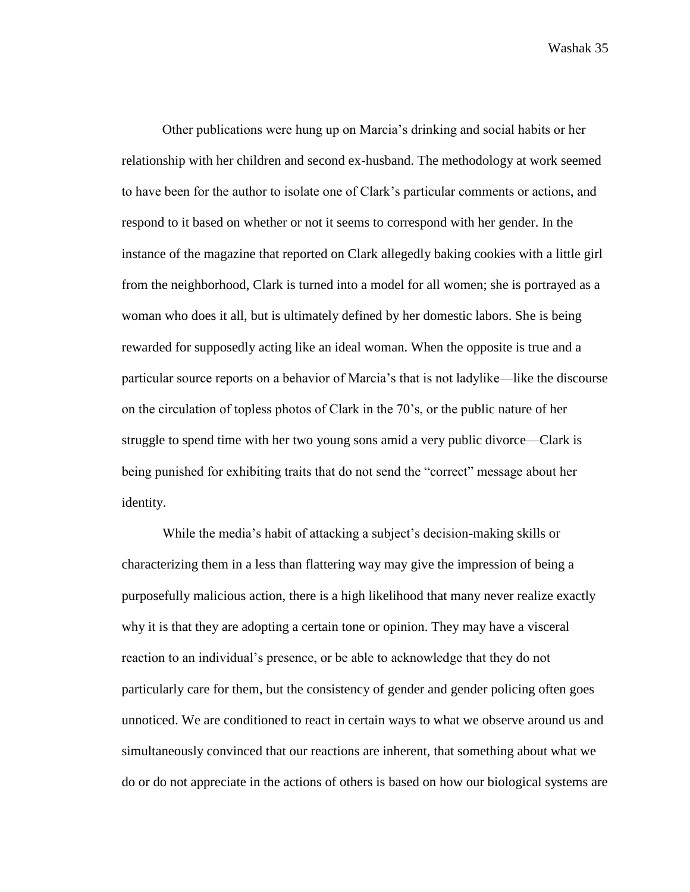Other publications were hung up on Marcia's drinking and social habits or her relationship with her children and second ex-husband. The methodology at work seemed to have been for the author to isolate one of Clark's particular comments or actions, and respond to it based on whether or not it seems to correspond with her gender. In the instance of the magazine that reported on Clark allegedly baking cookies with a little girl from the neighborhood, Clark is turned into a model for all women; she is portrayed as a woman who does it all, but is ultimately defined by her domestic labors. She is being rewarded for supposedly acting like an ideal woman. When the opposite is true and a particular source reports on a behavior of Marcia's that is not ladylike—like the discourse on the circulation of topless photos of Clark in the 70's, or the public nature of her struggle to spend time with her two young sons amid a very public divorce—Clark is being punished for exhibiting traits that do not send the "correct" message about her identity.

While the media's habit of attacking a subject's decision-making skills or characterizing them in a less than flattering way may give the impression of being a purposefully malicious action, there is a high likelihood that many never realize exactly why it is that they are adopting a certain tone or opinion. They may have a visceral reaction to an individual's presence, or be able to acknowledge that they do not particularly care for them, but the consistency of gender and gender policing often goes unnoticed. We are conditioned to react in certain ways to what we observe around us and simultaneously convinced that our reactions are inherent, that something about what we do or do not appreciate in the actions of others is based on how our biological systems are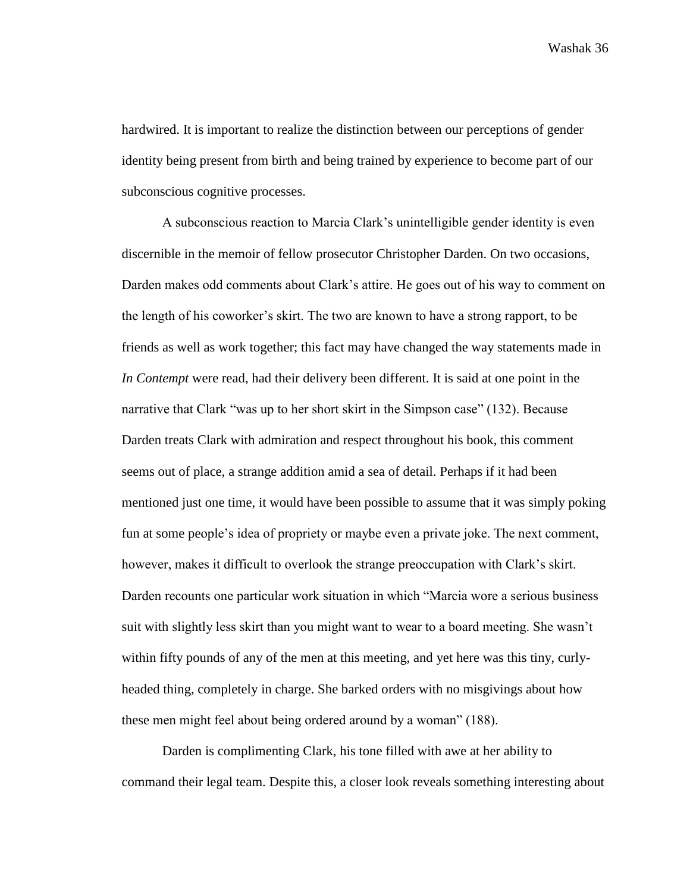hardwired. It is important to realize the distinction between our perceptions of gender identity being present from birth and being trained by experience to become part of our subconscious cognitive processes.

A subconscious reaction to Marcia Clark's unintelligible gender identity is even discernible in the memoir of fellow prosecutor Christopher Darden. On two occasions, Darden makes odd comments about Clark's attire. He goes out of his way to comment on the length of his coworker's skirt. The two are known to have a strong rapport, to be friends as well as work together; this fact may have changed the way statements made in *In Contempt* were read, had their delivery been different. It is said at one point in the narrative that Clark "was up to her short skirt in the Simpson case" (132). Because Darden treats Clark with admiration and respect throughout his book, this comment seems out of place, a strange addition amid a sea of detail. Perhaps if it had been mentioned just one time, it would have been possible to assume that it was simply poking fun at some people's idea of propriety or maybe even a private joke. The next comment, however, makes it difficult to overlook the strange preoccupation with Clark's skirt. Darden recounts one particular work situation in which "Marcia wore a serious business suit with slightly less skirt than you might want to wear to a board meeting. She wasn't within fifty pounds of any of the men at this meeting, and yet here was this tiny, curlyheaded thing, completely in charge. She barked orders with no misgivings about how these men might feel about being ordered around by a woman" (188).

Darden is complimenting Clark, his tone filled with awe at her ability to command their legal team. Despite this, a closer look reveals something interesting about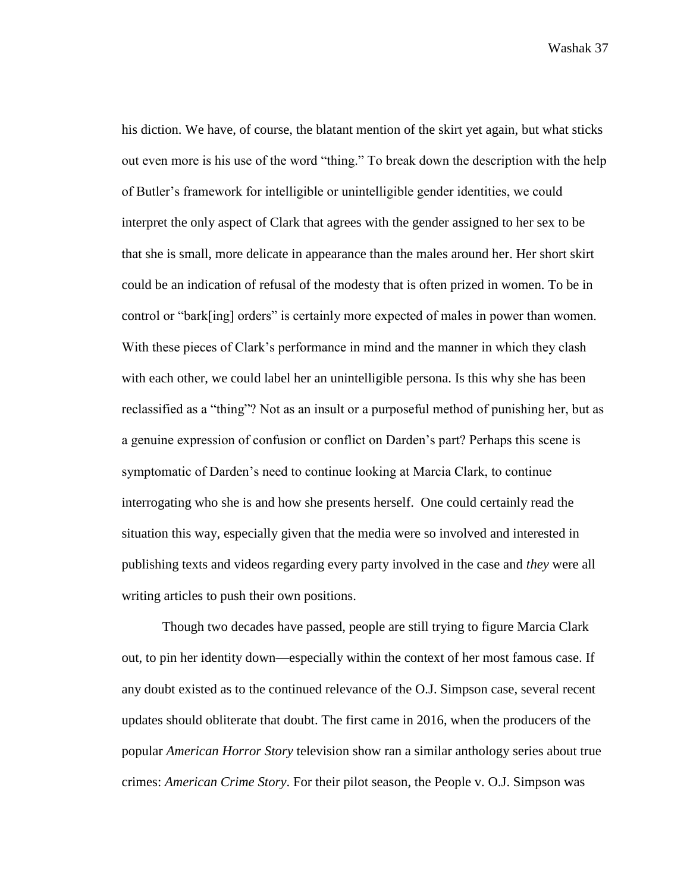his diction. We have, of course, the blatant mention of the skirt yet again, but what sticks out even more is his use of the word "thing." To break down the description with the help of Butler's framework for intelligible or unintelligible gender identities, we could interpret the only aspect of Clark that agrees with the gender assigned to her sex to be that she is small, more delicate in appearance than the males around her. Her short skirt could be an indication of refusal of the modesty that is often prized in women. To be in control or "bark[ing] orders" is certainly more expected of males in power than women. With these pieces of Clark's performance in mind and the manner in which they clash with each other, we could label her an unintelligible persona. Is this why she has been reclassified as a "thing"? Not as an insult or a purposeful method of punishing her, but as a genuine expression of confusion or conflict on Darden's part? Perhaps this scene is symptomatic of Darden's need to continue looking at Marcia Clark, to continue interrogating who she is and how she presents herself. One could certainly read the situation this way, especially given that the media were so involved and interested in publishing texts and videos regarding every party involved in the case and *they* were all writing articles to push their own positions.

Though two decades have passed, people are still trying to figure Marcia Clark out, to pin her identity down—especially within the context of her most famous case. If any doubt existed as to the continued relevance of the O.J. Simpson case, several recent updates should obliterate that doubt. The first came in 2016, when the producers of the popular *American Horror Story* television show ran a similar anthology series about true crimes: *American Crime Story*. For their pilot season, the People v. O.J. Simpson was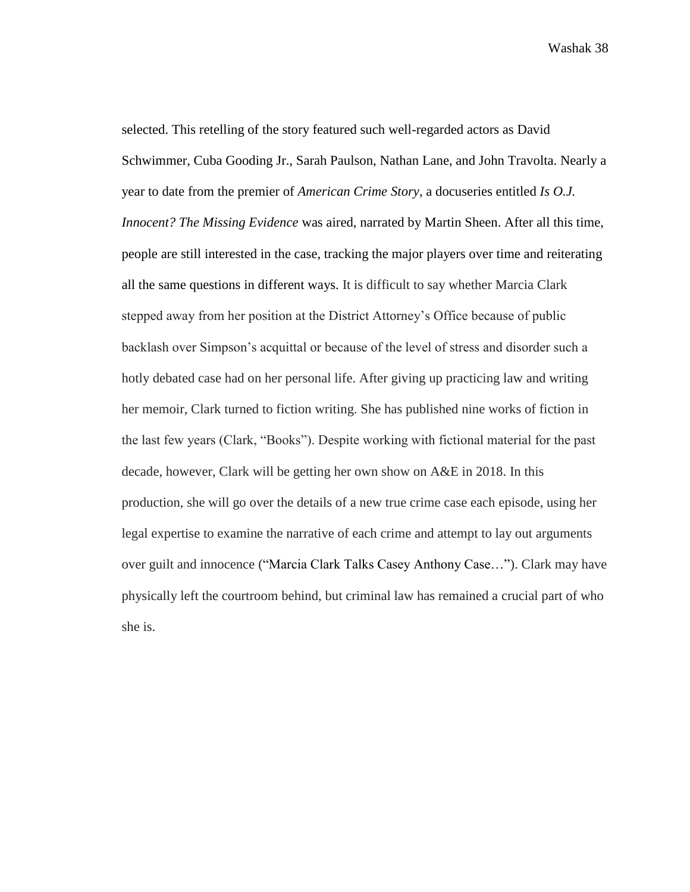selected. This retelling of the story featured such well-regarded actors as David Schwimmer, Cuba Gooding Jr., Sarah Paulson, Nathan Lane, and John Travolta. Nearly a year to date from the premier of *American Crime Story*, a docuseries entitled *Is O.J. Innocent? The Missing Evidence* was aired, narrated by Martin Sheen. After all this time, people are still interested in the case, tracking the major players over time and reiterating all the same questions in different ways. It is difficult to say whether Marcia Clark stepped away from her position at the District Attorney's Office because of public backlash over Simpson's acquittal or because of the level of stress and disorder such a hotly debated case had on her personal life. After giving up practicing law and writing her memoir, Clark turned to fiction writing. She has published nine works of fiction in the last few years (Clark, "Books"). Despite working with fictional material for the past decade, however, Clark will be getting her own show on A&E in 2018. In this production, she will go over the details of a new true crime case each episode, using her legal expertise to examine the narrative of each crime and attempt to lay out arguments over guilt and innocence ("Marcia Clark Talks Casey Anthony Case…"). Clark may have physically left the courtroom behind, but criminal law has remained a crucial part of who she is.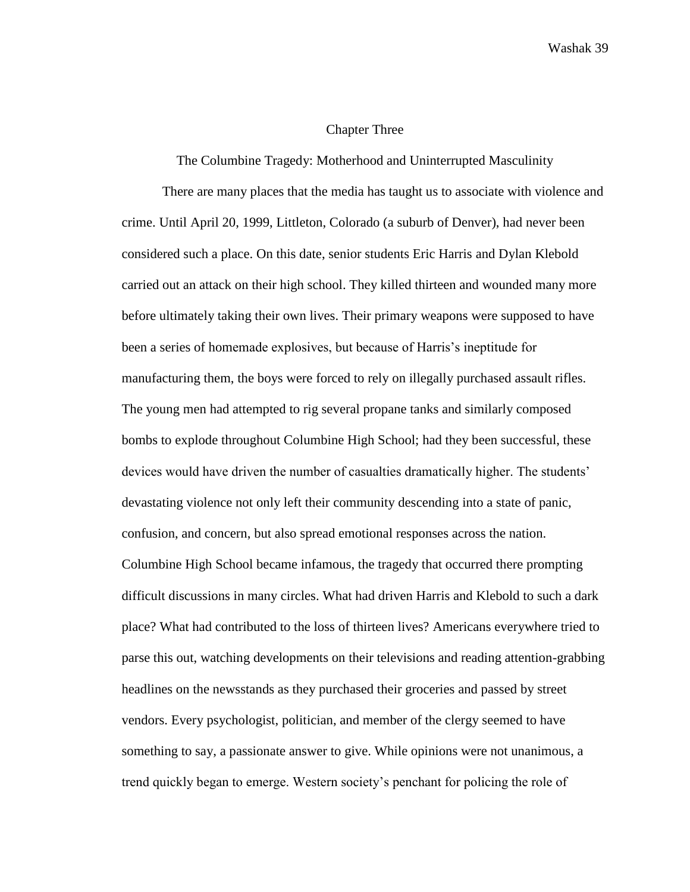## Chapter Three

## The Columbine Tragedy: Motherhood and Uninterrupted Masculinity

There are many places that the media has taught us to associate with violence and crime. Until April 20, 1999, Littleton, Colorado (a suburb of Denver), had never been considered such a place. On this date, senior students Eric Harris and Dylan Klebold carried out an attack on their high school. They killed thirteen and wounded many more before ultimately taking their own lives. Their primary weapons were supposed to have been a series of homemade explosives, but because of Harris's ineptitude for manufacturing them, the boys were forced to rely on illegally purchased assault rifles. The young men had attempted to rig several propane tanks and similarly composed bombs to explode throughout Columbine High School; had they been successful, these devices would have driven the number of casualties dramatically higher. The students' devastating violence not only left their community descending into a state of panic, confusion, and concern, but also spread emotional responses across the nation. Columbine High School became infamous, the tragedy that occurred there prompting difficult discussions in many circles. What had driven Harris and Klebold to such a dark place? What had contributed to the loss of thirteen lives? Americans everywhere tried to parse this out, watching developments on their televisions and reading attention-grabbing headlines on the newsstands as they purchased their groceries and passed by street vendors. Every psychologist, politician, and member of the clergy seemed to have something to say, a passionate answer to give. While opinions were not unanimous, a trend quickly began to emerge. Western society's penchant for policing the role of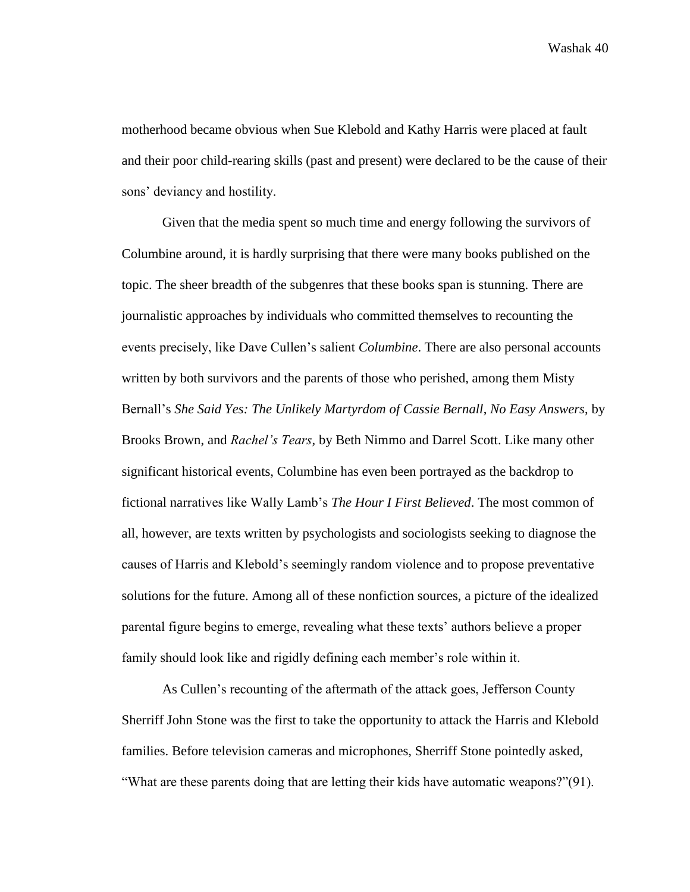motherhood became obvious when Sue Klebold and Kathy Harris were placed at fault and their poor child-rearing skills (past and present) were declared to be the cause of their sons' deviancy and hostility.

Given that the media spent so much time and energy following the survivors of Columbine around, it is hardly surprising that there were many books published on the topic. The sheer breadth of the subgenres that these books span is stunning. There are journalistic approaches by individuals who committed themselves to recounting the events precisely, like Dave Cullen's salient *Columbine*. There are also personal accounts written by both survivors and the parents of those who perished, among them Misty Bernall's *She Said Yes: The Unlikely Martyrdom of Cassie Bernall*, *No Easy Answers*, by Brooks Brown, and *Rachel's Tears*, by Beth Nimmo and Darrel Scott. Like many other significant historical events, Columbine has even been portrayed as the backdrop to fictional narratives like Wally Lamb's *The Hour I First Believed*. The most common of all, however, are texts written by psychologists and sociologists seeking to diagnose the causes of Harris and Klebold's seemingly random violence and to propose preventative solutions for the future. Among all of these nonfiction sources, a picture of the idealized parental figure begins to emerge, revealing what these texts' authors believe a proper family should look like and rigidly defining each member's role within it.

As Cullen's recounting of the aftermath of the attack goes, Jefferson County Sherriff John Stone was the first to take the opportunity to attack the Harris and Klebold families. Before television cameras and microphones, Sherriff Stone pointedly asked, "What are these parents doing that are letting their kids have automatic weapons?"(91).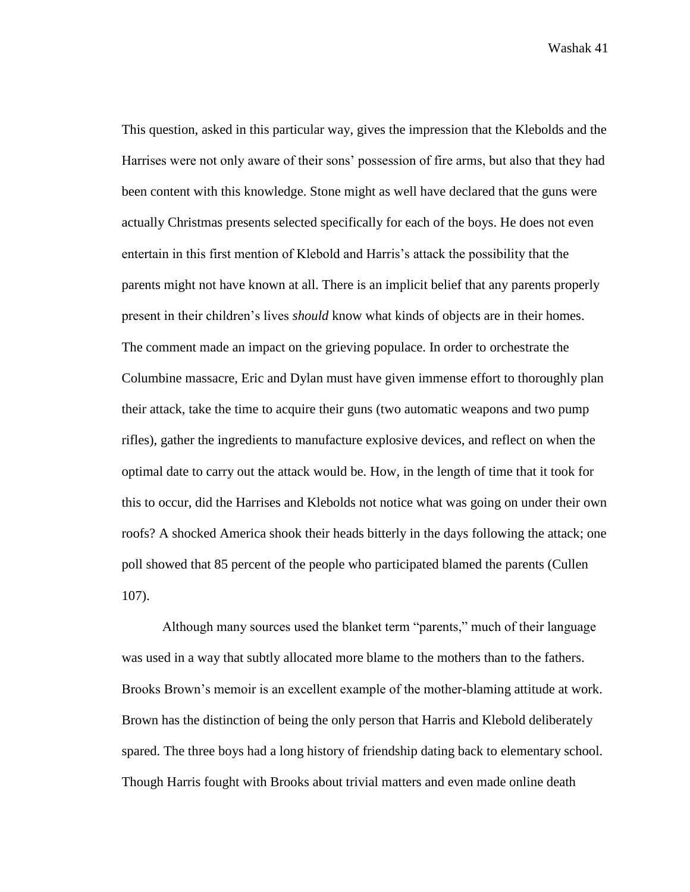This question, asked in this particular way, gives the impression that the Klebolds and the Harrises were not only aware of their sons' possession of fire arms, but also that they had been content with this knowledge. Stone might as well have declared that the guns were actually Christmas presents selected specifically for each of the boys. He does not even entertain in this first mention of Klebold and Harris's attack the possibility that the parents might not have known at all. There is an implicit belief that any parents properly present in their children's lives *should* know what kinds of objects are in their homes. The comment made an impact on the grieving populace. In order to orchestrate the Columbine massacre, Eric and Dylan must have given immense effort to thoroughly plan their attack, take the time to acquire their guns (two automatic weapons and two pump rifles), gather the ingredients to manufacture explosive devices, and reflect on when the optimal date to carry out the attack would be. How, in the length of time that it took for this to occur, did the Harrises and Klebolds not notice what was going on under their own roofs? A shocked America shook their heads bitterly in the days following the attack; one poll showed that 85 percent of the people who participated blamed the parents (Cullen 107).

Although many sources used the blanket term "parents," much of their language was used in a way that subtly allocated more blame to the mothers than to the fathers. Brooks Brown's memoir is an excellent example of the mother-blaming attitude at work. Brown has the distinction of being the only person that Harris and Klebold deliberately spared. The three boys had a long history of friendship dating back to elementary school. Though Harris fought with Brooks about trivial matters and even made online death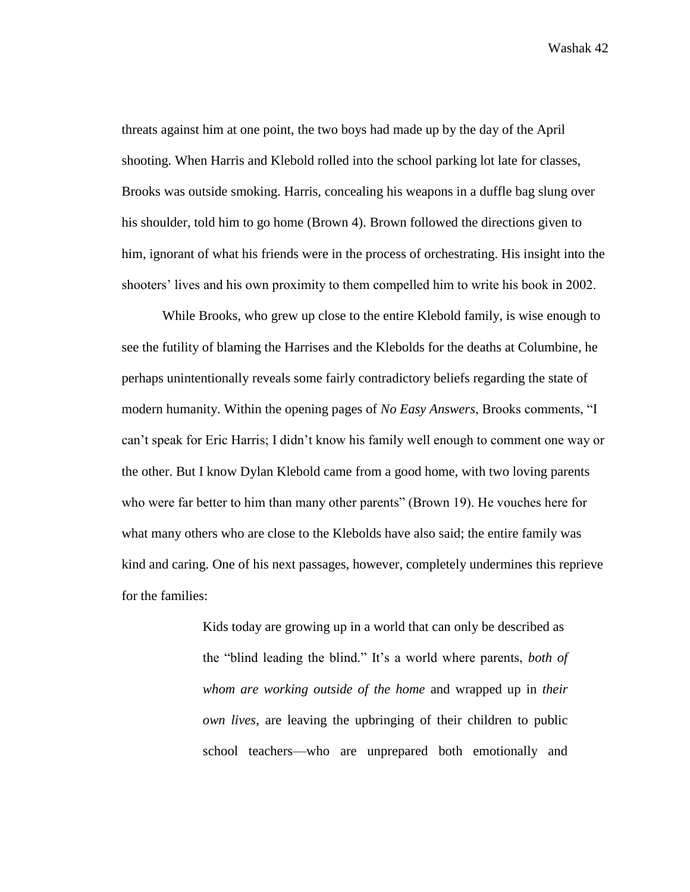threats against him at one point, the two boys had made up by the day of the April shooting. When Harris and Klebold rolled into the school parking lot late for classes, Brooks was outside smoking. Harris, concealing his weapons in a duffle bag slung over his shoulder, told him to go home (Brown 4). Brown followed the directions given to him, ignorant of what his friends were in the process of orchestrating. His insight into the shooters' lives and his own proximity to them compelled him to write his book in 2002.

While Brooks, who grew up close to the entire Klebold family, is wise enough to see the futility of blaming the Harrises and the Klebolds for the deaths at Columbine, he perhaps unintentionally reveals some fairly contradictory beliefs regarding the state of modern humanity. Within the opening pages of *No Easy Answers*, Brooks comments, "I can't speak for Eric Harris; I didn't know his family well enough to comment one way or the other. But I know Dylan Klebold came from a good home, with two loving parents who were far better to him than many other parents" (Brown 19). He vouches here for what many others who are close to the Klebolds have also said; the entire family was kind and caring. One of his next passages, however, completely undermines this reprieve for the families:

> Kids today are growing up in a world that can only be described as the "blind leading the blind." It's a world where parents, *both of whom are working outside of the home* and wrapped up in *their own lives*, are leaving the upbringing of their children to public school teachers—who are unprepared both emotionally and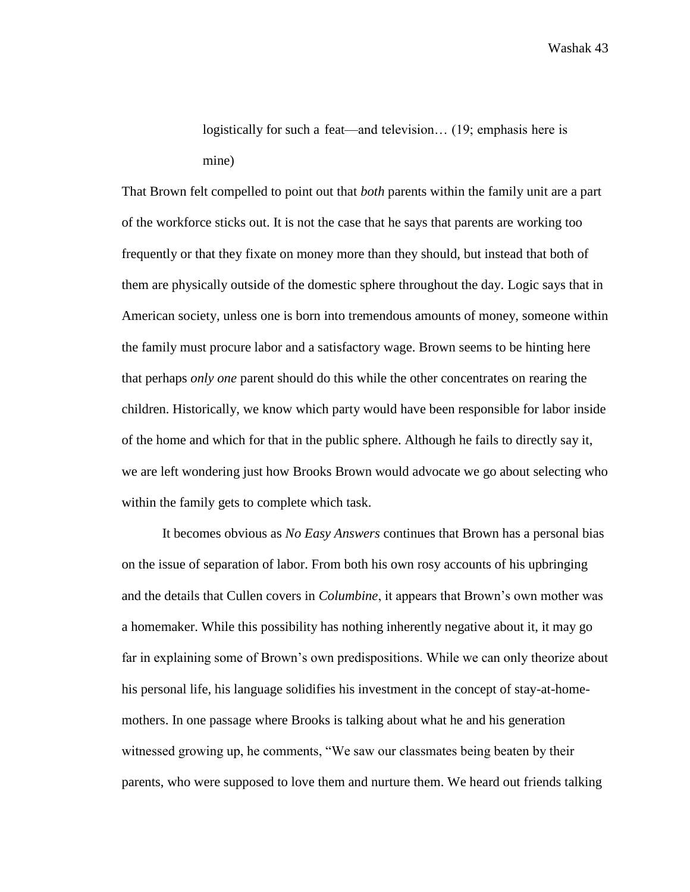logistically for such a feat—and television… (19; emphasis here is mine)

That Brown felt compelled to point out that *both* parents within the family unit are a part of the workforce sticks out. It is not the case that he says that parents are working too frequently or that they fixate on money more than they should, but instead that both of them are physically outside of the domestic sphere throughout the day. Logic says that in American society, unless one is born into tremendous amounts of money, someone within the family must procure labor and a satisfactory wage. Brown seems to be hinting here that perhaps *only one* parent should do this while the other concentrates on rearing the children. Historically, we know which party would have been responsible for labor inside of the home and which for that in the public sphere. Although he fails to directly say it, we are left wondering just how Brooks Brown would advocate we go about selecting who within the family gets to complete which task.

It becomes obvious as *No Easy Answers* continues that Brown has a personal bias on the issue of separation of labor. From both his own rosy accounts of his upbringing and the details that Cullen covers in *Columbine*, it appears that Brown's own mother was a homemaker. While this possibility has nothing inherently negative about it, it may go far in explaining some of Brown's own predispositions. While we can only theorize about his personal life, his language solidifies his investment in the concept of stay-at-homemothers. In one passage where Brooks is talking about what he and his generation witnessed growing up, he comments, "We saw our classmates being beaten by their parents, who were supposed to love them and nurture them. We heard out friends talking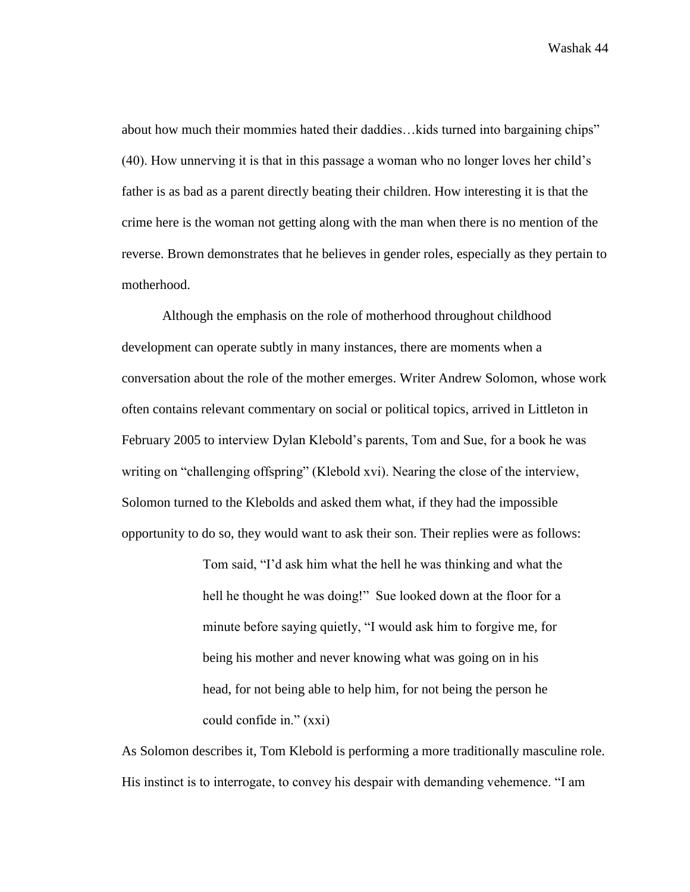about how much their mommies hated their daddies…kids turned into bargaining chips" (40). How unnerving it is that in this passage a woman who no longer loves her child's father is as bad as a parent directly beating their children. How interesting it is that the crime here is the woman not getting along with the man when there is no mention of the reverse. Brown demonstrates that he believes in gender roles, especially as they pertain to motherhood.

Although the emphasis on the role of motherhood throughout childhood development can operate subtly in many instances, there are moments when a conversation about the role of the mother emerges. Writer Andrew Solomon, whose work often contains relevant commentary on social or political topics, arrived in Littleton in February 2005 to interview Dylan Klebold's parents, Tom and Sue, for a book he was writing on "challenging offspring" (Klebold xvi). Nearing the close of the interview, Solomon turned to the Klebolds and asked them what, if they had the impossible opportunity to do so, they would want to ask their son. Their replies were as follows:

> Tom said, "I'd ask him what the hell he was thinking and what the hell he thought he was doing!" Sue looked down at the floor for a minute before saying quietly, "I would ask him to forgive me, for being his mother and never knowing what was going on in his head, for not being able to help him, for not being the person he could confide in." (xxi)

As Solomon describes it, Tom Klebold is performing a more traditionally masculine role. His instinct is to interrogate, to convey his despair with demanding vehemence. "I am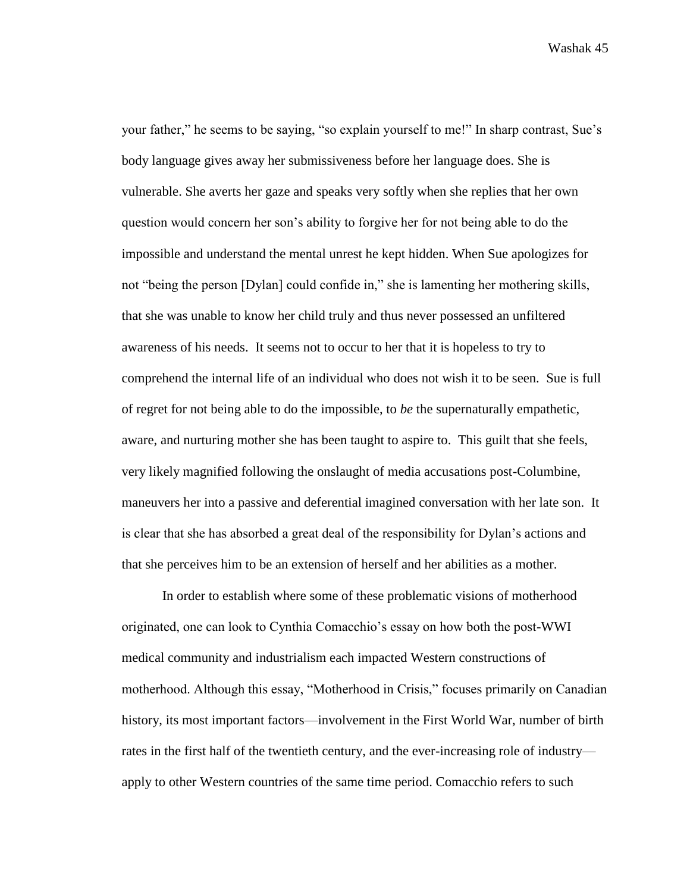your father," he seems to be saying, "so explain yourself to me!" In sharp contrast, Sue's body language gives away her submissiveness before her language does. She is vulnerable. She averts her gaze and speaks very softly when she replies that her own question would concern her son's ability to forgive her for not being able to do the impossible and understand the mental unrest he kept hidden. When Sue apologizes for not "being the person [Dylan] could confide in," she is lamenting her mothering skills, that she was unable to know her child truly and thus never possessed an unfiltered awareness of his needs. It seems not to occur to her that it is hopeless to try to comprehend the internal life of an individual who does not wish it to be seen. Sue is full of regret for not being able to do the impossible, to *be* the supernaturally empathetic, aware, and nurturing mother she has been taught to aspire to. This guilt that she feels, very likely magnified following the onslaught of media accusations post-Columbine, maneuvers her into a passive and deferential imagined conversation with her late son. It is clear that she has absorbed a great deal of the responsibility for Dylan's actions and that she perceives him to be an extension of herself and her abilities as a mother.

In order to establish where some of these problematic visions of motherhood originated, one can look to Cynthia Comacchio's essay on how both the post-WWI medical community and industrialism each impacted Western constructions of motherhood. Although this essay, "Motherhood in Crisis," focuses primarily on Canadian history, its most important factors—involvement in the First World War, number of birth rates in the first half of the twentieth century, and the ever-increasing role of industry apply to other Western countries of the same time period. Comacchio refers to such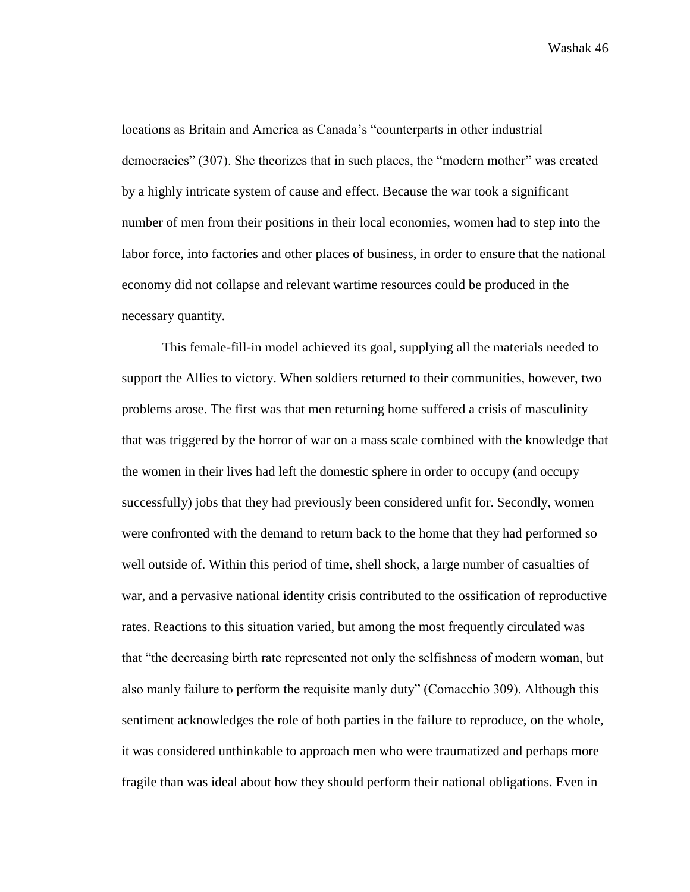locations as Britain and America as Canada's "counterparts in other industrial democracies" (307). She theorizes that in such places, the "modern mother" was created by a highly intricate system of cause and effect. Because the war took a significant number of men from their positions in their local economies, women had to step into the labor force, into factories and other places of business, in order to ensure that the national economy did not collapse and relevant wartime resources could be produced in the necessary quantity.

This female-fill-in model achieved its goal, supplying all the materials needed to support the Allies to victory. When soldiers returned to their communities, however, two problems arose. The first was that men returning home suffered a crisis of masculinity that was triggered by the horror of war on a mass scale combined with the knowledge that the women in their lives had left the domestic sphere in order to occupy (and occupy successfully) jobs that they had previously been considered unfit for. Secondly, women were confronted with the demand to return back to the home that they had performed so well outside of. Within this period of time, shell shock, a large number of casualties of war, and a pervasive national identity crisis contributed to the ossification of reproductive rates. Reactions to this situation varied, but among the most frequently circulated was that "the decreasing birth rate represented not only the selfishness of modern woman, but also manly failure to perform the requisite manly duty" (Comacchio 309). Although this sentiment acknowledges the role of both parties in the failure to reproduce, on the whole, it was considered unthinkable to approach men who were traumatized and perhaps more fragile than was ideal about how they should perform their national obligations. Even in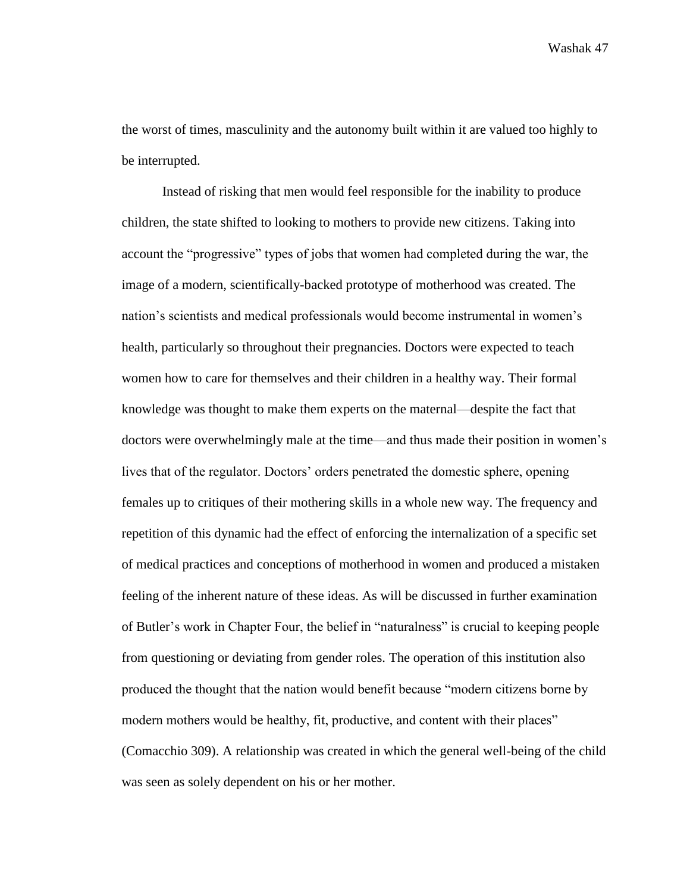the worst of times, masculinity and the autonomy built within it are valued too highly to be interrupted.

Instead of risking that men would feel responsible for the inability to produce children, the state shifted to looking to mothers to provide new citizens. Taking into account the "progressive" types of jobs that women had completed during the war, the image of a modern, scientifically-backed prototype of motherhood was created. The nation's scientists and medical professionals would become instrumental in women's health, particularly so throughout their pregnancies. Doctors were expected to teach women how to care for themselves and their children in a healthy way. Their formal knowledge was thought to make them experts on the maternal—despite the fact that doctors were overwhelmingly male at the time—and thus made their position in women's lives that of the regulator. Doctors' orders penetrated the domestic sphere, opening females up to critiques of their mothering skills in a whole new way. The frequency and repetition of this dynamic had the effect of enforcing the internalization of a specific set of medical practices and conceptions of motherhood in women and produced a mistaken feeling of the inherent nature of these ideas. As will be discussed in further examination of Butler's work in Chapter Four, the belief in "naturalness" is crucial to keeping people from questioning or deviating from gender roles. The operation of this institution also produced the thought that the nation would benefit because "modern citizens borne by modern mothers would be healthy, fit, productive, and content with their places" (Comacchio 309). A relationship was created in which the general well-being of the child was seen as solely dependent on his or her mother.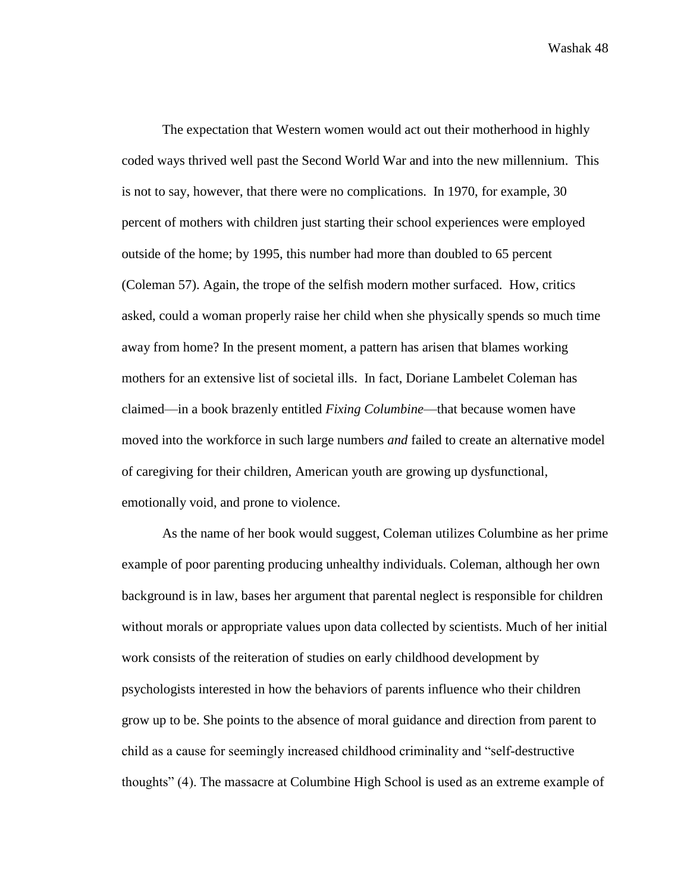The expectation that Western women would act out their motherhood in highly coded ways thrived well past the Second World War and into the new millennium. This is not to say, however, that there were no complications. In 1970, for example, 30 percent of mothers with children just starting their school experiences were employed outside of the home; by 1995, this number had more than doubled to 65 percent (Coleman 57). Again, the trope of the selfish modern mother surfaced. How, critics asked, could a woman properly raise her child when she physically spends so much time away from home? In the present moment, a pattern has arisen that blames working mothers for an extensive list of societal ills. In fact, Doriane Lambelet Coleman has claimed—in a book brazenly entitled *Fixing Columbine*—that because women have moved into the workforce in such large numbers *and* failed to create an alternative model of caregiving for their children, American youth are growing up dysfunctional, emotionally void, and prone to violence.

As the name of her book would suggest, Coleman utilizes Columbine as her prime example of poor parenting producing unhealthy individuals. Coleman, although her own background is in law, bases her argument that parental neglect is responsible for children without morals or appropriate values upon data collected by scientists. Much of her initial work consists of the reiteration of studies on early childhood development by psychologists interested in how the behaviors of parents influence who their children grow up to be. She points to the absence of moral guidance and direction from parent to child as a cause for seemingly increased childhood criminality and "self-destructive thoughts" (4). The massacre at Columbine High School is used as an extreme example of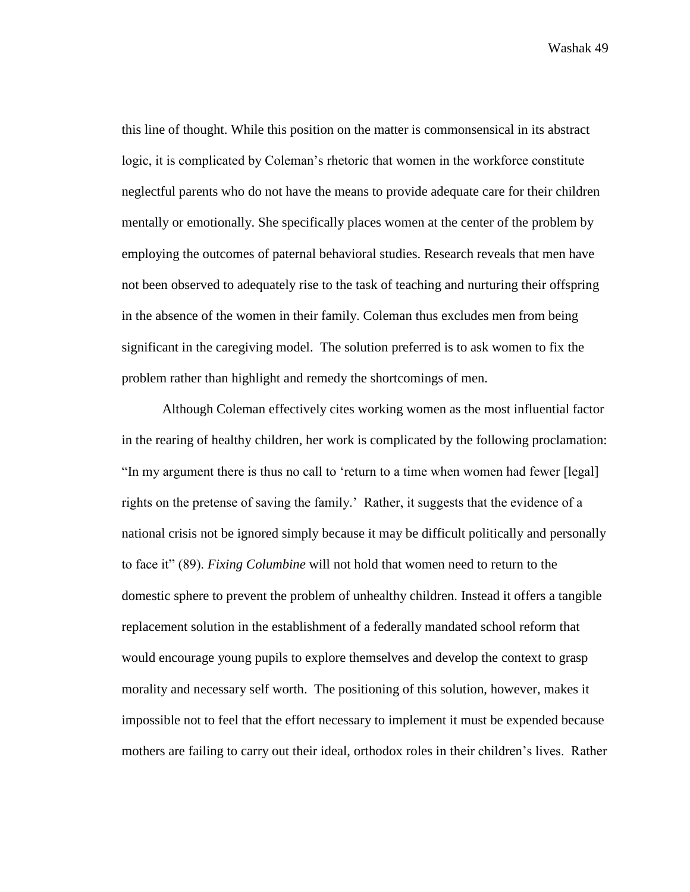this line of thought. While this position on the matter is commonsensical in its abstract logic, it is complicated by Coleman's rhetoric that women in the workforce constitute neglectful parents who do not have the means to provide adequate care for their children mentally or emotionally. She specifically places women at the center of the problem by employing the outcomes of paternal behavioral studies. Research reveals that men have not been observed to adequately rise to the task of teaching and nurturing their offspring in the absence of the women in their family. Coleman thus excludes men from being significant in the caregiving model. The solution preferred is to ask women to fix the problem rather than highlight and remedy the shortcomings of men.

Although Coleman effectively cites working women as the most influential factor in the rearing of healthy children, her work is complicated by the following proclamation: "In my argument there is thus no call to 'return to a time when women had fewer [legal] rights on the pretense of saving the family.' Rather, it suggests that the evidence of a national crisis not be ignored simply because it may be difficult politically and personally to face it" (89). *Fixing Columbine* will not hold that women need to return to the domestic sphere to prevent the problem of unhealthy children. Instead it offers a tangible replacement solution in the establishment of a federally mandated school reform that would encourage young pupils to explore themselves and develop the context to grasp morality and necessary self worth. The positioning of this solution, however, makes it impossible not to feel that the effort necessary to implement it must be expended because mothers are failing to carry out their ideal, orthodox roles in their children's lives. Rather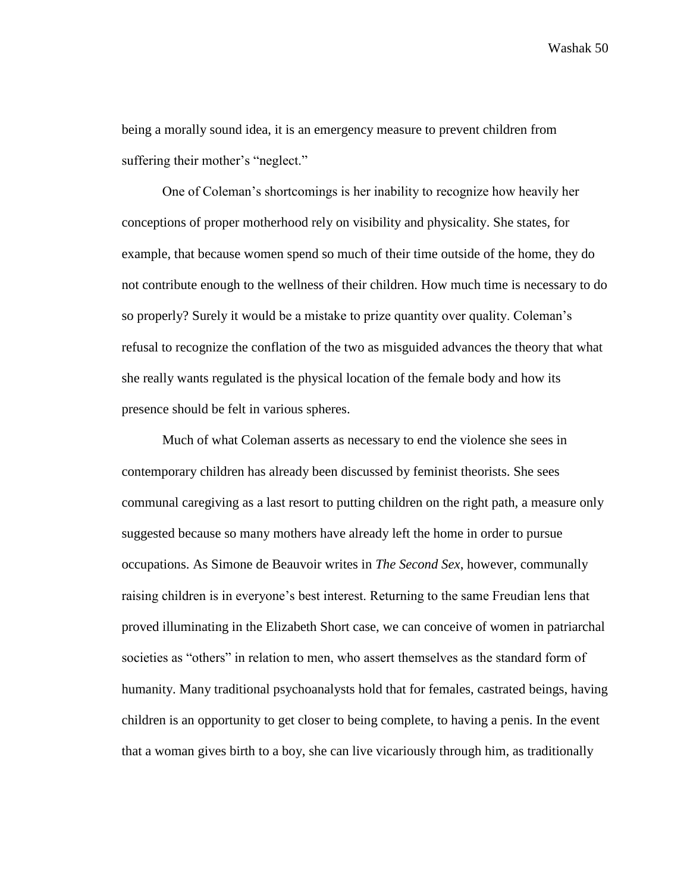being a morally sound idea, it is an emergency measure to prevent children from suffering their mother's "neglect."

One of Coleman's shortcomings is her inability to recognize how heavily her conceptions of proper motherhood rely on visibility and physicality. She states, for example, that because women spend so much of their time outside of the home, they do not contribute enough to the wellness of their children. How much time is necessary to do so properly? Surely it would be a mistake to prize quantity over quality. Coleman's refusal to recognize the conflation of the two as misguided advances the theory that what she really wants regulated is the physical location of the female body and how its presence should be felt in various spheres.

Much of what Coleman asserts as necessary to end the violence she sees in contemporary children has already been discussed by feminist theorists. She sees communal caregiving as a last resort to putting children on the right path, a measure only suggested because so many mothers have already left the home in order to pursue occupations. As Simone de Beauvoir writes in *The Second Sex*, however, communally raising children is in everyone's best interest. Returning to the same Freudian lens that proved illuminating in the Elizabeth Short case, we can conceive of women in patriarchal societies as "others" in relation to men, who assert themselves as the standard form of humanity. Many traditional psychoanalysts hold that for females, castrated beings, having children is an opportunity to get closer to being complete, to having a penis. In the event that a woman gives birth to a boy, she can live vicariously through him, as traditionally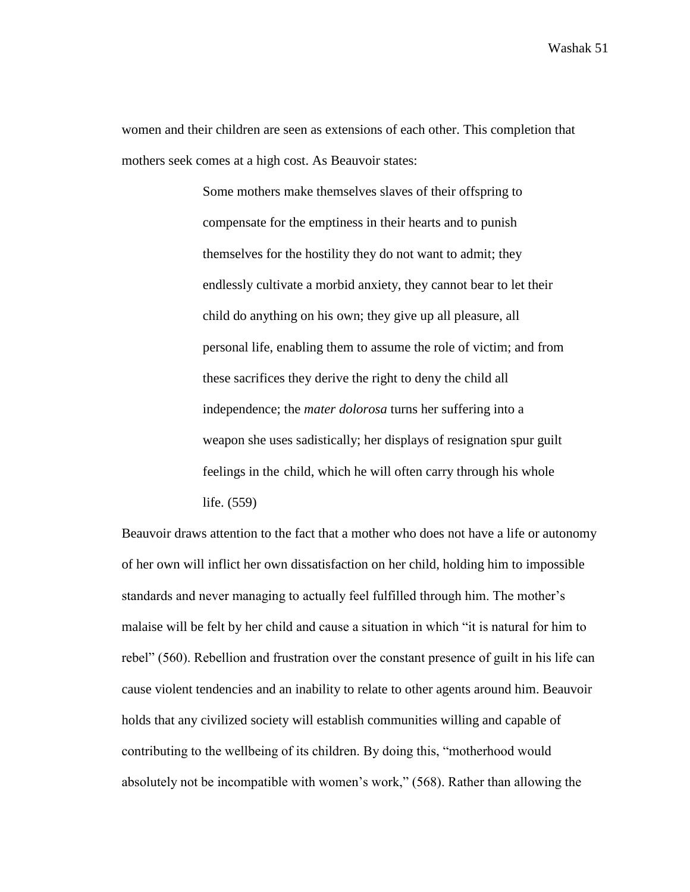women and their children are seen as extensions of each other. This completion that mothers seek comes at a high cost. As Beauvoir states:

> Some mothers make themselves slaves of their offspring to compensate for the emptiness in their hearts and to punish themselves for the hostility they do not want to admit; they endlessly cultivate a morbid anxiety, they cannot bear to let their child do anything on his own; they give up all pleasure, all personal life, enabling them to assume the role of victim; and from these sacrifices they derive the right to deny the child all independence; the *mater dolorosa* turns her suffering into a weapon she uses sadistically; her displays of resignation spur guilt feelings in the child, which he will often carry through his whole life. (559)

Beauvoir draws attention to the fact that a mother who does not have a life or autonomy of her own will inflict her own dissatisfaction on her child, holding him to impossible standards and never managing to actually feel fulfilled through him. The mother's malaise will be felt by her child and cause a situation in which "it is natural for him to rebel" (560). Rebellion and frustration over the constant presence of guilt in his life can cause violent tendencies and an inability to relate to other agents around him. Beauvoir holds that any civilized society will establish communities willing and capable of contributing to the wellbeing of its children. By doing this, "motherhood would absolutely not be incompatible with women's work," (568). Rather than allowing the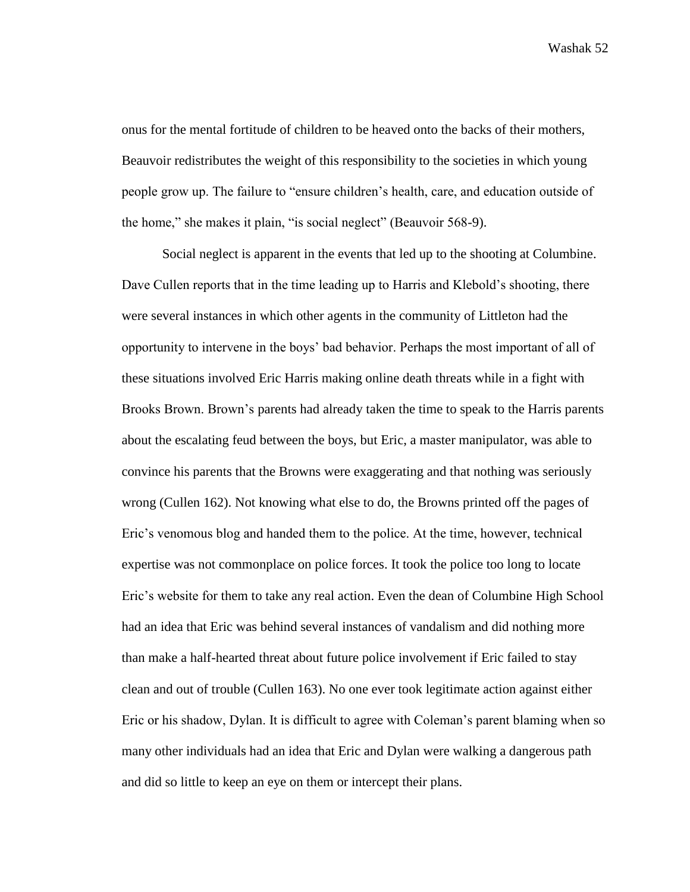onus for the mental fortitude of children to be heaved onto the backs of their mothers, Beauvoir redistributes the weight of this responsibility to the societies in which young people grow up. The failure to "ensure children's health, care, and education outside of the home," she makes it plain, "is social neglect" (Beauvoir 568-9).

Social neglect is apparent in the events that led up to the shooting at Columbine. Dave Cullen reports that in the time leading up to Harris and Klebold's shooting, there were several instances in which other agents in the community of Littleton had the opportunity to intervene in the boys' bad behavior. Perhaps the most important of all of these situations involved Eric Harris making online death threats while in a fight with Brooks Brown. Brown's parents had already taken the time to speak to the Harris parents about the escalating feud between the boys, but Eric, a master manipulator, was able to convince his parents that the Browns were exaggerating and that nothing was seriously wrong (Cullen 162). Not knowing what else to do, the Browns printed off the pages of Eric's venomous blog and handed them to the police. At the time, however, technical expertise was not commonplace on police forces. It took the police too long to locate Eric's website for them to take any real action. Even the dean of Columbine High School had an idea that Eric was behind several instances of vandalism and did nothing more than make a half-hearted threat about future police involvement if Eric failed to stay clean and out of trouble (Cullen 163). No one ever took legitimate action against either Eric or his shadow, Dylan. It is difficult to agree with Coleman's parent blaming when so many other individuals had an idea that Eric and Dylan were walking a dangerous path and did so little to keep an eye on them or intercept their plans.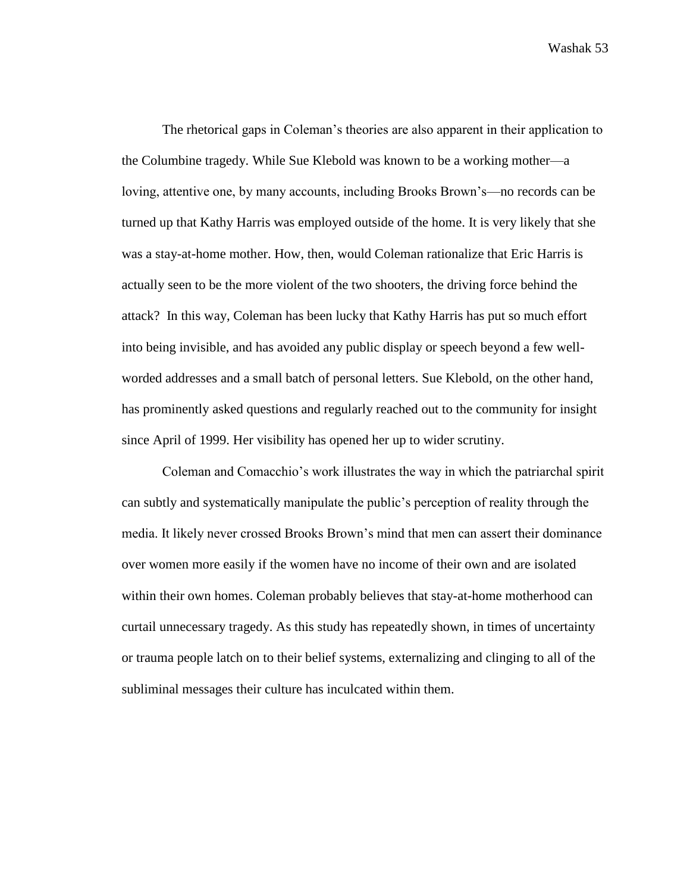The rhetorical gaps in Coleman's theories are also apparent in their application to the Columbine tragedy. While Sue Klebold was known to be a working mother—a loving, attentive one, by many accounts, including Brooks Brown's—no records can be turned up that Kathy Harris was employed outside of the home. It is very likely that she was a stay-at-home mother. How, then, would Coleman rationalize that Eric Harris is actually seen to be the more violent of the two shooters, the driving force behind the attack? In this way, Coleman has been lucky that Kathy Harris has put so much effort into being invisible, and has avoided any public display or speech beyond a few wellworded addresses and a small batch of personal letters. Sue Klebold, on the other hand, has prominently asked questions and regularly reached out to the community for insight since April of 1999. Her visibility has opened her up to wider scrutiny.

Coleman and Comacchio's work illustrates the way in which the patriarchal spirit can subtly and systematically manipulate the public's perception of reality through the media. It likely never crossed Brooks Brown's mind that men can assert their dominance over women more easily if the women have no income of their own and are isolated within their own homes. Coleman probably believes that stay-at-home motherhood can curtail unnecessary tragedy. As this study has repeatedly shown, in times of uncertainty or trauma people latch on to their belief systems, externalizing and clinging to all of the subliminal messages their culture has inculcated within them.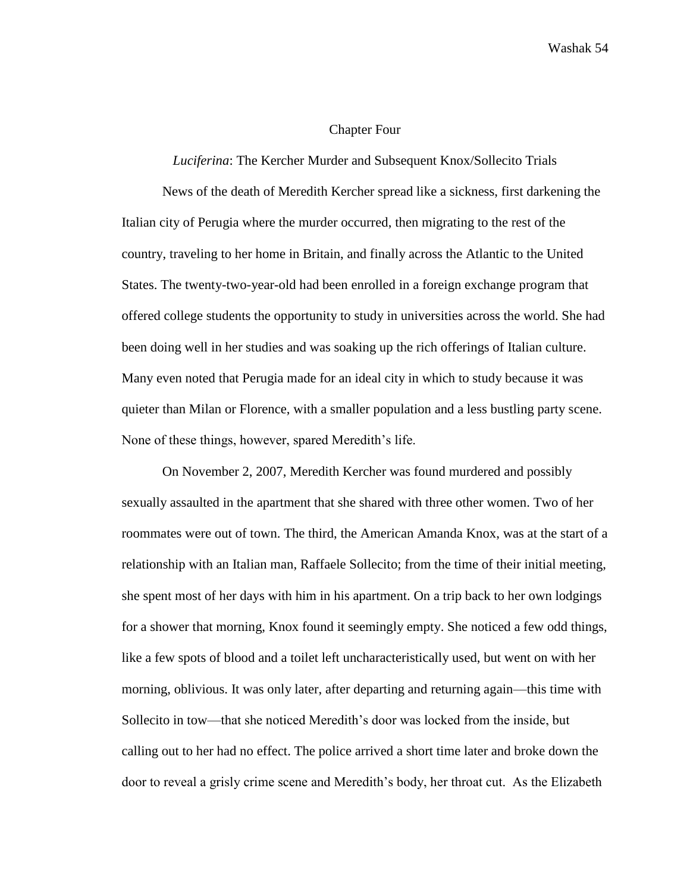## Chapter Four

## *Luciferina*: The Kercher Murder and Subsequent Knox/Sollecito Trials

News of the death of Meredith Kercher spread like a sickness, first darkening the Italian city of Perugia where the murder occurred, then migrating to the rest of the country, traveling to her home in Britain, and finally across the Atlantic to the United States. The twenty-two-year-old had been enrolled in a foreign exchange program that offered college students the opportunity to study in universities across the world. She had been doing well in her studies and was soaking up the rich offerings of Italian culture. Many even noted that Perugia made for an ideal city in which to study because it was quieter than Milan or Florence, with a smaller population and a less bustling party scene. None of these things, however, spared Meredith's life.

On November 2, 2007, Meredith Kercher was found murdered and possibly sexually assaulted in the apartment that she shared with three other women. Two of her roommates were out of town. The third, the American Amanda Knox, was at the start of a relationship with an Italian man, Raffaele Sollecito; from the time of their initial meeting, she spent most of her days with him in his apartment. On a trip back to her own lodgings for a shower that morning, Knox found it seemingly empty. She noticed a few odd things, like a few spots of blood and a toilet left uncharacteristically used, but went on with her morning, oblivious. It was only later, after departing and returning again—this time with Sollecito in tow—that she noticed Meredith's door was locked from the inside, but calling out to her had no effect. The police arrived a short time later and broke down the door to reveal a grisly crime scene and Meredith's body, her throat cut. As the Elizabeth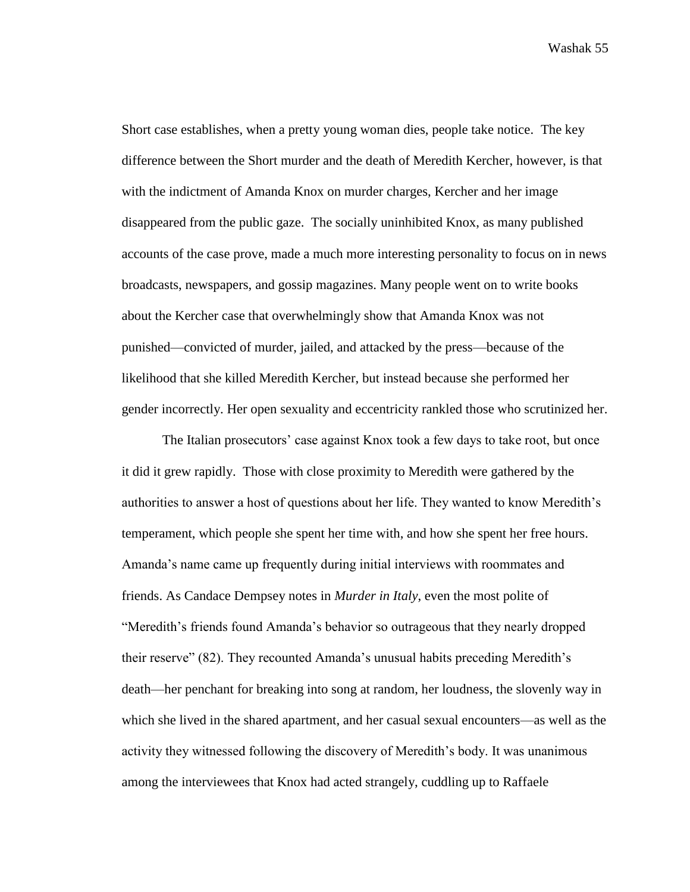Short case establishes, when a pretty young woman dies, people take notice. The key difference between the Short murder and the death of Meredith Kercher, however, is that with the indictment of Amanda Knox on murder charges, Kercher and her image disappeared from the public gaze. The socially uninhibited Knox, as many published accounts of the case prove, made a much more interesting personality to focus on in news broadcasts, newspapers, and gossip magazines. Many people went on to write books about the Kercher case that overwhelmingly show that Amanda Knox was not punished—convicted of murder, jailed, and attacked by the press—because of the likelihood that she killed Meredith Kercher, but instead because she performed her gender incorrectly. Her open sexuality and eccentricity rankled those who scrutinized her.

The Italian prosecutors' case against Knox took a few days to take root, but once it did it grew rapidly. Those with close proximity to Meredith were gathered by the authorities to answer a host of questions about her life. They wanted to know Meredith's temperament, which people she spent her time with, and how she spent her free hours. Amanda's name came up frequently during initial interviews with roommates and friends. As Candace Dempsey notes in *Murder in Italy*, even the most polite of "Meredith's friends found Amanda's behavior so outrageous that they nearly dropped their reserve" (82). They recounted Amanda's unusual habits preceding Meredith's death—her penchant for breaking into song at random, her loudness, the slovenly way in which she lived in the shared apartment, and her casual sexual encounters—as well as the activity they witnessed following the discovery of Meredith's body. It was unanimous among the interviewees that Knox had acted strangely, cuddling up to Raffaele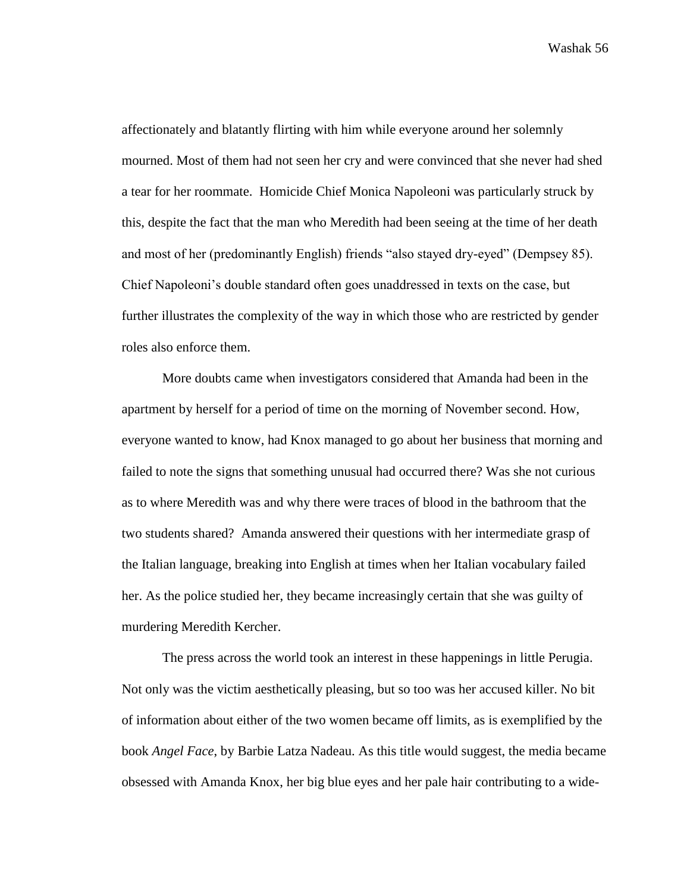affectionately and blatantly flirting with him while everyone around her solemnly mourned. Most of them had not seen her cry and were convinced that she never had shed a tear for her roommate. Homicide Chief Monica Napoleoni was particularly struck by this, despite the fact that the man who Meredith had been seeing at the time of her death and most of her (predominantly English) friends "also stayed dry-eyed" (Dempsey 85). Chief Napoleoni's double standard often goes unaddressed in texts on the case, but further illustrates the complexity of the way in which those who are restricted by gender roles also enforce them.

More doubts came when investigators considered that Amanda had been in the apartment by herself for a period of time on the morning of November second. How, everyone wanted to know, had Knox managed to go about her business that morning and failed to note the signs that something unusual had occurred there? Was she not curious as to where Meredith was and why there were traces of blood in the bathroom that the two students shared? Amanda answered their questions with her intermediate grasp of the Italian language, breaking into English at times when her Italian vocabulary failed her. As the police studied her, they became increasingly certain that she was guilty of murdering Meredith Kercher.

The press across the world took an interest in these happenings in little Perugia. Not only was the victim aesthetically pleasing, but so too was her accused killer. No bit of information about either of the two women became off limits, as is exemplified by the book *Angel Face*, by Barbie Latza Nadeau. As this title would suggest, the media became obsessed with Amanda Knox, her big blue eyes and her pale hair contributing to a wide-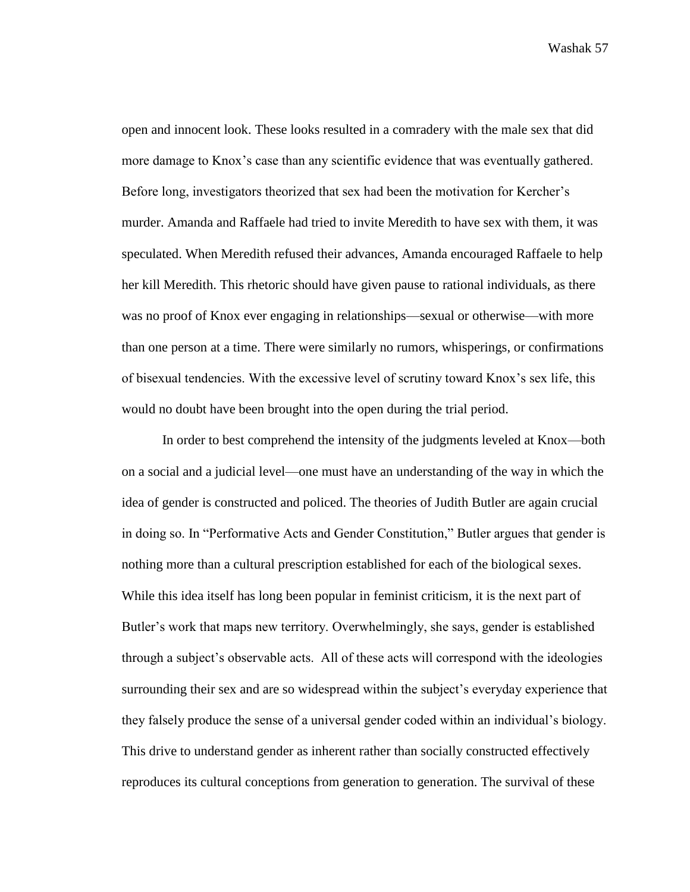open and innocent look. These looks resulted in a comradery with the male sex that did more damage to Knox's case than any scientific evidence that was eventually gathered. Before long, investigators theorized that sex had been the motivation for Kercher's murder. Amanda and Raffaele had tried to invite Meredith to have sex with them, it was speculated. When Meredith refused their advances, Amanda encouraged Raffaele to help her kill Meredith. This rhetoric should have given pause to rational individuals, as there was no proof of Knox ever engaging in relationships—sexual or otherwise—with more than one person at a time. There were similarly no rumors, whisperings, or confirmations of bisexual tendencies. With the excessive level of scrutiny toward Knox's sex life, this would no doubt have been brought into the open during the trial period.

In order to best comprehend the intensity of the judgments leveled at Knox—both on a social and a judicial level—one must have an understanding of the way in which the idea of gender is constructed and policed. The theories of Judith Butler are again crucial in doing so. In "Performative Acts and Gender Constitution," Butler argues that gender is nothing more than a cultural prescription established for each of the biological sexes. While this idea itself has long been popular in feminist criticism, it is the next part of Butler's work that maps new territory. Overwhelmingly, she says, gender is established through a subject's observable acts. All of these acts will correspond with the ideologies surrounding their sex and are so widespread within the subject's everyday experience that they falsely produce the sense of a universal gender coded within an individual's biology. This drive to understand gender as inherent rather than socially constructed effectively reproduces its cultural conceptions from generation to generation. The survival of these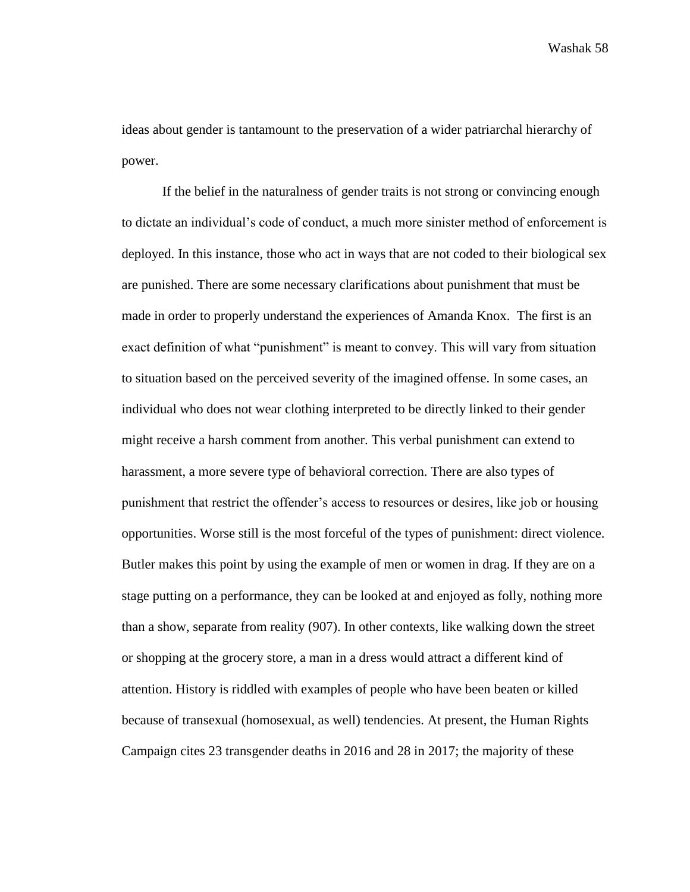ideas about gender is tantamount to the preservation of a wider patriarchal hierarchy of power.

If the belief in the naturalness of gender traits is not strong or convincing enough to dictate an individual's code of conduct, a much more sinister method of enforcement is deployed. In this instance, those who act in ways that are not coded to their biological sex are punished. There are some necessary clarifications about punishment that must be made in order to properly understand the experiences of Amanda Knox. The first is an exact definition of what "punishment" is meant to convey. This will vary from situation to situation based on the perceived severity of the imagined offense. In some cases, an individual who does not wear clothing interpreted to be directly linked to their gender might receive a harsh comment from another. This verbal punishment can extend to harassment, a more severe type of behavioral correction. There are also types of punishment that restrict the offender's access to resources or desires, like job or housing opportunities. Worse still is the most forceful of the types of punishment: direct violence. Butler makes this point by using the example of men or women in drag. If they are on a stage putting on a performance, they can be looked at and enjoyed as folly, nothing more than a show, separate from reality (907). In other contexts, like walking down the street or shopping at the grocery store, a man in a dress would attract a different kind of attention. History is riddled with examples of people who have been beaten or killed because of transexual (homosexual, as well) tendencies. At present, the Human Rights Campaign cites 23 transgender deaths in 2016 and 28 in 2017; the majority of these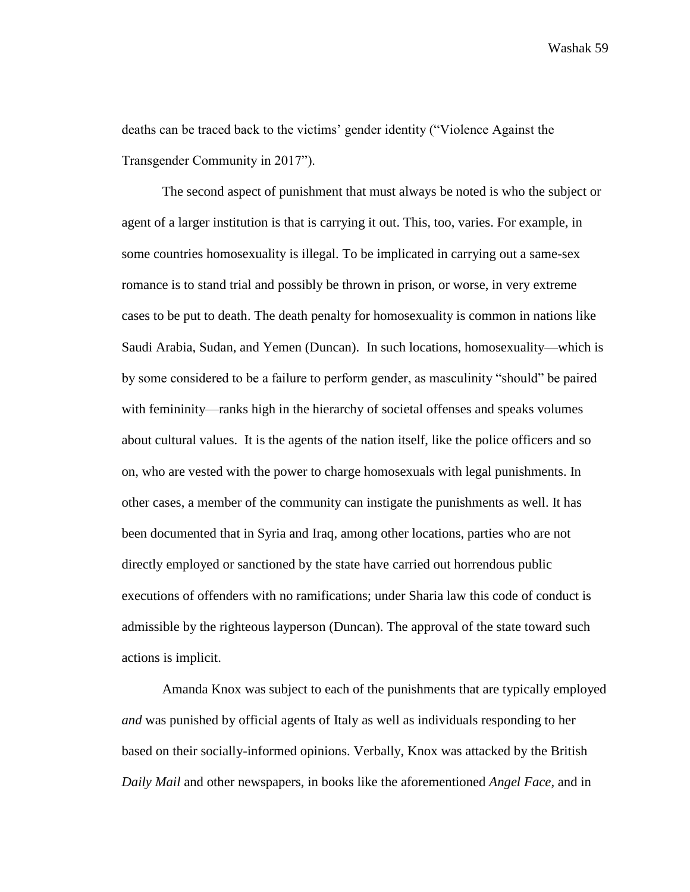deaths can be traced back to the victims' gender identity ("Violence Against the Transgender Community in 2017").

The second aspect of punishment that must always be noted is who the subject or agent of a larger institution is that is carrying it out. This, too, varies. For example, in some countries homosexuality is illegal. To be implicated in carrying out a same-sex romance is to stand trial and possibly be thrown in prison, or worse, in very extreme cases to be put to death. The death penalty for homosexuality is common in nations like Saudi Arabia, Sudan, and Yemen (Duncan). In such locations, homosexuality—which is by some considered to be a failure to perform gender, as masculinity "should" be paired with femininity—ranks high in the hierarchy of societal offenses and speaks volumes about cultural values. It is the agents of the nation itself, like the police officers and so on, who are vested with the power to charge homosexuals with legal punishments. In other cases, a member of the community can instigate the punishments as well. It has been documented that in Syria and Iraq, among other locations, parties who are not directly employed or sanctioned by the state have carried out horrendous public executions of offenders with no ramifications; under Sharia law this code of conduct is admissible by the righteous layperson (Duncan). The approval of the state toward such actions is implicit.

Amanda Knox was subject to each of the punishments that are typically employed *and* was punished by official agents of Italy as well as individuals responding to her based on their socially-informed opinions. Verbally, Knox was attacked by the British *Daily Mail* and other newspapers, in books like the aforementioned *Angel Face*, and in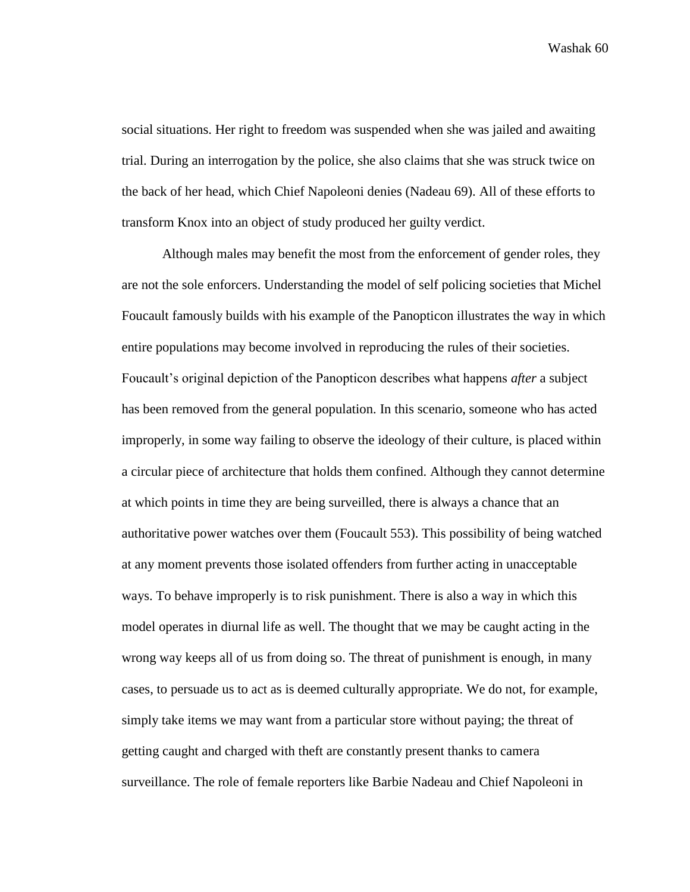social situations. Her right to freedom was suspended when she was jailed and awaiting trial. During an interrogation by the police, she also claims that she was struck twice on the back of her head, which Chief Napoleoni denies (Nadeau 69). All of these efforts to transform Knox into an object of study produced her guilty verdict.

Although males may benefit the most from the enforcement of gender roles, they are not the sole enforcers. Understanding the model of self policing societies that Michel Foucault famously builds with his example of the Panopticon illustrates the way in which entire populations may become involved in reproducing the rules of their societies. Foucault's original depiction of the Panopticon describes what happens *after* a subject has been removed from the general population. In this scenario, someone who has acted improperly, in some way failing to observe the ideology of their culture, is placed within a circular piece of architecture that holds them confined. Although they cannot determine at which points in time they are being surveilled, there is always a chance that an authoritative power watches over them (Foucault 553). This possibility of being watched at any moment prevents those isolated offenders from further acting in unacceptable ways. To behave improperly is to risk punishment. There is also a way in which this model operates in diurnal life as well. The thought that we may be caught acting in the wrong way keeps all of us from doing so. The threat of punishment is enough, in many cases, to persuade us to act as is deemed culturally appropriate. We do not, for example, simply take items we may want from a particular store without paying; the threat of getting caught and charged with theft are constantly present thanks to camera surveillance. The role of female reporters like Barbie Nadeau and Chief Napoleoni in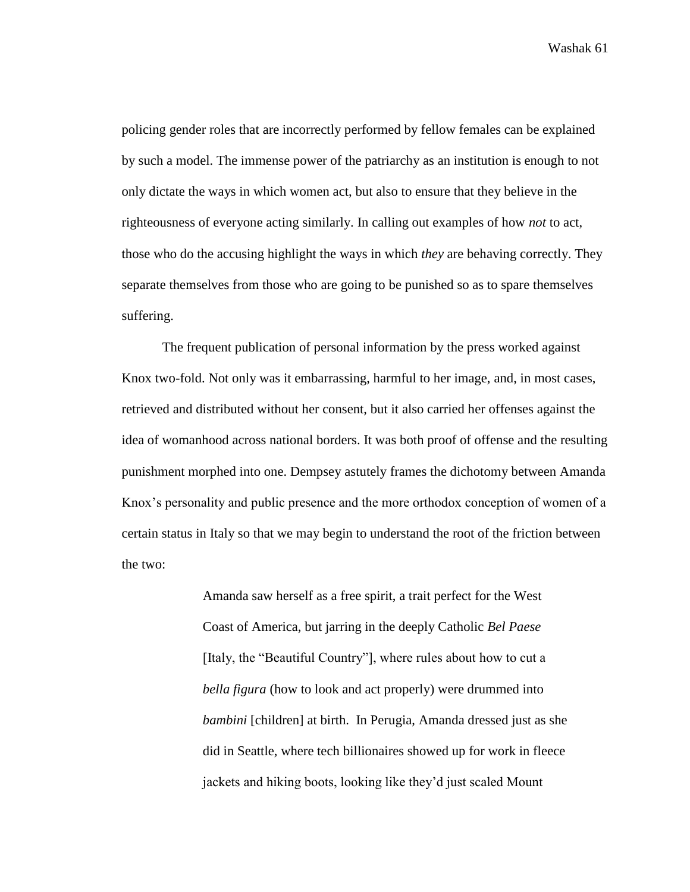policing gender roles that are incorrectly performed by fellow females can be explained by such a model. The immense power of the patriarchy as an institution is enough to not only dictate the ways in which women act, but also to ensure that they believe in the righteousness of everyone acting similarly. In calling out examples of how *not* to act, those who do the accusing highlight the ways in which *they* are behaving correctly. They separate themselves from those who are going to be punished so as to spare themselves suffering.

The frequent publication of personal information by the press worked against Knox two-fold. Not only was it embarrassing, harmful to her image, and, in most cases, retrieved and distributed without her consent, but it also carried her offenses against the idea of womanhood across national borders. It was both proof of offense and the resulting punishment morphed into one. Dempsey astutely frames the dichotomy between Amanda Knox's personality and public presence and the more orthodox conception of women of a certain status in Italy so that we may begin to understand the root of the friction between the two:

> Amanda saw herself as a free spirit, a trait perfect for the West Coast of America, but jarring in the deeply Catholic *Bel Paese*  [Italy, the "Beautiful Country"], where rules about how to cut a *bella figura* (how to look and act properly) were drummed into *bambini* [children] at birth. In Perugia, Amanda dressed just as she did in Seattle, where tech billionaires showed up for work in fleece jackets and hiking boots, looking like they'd just scaled Mount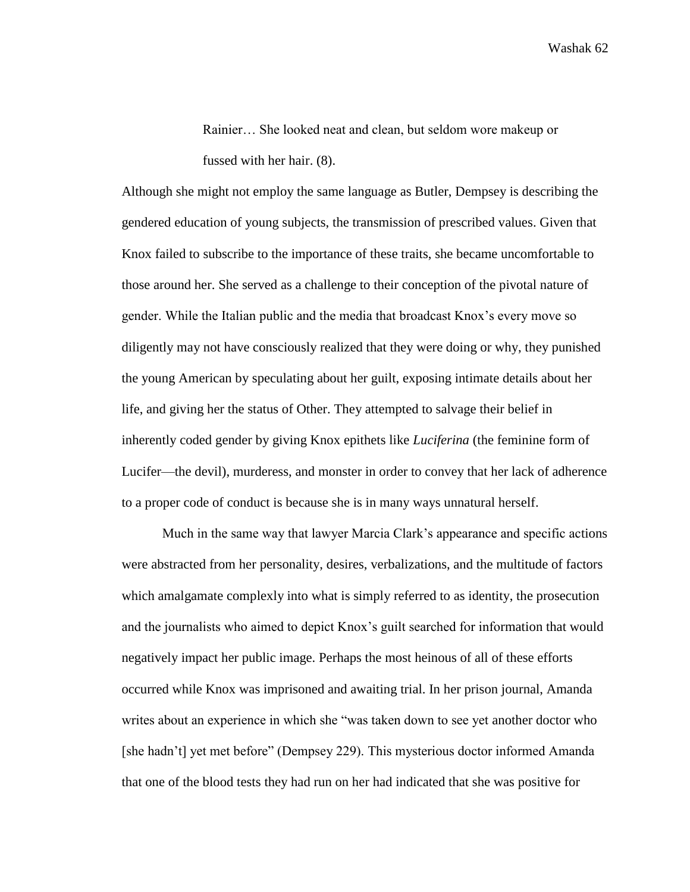Rainier… She looked neat and clean, but seldom wore makeup or fussed with her hair. (8).

Although she might not employ the same language as Butler, Dempsey is describing the gendered education of young subjects, the transmission of prescribed values. Given that Knox failed to subscribe to the importance of these traits, she became uncomfortable to those around her. She served as a challenge to their conception of the pivotal nature of gender. While the Italian public and the media that broadcast Knox's every move so diligently may not have consciously realized that they were doing or why, they punished the young American by speculating about her guilt, exposing intimate details about her life, and giving her the status of Other. They attempted to salvage their belief in inherently coded gender by giving Knox epithets like *Luciferina* (the feminine form of Lucifer—the devil), murderess, and monster in order to convey that her lack of adherence to a proper code of conduct is because she is in many ways unnatural herself.

Much in the same way that lawyer Marcia Clark's appearance and specific actions were abstracted from her personality, desires, verbalizations, and the multitude of factors which amalgamate complexly into what is simply referred to as identity, the prosecution and the journalists who aimed to depict Knox's guilt searched for information that would negatively impact her public image. Perhaps the most heinous of all of these efforts occurred while Knox was imprisoned and awaiting trial. In her prison journal, Amanda writes about an experience in which she "was taken down to see yet another doctor who [she hadn't] yet met before" (Dempsey 229). This mysterious doctor informed Amanda that one of the blood tests they had run on her had indicated that she was positive for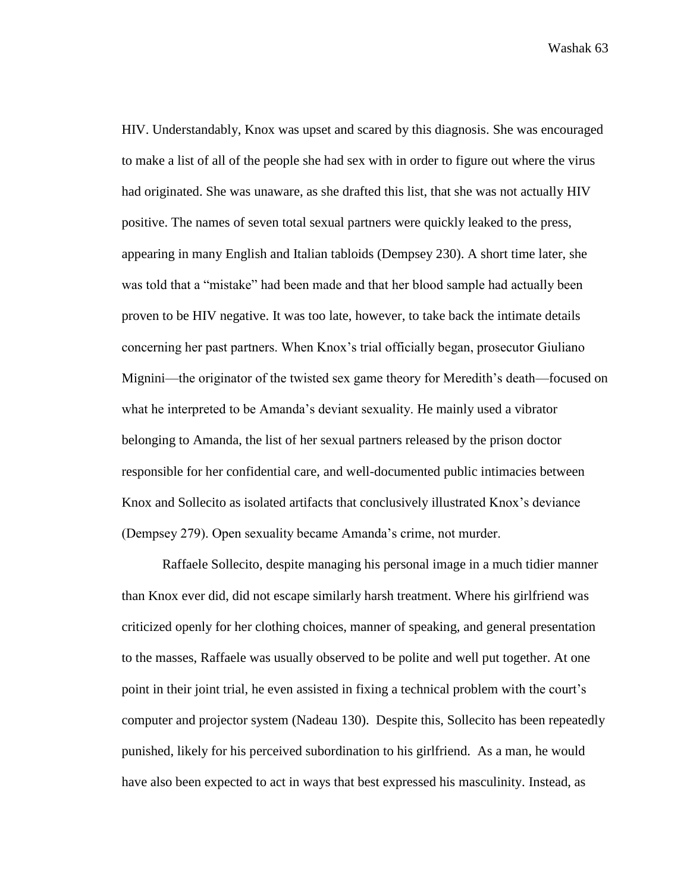HIV. Understandably, Knox was upset and scared by this diagnosis. She was encouraged to make a list of all of the people she had sex with in order to figure out where the virus had originated. She was unaware, as she drafted this list, that she was not actually HIV positive. The names of seven total sexual partners were quickly leaked to the press, appearing in many English and Italian tabloids (Dempsey 230). A short time later, she was told that a "mistake" had been made and that her blood sample had actually been proven to be HIV negative. It was too late, however, to take back the intimate details concerning her past partners. When Knox's trial officially began, prosecutor Giuliano Mignini—the originator of the twisted sex game theory for Meredith's death—focused on what he interpreted to be Amanda's deviant sexuality. He mainly used a vibrator belonging to Amanda, the list of her sexual partners released by the prison doctor responsible for her confidential care, and well-documented public intimacies between Knox and Sollecito as isolated artifacts that conclusively illustrated Knox's deviance (Dempsey 279). Open sexuality became Amanda's crime, not murder.

Raffaele Sollecito, despite managing his personal image in a much tidier manner than Knox ever did, did not escape similarly harsh treatment. Where his girlfriend was criticized openly for her clothing choices, manner of speaking, and general presentation to the masses, Raffaele was usually observed to be polite and well put together. At one point in their joint trial, he even assisted in fixing a technical problem with the court's computer and projector system (Nadeau 130). Despite this, Sollecito has been repeatedly punished, likely for his perceived subordination to his girlfriend. As a man, he would have also been expected to act in ways that best expressed his masculinity. Instead, as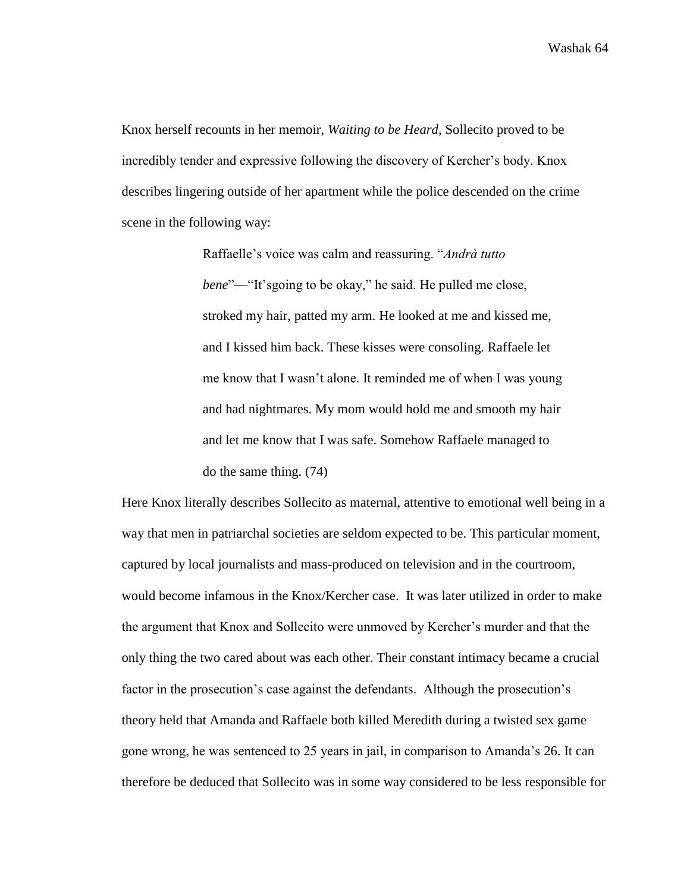Knox herself recounts in her memoir, *Waiting to be Heard*, Sollecito proved to be incredibly tender and expressive following the discovery of Kercher's body. Knox describes lingering outside of her apartment while the police descended on the crime scene in the following way:

> Raffaelle's voice was calm and reassuring. "*Andrà tutto bene*"—"It'sgoing to be okay," he said. He pulled me close, stroked my hair, patted my arm. He looked at me and kissed me, and I kissed him back. These kisses were consoling. Raffaele let me know that I wasn't alone. It reminded me of when I was young and had nightmares. My mom would hold me and smooth my hair and let me know that I was safe. Somehow Raffaele managed to do the same thing. (74)

Here Knox literally describes Sollecito as maternal, attentive to emotional well being in a way that men in patriarchal societies are seldom expected to be. This particular moment, captured by local journalists and mass-produced on television and in the courtroom, would become infamous in the Knox/Kercher case. It was later utilized in order to make the argument that Knox and Sollecito were unmoved by Kercher's murder and that the only thing the two cared about was each other. Their constant intimacy became a crucial factor in the prosecution's case against the defendants. Although the prosecution's theory held that Amanda and Raffaele both killed Meredith during a twisted sex game gone wrong, he was sentenced to 25 years in jail, in comparison to Amanda's 26. It can therefore be deduced that Sollecito was in some way considered to be less responsible for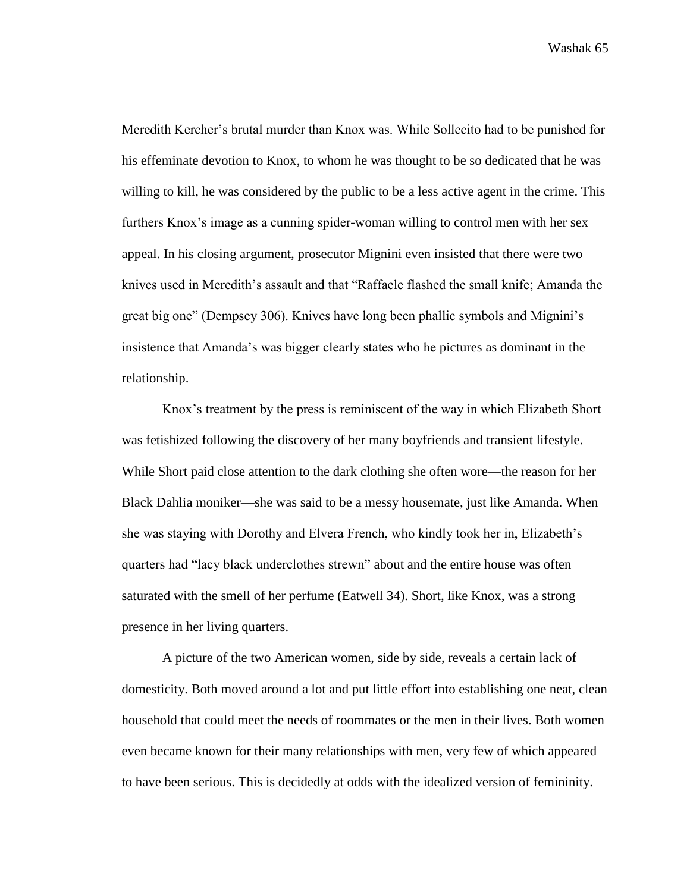Meredith Kercher's brutal murder than Knox was. While Sollecito had to be punished for his effeminate devotion to Knox, to whom he was thought to be so dedicated that he was willing to kill, he was considered by the public to be a less active agent in the crime. This furthers Knox's image as a cunning spider-woman willing to control men with her sex appeal. In his closing argument, prosecutor Mignini even insisted that there were two knives used in Meredith's assault and that "Raffaele flashed the small knife; Amanda the great big one" (Dempsey 306). Knives have long been phallic symbols and Mignini's insistence that Amanda's was bigger clearly states who he pictures as dominant in the relationship.

Knox's treatment by the press is reminiscent of the way in which Elizabeth Short was fetishized following the discovery of her many boyfriends and transient lifestyle. While Short paid close attention to the dark clothing she often wore—the reason for her Black Dahlia moniker—she was said to be a messy housemate, just like Amanda. When she was staying with Dorothy and Elvera French, who kindly took her in, Elizabeth's quarters had "lacy black underclothes strewn" about and the entire house was often saturated with the smell of her perfume (Eatwell 34). Short, like Knox, was a strong presence in her living quarters.

A picture of the two American women, side by side, reveals a certain lack of domesticity. Both moved around a lot and put little effort into establishing one neat, clean household that could meet the needs of roommates or the men in their lives. Both women even became known for their many relationships with men, very few of which appeared to have been serious. This is decidedly at odds with the idealized version of femininity.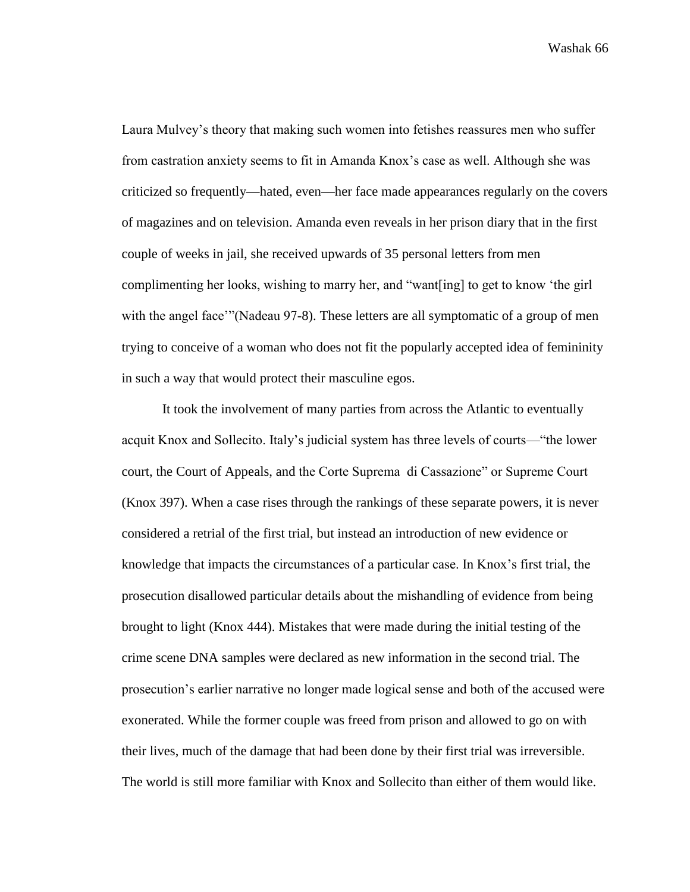Laura Mulvey's theory that making such women into fetishes reassures men who suffer from castration anxiety seems to fit in Amanda Knox's case as well. Although she was criticized so frequently—hated, even—her face made appearances regularly on the covers of magazines and on television. Amanda even reveals in her prison diary that in the first couple of weeks in jail, she received upwards of 35 personal letters from men complimenting her looks, wishing to marry her, and "want[ing] to get to know 'the girl with the angel face"'(Nadeau 97-8). These letters are all symptomatic of a group of men trying to conceive of a woman who does not fit the popularly accepted idea of femininity in such a way that would protect their masculine egos.

It took the involvement of many parties from across the Atlantic to eventually acquit Knox and Sollecito. Italy's judicial system has three levels of courts—"the lower court, the Court of Appeals, and the Corte Suprema di Cassazione" or Supreme Court (Knox 397). When a case rises through the rankings of these separate powers, it is never considered a retrial of the first trial, but instead an introduction of new evidence or knowledge that impacts the circumstances of a particular case. In Knox's first trial, the prosecution disallowed particular details about the mishandling of evidence from being brought to light (Knox 444). Mistakes that were made during the initial testing of the crime scene DNA samples were declared as new information in the second trial. The prosecution's earlier narrative no longer made logical sense and both of the accused were exonerated. While the former couple was freed from prison and allowed to go on with their lives, much of the damage that had been done by their first trial was irreversible. The world is still more familiar with Knox and Sollecito than either of them would like.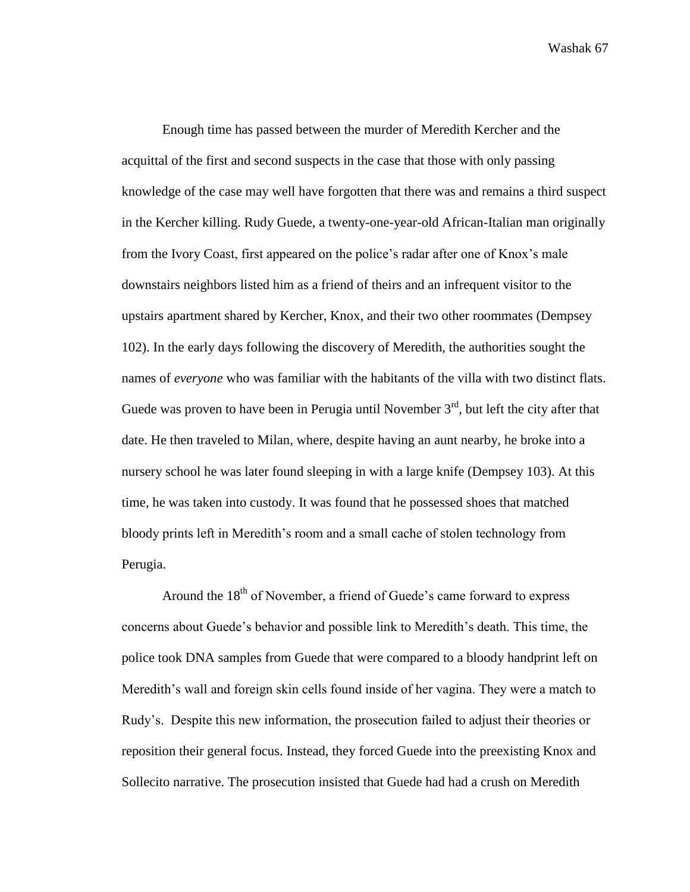Enough time has passed between the murder of Meredith Kercher and the acquittal of the first and second suspects in the case that those with only passing knowledge of the case may well have forgotten that there was and remains a third suspect in the Kercher killing. Rudy Guede, a twenty-one-year-old African-Italian man originally from the Ivory Coast, first appeared on the police's radar after one of Knox's male downstairs neighbors listed him as a friend of theirs and an infrequent visitor to the upstairs apartment shared by Kercher, Knox, and their two other roommates (Dempsey 102). In the early days following the discovery of Meredith, the authorities sought the names of *everyone* who was familiar with the habitants of the villa with two distinct flats. Guede was proven to have been in Perugia until November  $3<sup>rd</sup>$ , but left the city after that date. He then traveled to Milan, where, despite having an aunt nearby, he broke into a nursery school he was later found sleeping in with a large knife (Dempsey 103). At this time, he was taken into custody. It was found that he possessed shoes that matched bloody prints left in Meredith's room and a small cache of stolen technology from Perugia.

Around the  $18<sup>th</sup>$  of November, a friend of Guede's came forward to express concerns about Guede's behavior and possible link to Meredith's death. This time, the police took DNA samples from Guede that were compared to a bloody handprint left on Meredith's wall and foreign skin cells found inside of her vagina. They were a match to Rudy's. Despite this new information, the prosecution failed to adjust their theories or reposition their general focus. Instead, they forced Guede into the preexisting Knox and Sollecito narrative. The prosecution insisted that Guede had had a crush on Meredith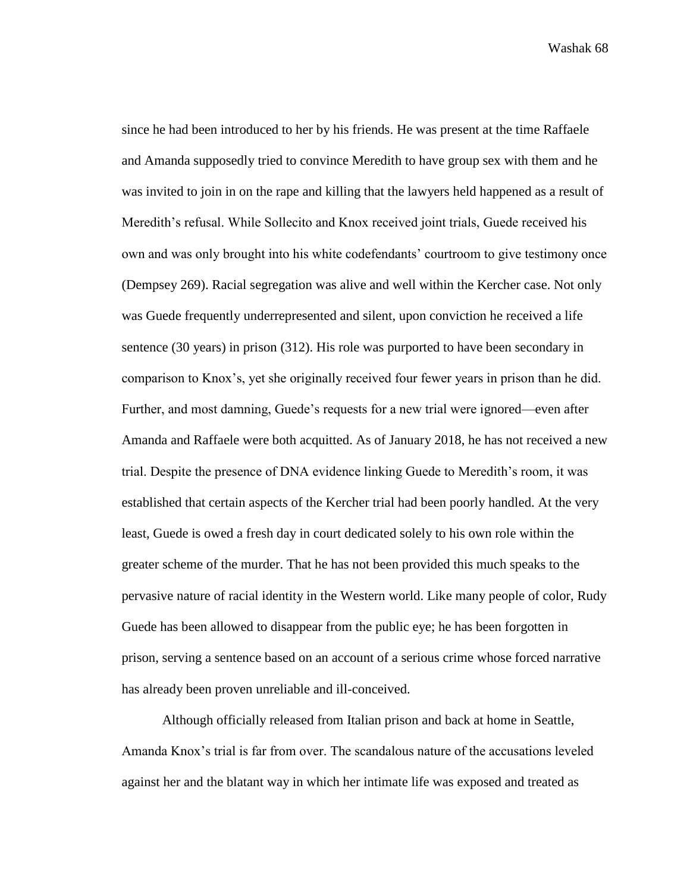since he had been introduced to her by his friends. He was present at the time Raffaele and Amanda supposedly tried to convince Meredith to have group sex with them and he was invited to join in on the rape and killing that the lawyers held happened as a result of Meredith's refusal. While Sollecito and Knox received joint trials, Guede received his own and was only brought into his white codefendants' courtroom to give testimony once (Dempsey 269). Racial segregation was alive and well within the Kercher case. Not only was Guede frequently underrepresented and silent, upon conviction he received a life sentence (30 years) in prison (312). His role was purported to have been secondary in comparison to Knox's, yet she originally received four fewer years in prison than he did. Further, and most damning, Guede's requests for a new trial were ignored—even after Amanda and Raffaele were both acquitted. As of January 2018, he has not received a new trial. Despite the presence of DNA evidence linking Guede to Meredith's room, it was established that certain aspects of the Kercher trial had been poorly handled. At the very least, Guede is owed a fresh day in court dedicated solely to his own role within the greater scheme of the murder. That he has not been provided this much speaks to the pervasive nature of racial identity in the Western world. Like many people of color, Rudy Guede has been allowed to disappear from the public eye; he has been forgotten in prison, serving a sentence based on an account of a serious crime whose forced narrative has already been proven unreliable and ill-conceived.

Although officially released from Italian prison and back at home in Seattle, Amanda Knox's trial is far from over. The scandalous nature of the accusations leveled against her and the blatant way in which her intimate life was exposed and treated as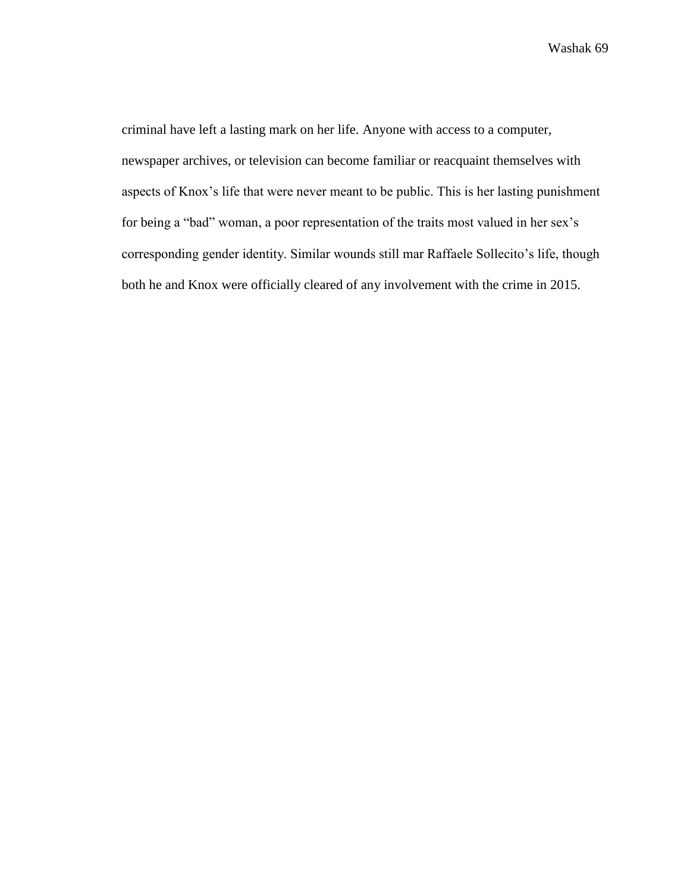criminal have left a lasting mark on her life. Anyone with access to a computer, newspaper archives, or television can become familiar or reacquaint themselves with aspects of Knox's life that were never meant to be public. This is her lasting punishment for being a "bad" woman, a poor representation of the traits most valued in her sex's corresponding gender identity. Similar wounds still mar Raffaele Sollecito's life, though both he and Knox were officially cleared of any involvement with the crime in 2015.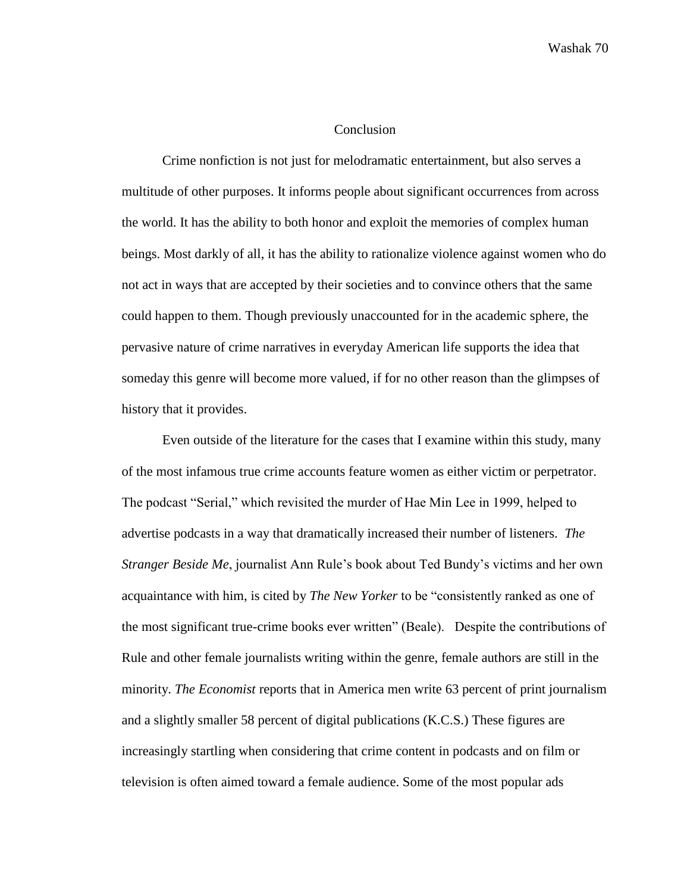## **Conclusion**

Crime nonfiction is not just for melodramatic entertainment, but also serves a multitude of other purposes. It informs people about significant occurrences from across the world. It has the ability to both honor and exploit the memories of complex human beings. Most darkly of all, it has the ability to rationalize violence against women who do not act in ways that are accepted by their societies and to convince others that the same could happen to them. Though previously unaccounted for in the academic sphere, the pervasive nature of crime narratives in everyday American life supports the idea that someday this genre will become more valued, if for no other reason than the glimpses of history that it provides.

Even outside of the literature for the cases that I examine within this study, many of the most infamous true crime accounts feature women as either victim or perpetrator. The podcast "Serial," which revisited the murder of Hae Min Lee in 1999, helped to advertise podcasts in a way that dramatically increased their number of listeners. *The Stranger Beside Me*, journalist Ann Rule's book about Ted Bundy's victims and her own acquaintance with him, is cited by *The New Yorker* to be "consistently ranked as one of the most significant true-crime books ever written" (Beale). Despite the contributions of Rule and other female journalists writing within the genre, female authors are still in the minority. *The Economist* reports that in America men write 63 percent of print journalism and a slightly smaller 58 percent of digital publications (K.C.S.) These figures are increasingly startling when considering that crime content in podcasts and on film or television is often aimed toward a female audience. Some of the most popular ads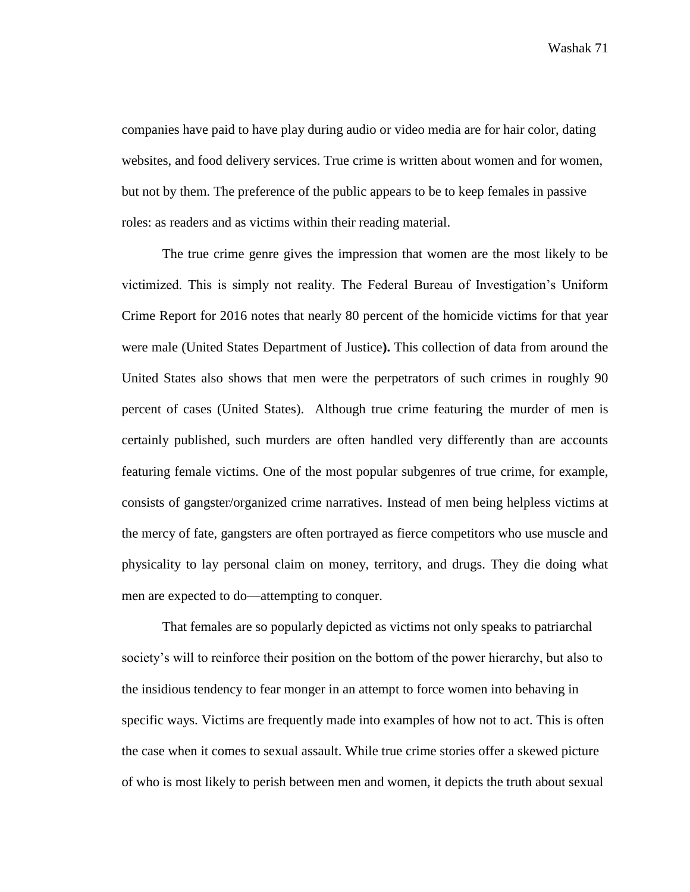companies have paid to have play during audio or video media are for hair color, dating websites, and food delivery services. True crime is written about women and for women, but not by them. The preference of the public appears to be to keep females in passive roles: as readers and as victims within their reading material.

The true crime genre gives the impression that women are the most likely to be victimized. This is simply not reality. The Federal Bureau of Investigation's Uniform Crime Report for 2016 notes that nearly 80 percent of the homicide victims for that year were male (United States Department of Justice**).** This collection of data from around the United States also shows that men were the perpetrators of such crimes in roughly 90 percent of cases (United States). Although true crime featuring the murder of men is certainly published, such murders are often handled very differently than are accounts featuring female victims. One of the most popular subgenres of true crime, for example, consists of gangster/organized crime narratives. Instead of men being helpless victims at the mercy of fate, gangsters are often portrayed as fierce competitors who use muscle and physicality to lay personal claim on money, territory, and drugs. They die doing what men are expected to do—attempting to conquer.

That females are so popularly depicted as victims not only speaks to patriarchal society's will to reinforce their position on the bottom of the power hierarchy, but also to the insidious tendency to fear monger in an attempt to force women into behaving in specific ways. Victims are frequently made into examples of how not to act. This is often the case when it comes to sexual assault. While true crime stories offer a skewed picture of who is most likely to perish between men and women, it depicts the truth about sexual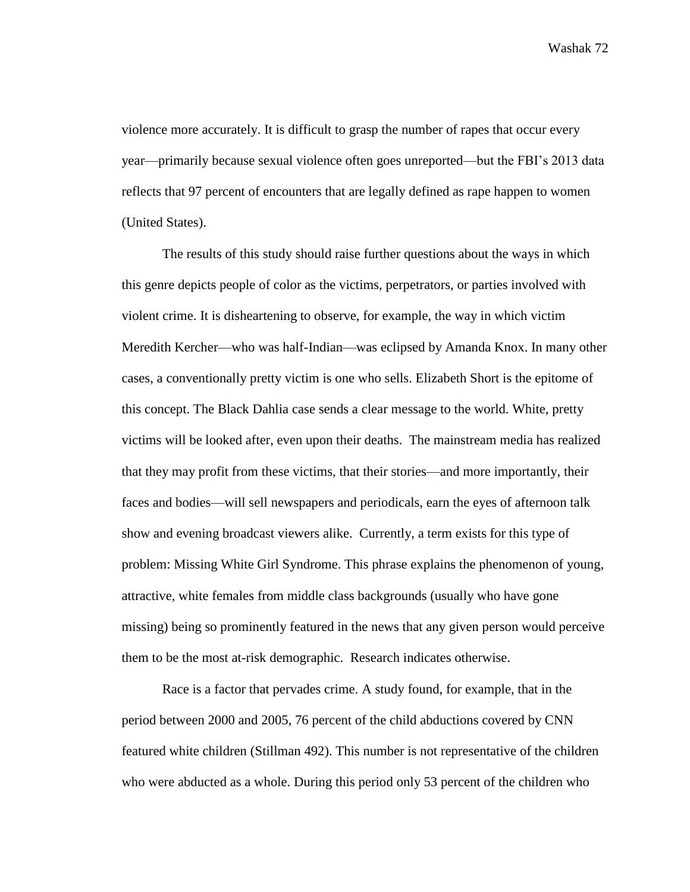violence more accurately. It is difficult to grasp the number of rapes that occur every year—primarily because sexual violence often goes unreported—but the FBI's 2013 data reflects that 97 percent of encounters that are legally defined as rape happen to women (United States).

The results of this study should raise further questions about the ways in which this genre depicts people of color as the victims, perpetrators, or parties involved with violent crime. It is disheartening to observe, for example, the way in which victim Meredith Kercher—who was half-Indian—was eclipsed by Amanda Knox. In many other cases, a conventionally pretty victim is one who sells. Elizabeth Short is the epitome of this concept. The Black Dahlia case sends a clear message to the world. White, pretty victims will be looked after, even upon their deaths. The mainstream media has realized that they may profit from these victims, that their stories—and more importantly, their faces and bodies—will sell newspapers and periodicals, earn the eyes of afternoon talk show and evening broadcast viewers alike. Currently, a term exists for this type of problem: Missing White Girl Syndrome. This phrase explains the phenomenon of young, attractive, white females from middle class backgrounds (usually who have gone missing) being so prominently featured in the news that any given person would perceive them to be the most at-risk demographic. Research indicates otherwise.

Race is a factor that pervades crime. A study found, for example, that in the period between 2000 and 2005, 76 percent of the child abductions covered by CNN featured white children (Stillman 492). This number is not representative of the children who were abducted as a whole. During this period only 53 percent of the children who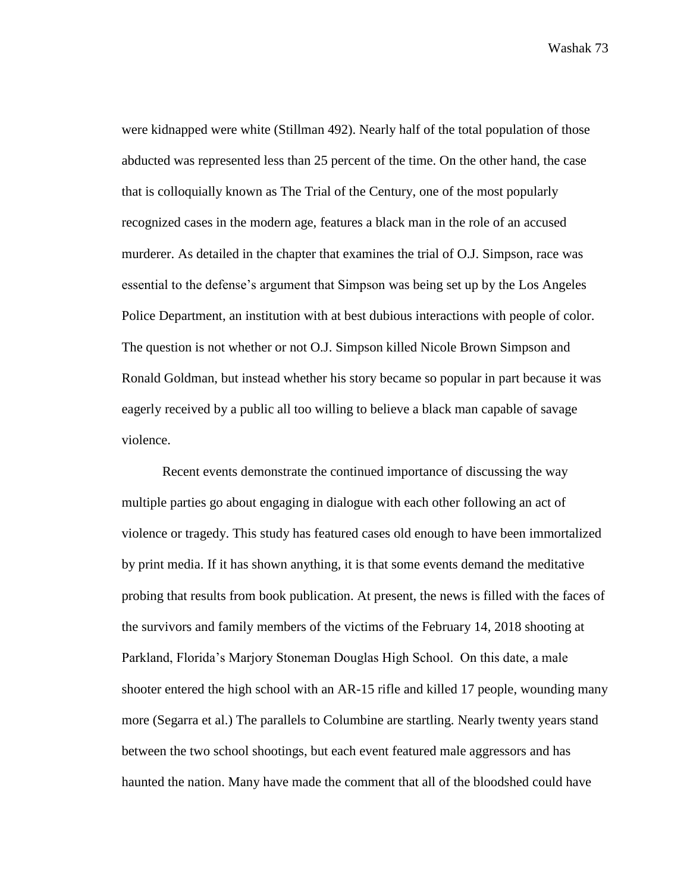were kidnapped were white (Stillman 492). Nearly half of the total population of those abducted was represented less than 25 percent of the time. On the other hand, the case that is colloquially known as The Trial of the Century, one of the most popularly recognized cases in the modern age, features a black man in the role of an accused murderer. As detailed in the chapter that examines the trial of O.J. Simpson, race was essential to the defense's argument that Simpson was being set up by the Los Angeles Police Department, an institution with at best dubious interactions with people of color. The question is not whether or not O.J. Simpson killed Nicole Brown Simpson and Ronald Goldman, but instead whether his story became so popular in part because it was eagerly received by a public all too willing to believe a black man capable of savage violence.

Recent events demonstrate the continued importance of discussing the way multiple parties go about engaging in dialogue with each other following an act of violence or tragedy. This study has featured cases old enough to have been immortalized by print media. If it has shown anything, it is that some events demand the meditative probing that results from book publication. At present, the news is filled with the faces of the survivors and family members of the victims of the February 14, 2018 shooting at Parkland, Florida's Marjory Stoneman Douglas High School. On this date, a male shooter entered the high school with an AR-15 rifle and killed 17 people, wounding many more (Segarra et al.) The parallels to Columbine are startling. Nearly twenty years stand between the two school shootings, but each event featured male aggressors and has haunted the nation. Many have made the comment that all of the bloodshed could have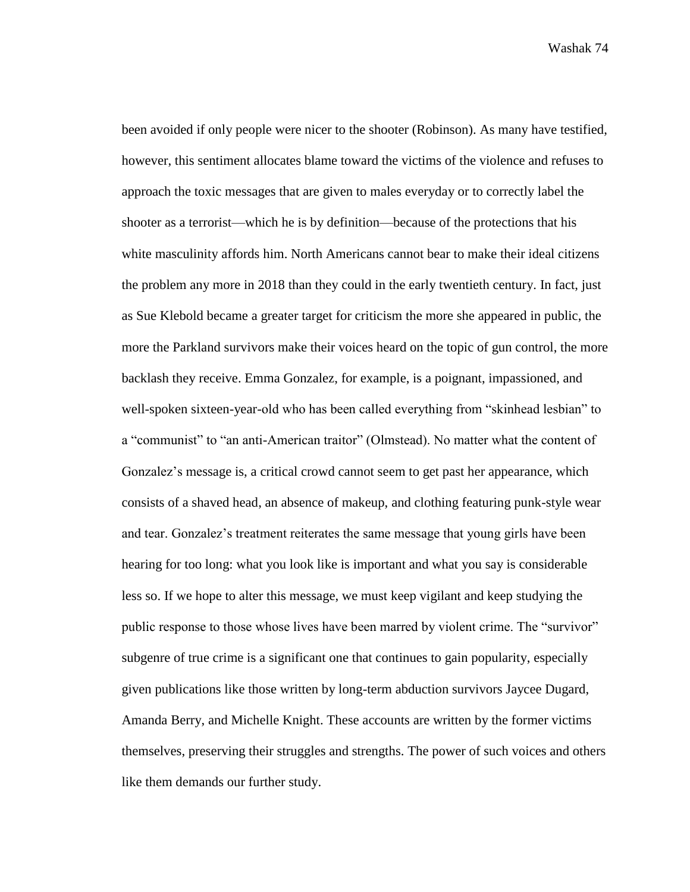been avoided if only people were nicer to the shooter (Robinson). As many have testified, however, this sentiment allocates blame toward the victims of the violence and refuses to approach the toxic messages that are given to males everyday or to correctly label the shooter as a terrorist—which he is by definition—because of the protections that his white masculinity affords him. North Americans cannot bear to make their ideal citizens the problem any more in 2018 than they could in the early twentieth century. In fact, just as Sue Klebold became a greater target for criticism the more she appeared in public, the more the Parkland survivors make their voices heard on the topic of gun control, the more backlash they receive. Emma Gonzalez, for example, is a poignant, impassioned, and well-spoken sixteen-year-old who has been called everything from "skinhead lesbian" to a "communist" to "an anti-American traitor" (Olmstead). No matter what the content of Gonzalez's message is, a critical crowd cannot seem to get past her appearance, which consists of a shaved head, an absence of makeup, and clothing featuring punk-style wear and tear. Gonzalez's treatment reiterates the same message that young girls have been hearing for too long: what you look like is important and what you say is considerable less so. If we hope to alter this message, we must keep vigilant and keep studying the public response to those whose lives have been marred by violent crime. The "survivor" subgenre of true crime is a significant one that continues to gain popularity, especially given publications like those written by long-term abduction survivors Jaycee Dugard, Amanda Berry, and Michelle Knight. These accounts are written by the former victims themselves, preserving their struggles and strengths. The power of such voices and others like them demands our further study.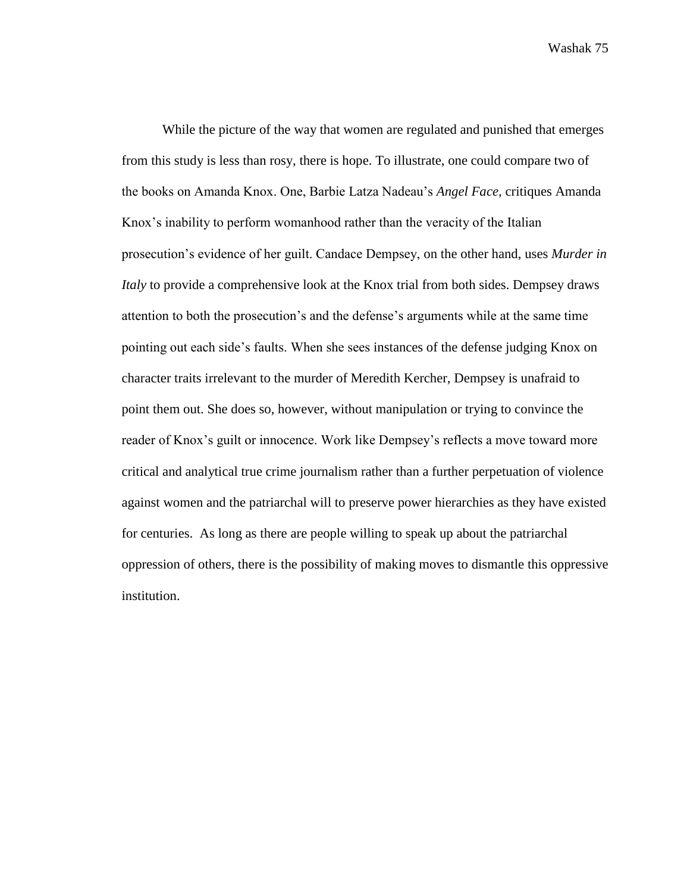While the picture of the way that women are regulated and punished that emerges from this study is less than rosy, there is hope. To illustrate, one could compare two of the books on Amanda Knox. One, Barbie Latza Nadeau's *Angel Face,* critiques Amanda Knox's inability to perform womanhood rather than the veracity of the Italian prosecution's evidence of her guilt. Candace Dempsey, on the other hand, uses *Murder in Italy* to provide a comprehensive look at the Knox trial from both sides. Dempsey draws attention to both the prosecution's and the defense's arguments while at the same time pointing out each side's faults. When she sees instances of the defense judging Knox on character traits irrelevant to the murder of Meredith Kercher, Dempsey is unafraid to point them out. She does so, however, without manipulation or trying to convince the reader of Knox's guilt or innocence. Work like Dempsey's reflects a move toward more critical and analytical true crime journalism rather than a further perpetuation of violence against women and the patriarchal will to preserve power hierarchies as they have existed for centuries. As long as there are people willing to speak up about the patriarchal oppression of others, there is the possibility of making moves to dismantle this oppressive institution.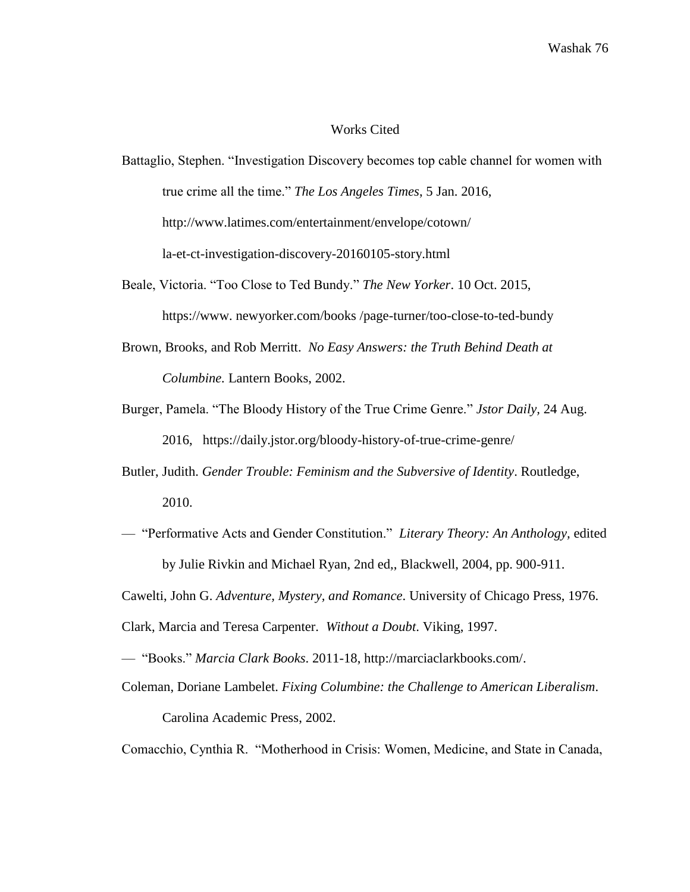## Works Cited

- [Battaglio, Stephen. "Investigation Discovery becomes top cable channel for women with](http://www.latimes.com/la-bio-stephen-battaglio-staff.html#nt=byline)  [true crime all the time."](http://www.latimes.com/la-bio-stephen-battaglio-staff.html#nt=byline) *The Los Angeles Times*, 5 Jan. 2016, <http://www.latimes.com/>entertainment/envelope/cotown/ la-et-ct-investigation-discovery-20160105-story.html
- Beale, Victoria. "Too Close to Ted Bundy." *The New Yorker*. 10 Oct. 2015, https://www. newyorker.com/books /page-turner/too-close-to-ted-bundy
- Brown, Brooks, and Rob Merritt. *No Easy Answers: the Truth Behind Death at Columbine.* Lantern Books, 2002.
- Burger, Pamela. "The Bloody History of the True Crime Genre." *Jstor Daily,* 24 Aug. 2016, https://daily.jstor.org/bloody-history-of-true-crime-genre/
- Butler, Judith. *Gender Trouble: Feminism and the Subversive of Identity*. Routledge, 2010.
- "Performative Acts and Gender Constitution." *Literary Theory: An Anthology,* edited by Julie Rivkin and Michael Ryan, 2nd ed,, Blackwell, 2004, pp. 900-911.
- Cawelti, John G. *Adventure, Mystery, and Romance*. University of Chicago Press, 1976.
- Clark, Marcia and Teresa Carpenter. *Without a Doubt*. Viking, 1997.
- "Books." *Marcia Clark Books*. 2011-18, http://marciaclarkbooks.com/.
- Coleman, Doriane Lambelet. *Fixing Columbine: the Challenge to American Liberalism*. Carolina Academic Press, 2002.

Comacchio, Cynthia R. "Motherhood in Crisis: Women, Medicine, and State in Canada,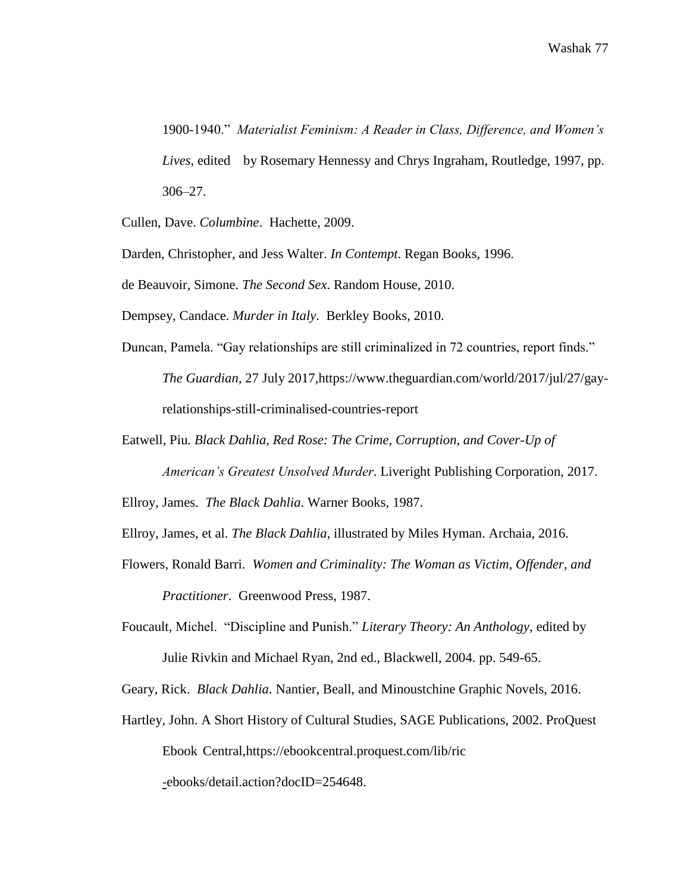1900-1940." *Materialist Feminism: A Reader in Class, Difference, and Women's Lives*, edited by Rosemary Hennessy and Chrys Ingraham, Routledge, 1997, pp. 306–27.

Cullen, Dave. *Columbine*. Hachette, 2009.

Darden, Christopher, and Jess Walter. *In Contempt*. Regan Books, 1996.

de Beauvoir, Simone. *The Second Sex*. Random House, 2010.

Dempsey, Candace. *Murder in Italy*. Berkley Books, 2010.

- Duncan, Pamela. "Gay relationships are still criminalized in 72 countries, report finds." *The Guardian*, 27 July 2017[,https://www.theguardian.com/world/2017/jul/27/gay](https://www.theguardian.com/world/2017/jul/27/gay-)relationships-still-criminalised-countries-report
- Eatwell, Piu*. Black Dahlia, Red Rose: The Crime, Corruption, and Cover-Up of American's Greatest Unsolved Murder*. Liveright Publishing Corporation, 2017.

Ellroy, James. *The Black Dahlia*. Warner Books, 1987.

Ellroy, James, et al. *The Black Dahlia*, illustrated by Miles Hyman. Archaia, 2016.

Flowers, Ronald Barri. *Women and Criminality: The Woman as Victim, Offender, and Practitioner*. Greenwood Press, 1987.

Foucault, Michel. "Discipline and Punish." *Literary Theory: An Anthology*, edited by

Julie Rivkin and Michael Ryan, 2nd ed., Blackwell, 2004. pp. 549-65.

Geary, Rick. *Black Dahlia*. Nantier, Beall, and Minoustchine Graphic Novels, 2016.

Hartley, John. A Short History of Cultural Studies, SAGE Publications, 2002. ProQuest Ebook Central,https://ebookcentral.proquest.com/lib/ric

[-e](https://ebookcentral.proquest.com/lib/ric-)books/detail.action?docID=254648.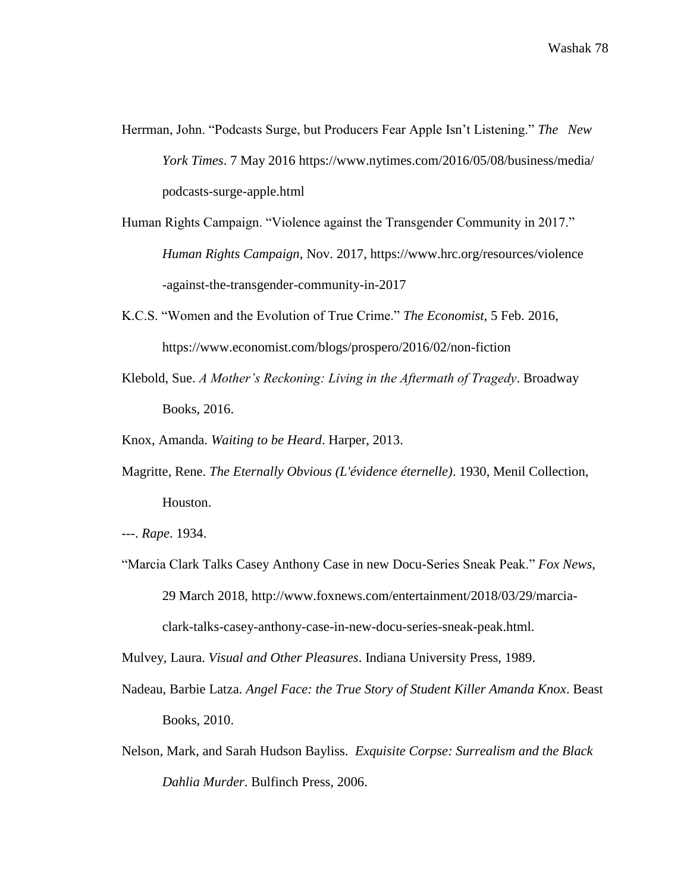- Herrman, John. "Podcasts Surge, but Producers Fear Apple Isn't Listening." *The New York Times*. 7 May 2016 [https://www.nytimes.com/2016/05/08/business/media/](https://www.nytimes.com/2016/05/08/business/media/%20podcasts-)  [podcasts-s](https://www.nytimes.com/2016/05/08/business/media/%20podcasts-)urge-apple.html
- Human Rights Campaign. "Violence against the Transgender Community in 2017." *Human Rights Campaign*, Nov. 2017, [https://www.hrc.org/resources/violence](https://www.hrc.org/resources/violence-) [-a](https://www.hrc.org/resources/violence-)gainst-the-transgender-community-in-2017
- K.C.S. "Women and the Evolution of True Crime." *The Economist,* 5 Feb. 2016, https://www.economist.com/blogs/prospero/2016/02/non-fiction
- Klebold, Sue. *A Mother's Reckoning: Living in the Aftermath of Tragedy*. Broadway Books, 2016.
- Knox, Amanda. *Waiting to be Heard*. Harper, 2013.
- Magritte, Rene. *The Eternally Obvious (L'évidence éternelle)*. 1930, Menil Collection, Houston.
- ---. *Rape*. 1934.
- "Marcia Clark Talks Casey Anthony Case in new Docu-Series Sneak Peak." *Fox News*, 29 March 2018, [http://www.foxnews.com/entertainment/2018/03/29/marcia](http://www.foxnews.com/entertainment/2018/03/29/marcia-)clark-talks-casey-anthony-case-in-new-docu-series-sneak-peak.html.

Mulvey, Laura. *Visual and Other Pleasures*. Indiana University Press, 1989.

- Nadeau, Barbie Latza. *Angel Face: the True Story of Student Killer Amanda Knox*. Beast Books, 2010.
- Nelson, Mark, and Sarah Hudson Bayliss. *Exquisite Corpse: Surrealism and the Black Dahlia Murder*. Bulfinch Press, 2006.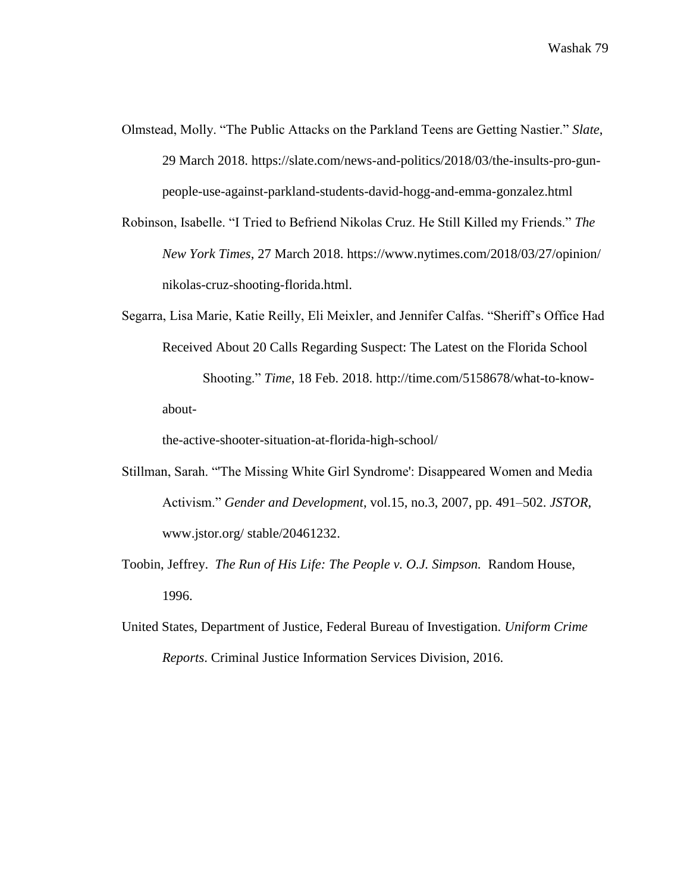- Olmstead, Molly. "The Public Attacks on the Parkland Teens are Getting Nastier." *Slate*, 29 March 2018. [https://slate.com/news-and-politics/2018/03/the-insults-pro-gun](https://slate.com/news-and-politics/2018/03/the-insults-pro-gun-)people-use-against-parkland-students-david-hogg-and-emma-gonzalez.html
- Robinson, Isabelle. "I Tried to Befriend Nikolas Cruz. He Still Killed my Friends." *The New York Times*, 27 March 2018.<https://www.nytimes.com/2018/03/27/opinion/> nikolas-cruz-shooting-florida.html.
- Segarra, Lisa Marie, Katie Reilly, Eli Meixler, and Jennifer Calfas. "Sheriff's Office Had Received About 20 Calls Regarding Suspect: The Latest on the Florida School Shooting." *Time*, 18 Feb. 2018. [http://time.com/5158678/what-to-know](http://time.com/5158678/what-to-know-about-)[about-](http://time.com/5158678/what-to-know-about-)

the-active-shooter-situation-at-florida-high-school/

- Stillman, Sarah. "'The Missing White Girl Syndrome': Disappeared Women and Media Activism." *Gender and Development*, vol.15, no.3, 2007, pp. 491–502. *JSTOR*, [www.jstor.org/ stable/20461232.](http://www.jstor.org/%20stable/20461232)
- Toobin, Jeffrey. *The Run of His Life: The People v. O.J. Simpson.* Random House, 1996.
- United States, Department of Justice, Federal Bureau of Investigation. *Uniform Crime Reports*. Criminal Justice Information Services Division, 2016.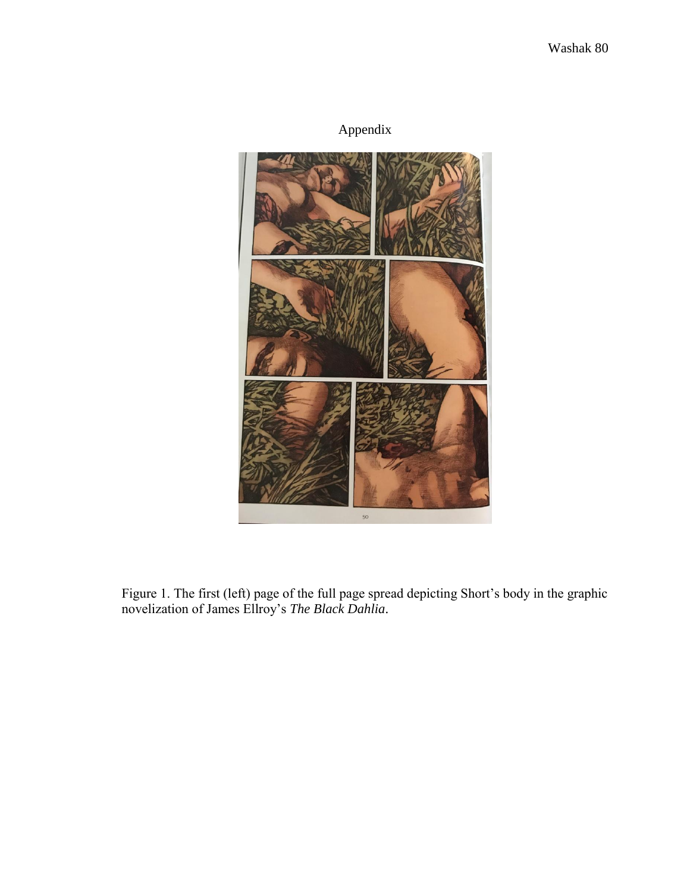## Appendix



Figure 1. The first (left) page of the full page spread depicting Short's body in the graphic novelization of James Ellroy's *The Black Dahlia*.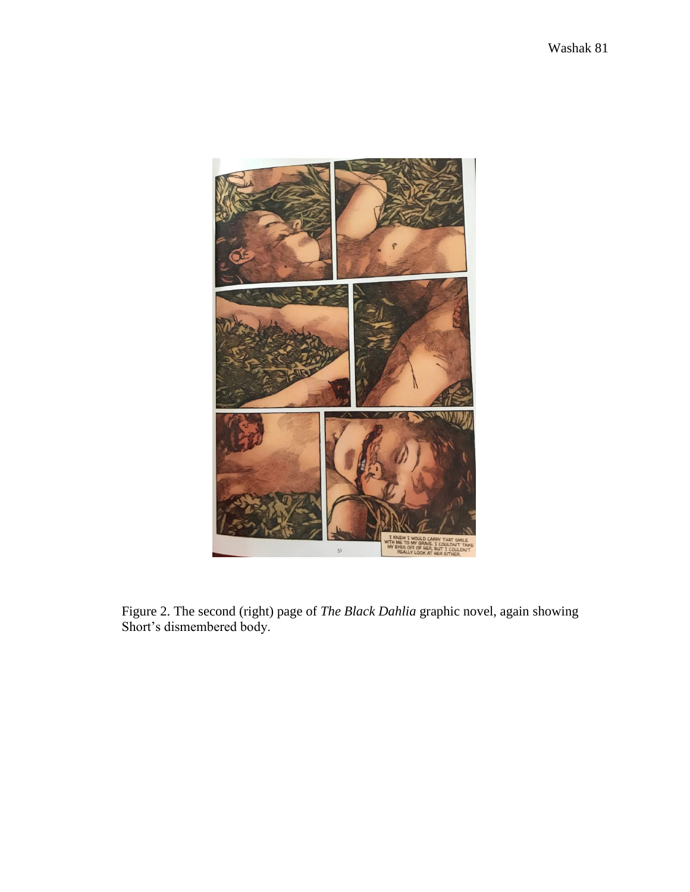

Figure 2. The second (right) page of *The Black Dahlia* graphic novel, again showing Short's dismembered body.